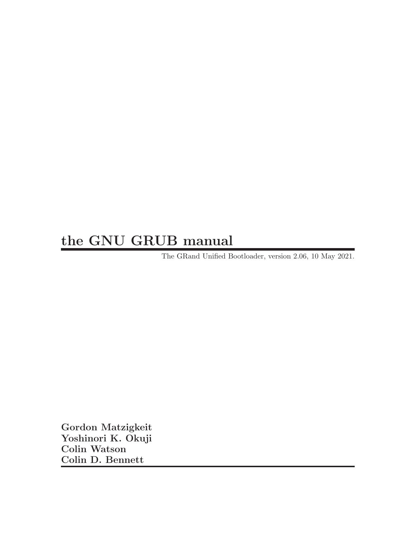# the GNU GRUB manual

The GRand Unified Bootloader, version 2.06, 10 May 2021.

Gordon Matzigkeit Yoshinori K. Okuji Colin Watson Colin D. Bennett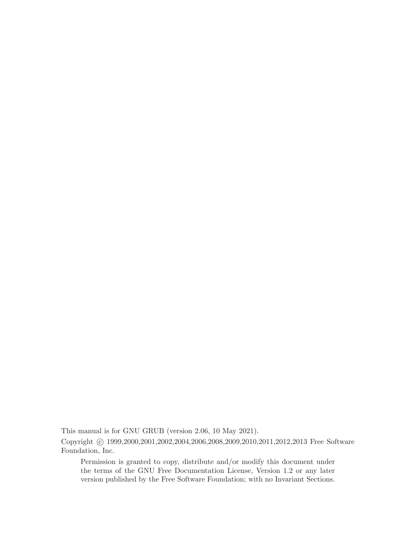This manual is for GNU GRUB (version 2.06, 10 May 2021).

Copyright © 1999,2000,2001,2002,2004,2006,2008,2009,2010,2011,2012,2013 Free Software Foundation, Inc.

Permission is granted to copy, distribute and/or modify this document under the terms of the GNU Free Documentation License, Version 1.2 or any later version published by the Free Software Foundation; with no Invariant Sections.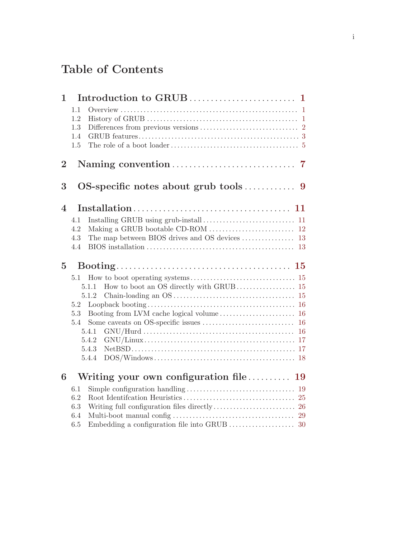# Table of Contents

| $\mathbf{1}$     |            |                                        |  |
|------------------|------------|----------------------------------------|--|
|                  | 1.1        |                                        |  |
|                  | 1.2        |                                        |  |
|                  | 1.3        |                                        |  |
|                  | 1.4        |                                        |  |
|                  | 1.5        |                                        |  |
| $\overline{2}$   |            |                                        |  |
| 3                |            |                                        |  |
| $\boldsymbol{4}$ |            |                                        |  |
|                  | 4.1        |                                        |  |
|                  | 4.2        |                                        |  |
|                  | 4.3        |                                        |  |
|                  | 4.4        |                                        |  |
|                  |            |                                        |  |
| $\overline{5}$   |            |                                        |  |
|                  | 5.1        |                                        |  |
|                  |            | 5.1.1                                  |  |
|                  |            | 5.1.2                                  |  |
|                  | 5.2        |                                        |  |
|                  | 5.3        |                                        |  |
|                  | 5.4        |                                        |  |
|                  |            | 5.4.1                                  |  |
|                  |            | 5.4.2                                  |  |
|                  |            | 5.4.3                                  |  |
|                  |            | 5.4.4                                  |  |
| 6                |            | Writing your own configuration file 19 |  |
|                  | 6.1        |                                        |  |
|                  | 6.2        |                                        |  |
|                  | 6.3        |                                        |  |
|                  | 6.4<br>6.5 |                                        |  |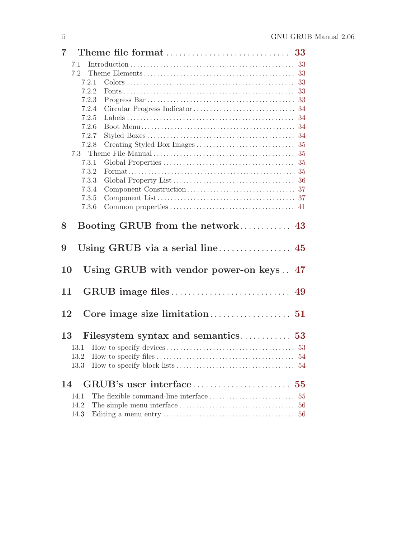|    | $7\degree$ |                                         |    |
|----|------------|-----------------------------------------|----|
|    | 7.1        |                                         |    |
|    | 7.2        |                                         |    |
|    | 7.2.1      |                                         | 33 |
|    | 7.2.2      |                                         | 33 |
|    | 7.2.3      |                                         |    |
|    | 7.2.4      |                                         |    |
|    | 7.2.5      |                                         |    |
|    | 7.2.6      |                                         |    |
|    | 7.2.7      |                                         |    |
|    | 7.2.8      |                                         |    |
|    |            |                                         |    |
|    | 7.3.1      |                                         |    |
|    | 7.3.2      |                                         |    |
|    | 7.3.3      |                                         |    |
|    | 7.3.4      |                                         |    |
|    | 7.3.5      |                                         |    |
|    | 7.3.6      |                                         |    |
| 8  |            | Booting GRUB from the network 43        |    |
| 9  |            |                                         |    |
| 10 |            | Using GRUB with vendor power-on keys 47 |    |
| 11 |            |                                         |    |
| 12 |            |                                         |    |
|    | 13         |                                         |    |
|    | 13.1       |                                         |    |
|    | 13.2       |                                         | 54 |
|    | 13.3       |                                         | 54 |
|    |            |                                         |    |
| 14 |            |                                         |    |
|    | 14.1       |                                         | 55 |
|    | 14.2       |                                         | 56 |
|    | 14.3       |                                         | 56 |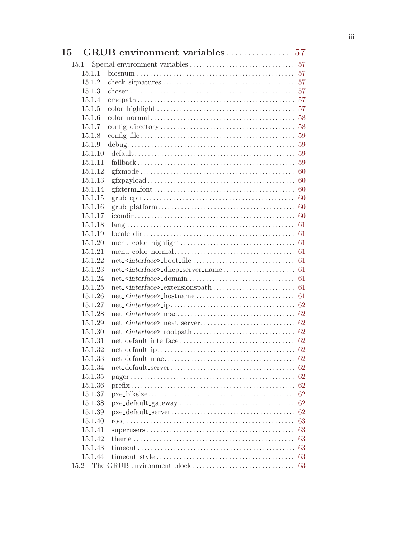| 15                 | GRUB environment variables 57                                                                                                  |    |
|--------------------|--------------------------------------------------------------------------------------------------------------------------------|----|
| 15.1               |                                                                                                                                |    |
| 15.1.1             |                                                                                                                                |    |
| 15.1.2             | $check\_signatures \ldots \ldots \ldots \ldots \ldots \ldots \ldots \ldots \ldots \ldots \ldots 57$                            |    |
| 15.1.3             | chosen $\ldots$ $\ldots$ $\ldots$ $\ldots$ $\ldots$ $\ldots$ $\ldots$ $\ldots$ $\ldots$ $\ldots$ $\ldots$ $\ldots$ $\ldots$ 57 |    |
| 15.1.4             |                                                                                                                                |    |
| 15.1.5             |                                                                                                                                |    |
| 15.1.6             |                                                                                                                                |    |
| 15.1.7             |                                                                                                                                |    |
| 15.1.8             |                                                                                                                                |    |
| 15.1.9             |                                                                                                                                |    |
| 15.1.10            |                                                                                                                                |    |
| 15.1.11            |                                                                                                                                |    |
| 15.1.12            |                                                                                                                                |    |
| 15.1.13            |                                                                                                                                |    |
| 15.1.14            |                                                                                                                                |    |
| 15.1.15            |                                                                                                                                |    |
| 15.1.16            |                                                                                                                                |    |
| 15.1.17            |                                                                                                                                |    |
| 15.1.18            |                                                                                                                                |    |
| 15.1.19            |                                                                                                                                |    |
| 15.1.20            |                                                                                                                                |    |
| 15.1.21            |                                                                                                                                |    |
| 15.1.22            |                                                                                                                                |    |
| 15.1.23            |                                                                                                                                |    |
| 15.1.24            |                                                                                                                                |    |
| 15.1.25            |                                                                                                                                |    |
| 15.1.26            |                                                                                                                                |    |
| 15.1.27            |                                                                                                                                |    |
| 15.1.28            |                                                                                                                                |    |
| 15.1.29            |                                                                                                                                |    |
| 15.1.30            |                                                                                                                                |    |
| 15.1.31            |                                                                                                                                |    |
| 15.1.32            |                                                                                                                                |    |
| 15.1.33            |                                                                                                                                |    |
| 15.1.34            |                                                                                                                                |    |
| 15.1.35<br>15.1.36 |                                                                                                                                |    |
| 15.1.37            |                                                                                                                                |    |
| 15.1.38            |                                                                                                                                | 62 |
| 15.1.39            |                                                                                                                                | 62 |
| 15.1.40            |                                                                                                                                | 63 |
| 15.1.41            |                                                                                                                                | 63 |
| 15.1.42            |                                                                                                                                | 63 |
| 15.1.43            |                                                                                                                                | 63 |
| 15.1.44            |                                                                                                                                | 63 |
|                    |                                                                                                                                |    |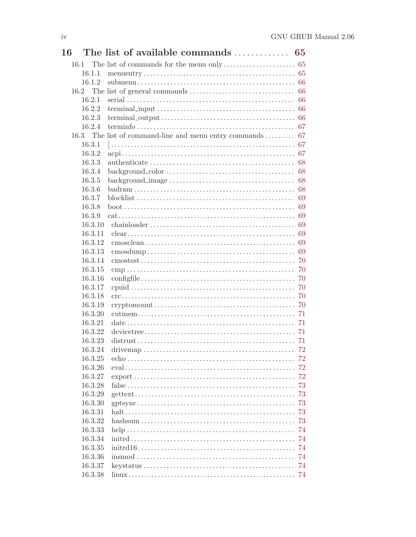| <b>16</b> | The list of available commands  65                                                        |     |
|-----------|-------------------------------------------------------------------------------------------|-----|
| 16.1      | The list of commands for the menu only $\dots \dots \dots \dots \dots \dots$ 65           |     |
| 16.1.1    |                                                                                           |     |
| 16.1.2    |                                                                                           |     |
| 16.2      |                                                                                           | -66 |
| 16.2.1    |                                                                                           | 66  |
| 16.2.2    |                                                                                           |     |
| 16.2.3    |                                                                                           |     |
| 16.2.4    |                                                                                           |     |
|           | 16.3 The list of command-line and menu entry commands  67                                 |     |
| 16.3.1    |                                                                                           |     |
| 16.3.2    |                                                                                           |     |
| 16.3.3    |                                                                                           | 68  |
| 16.3.4    |                                                                                           | 68  |
| 16.3.5    | $background\_image \ldots \ldots \ldots \ldots \ldots \ldots \ldots \ldots \ldots \ldots$ | 68  |
| 16.3.6    |                                                                                           | 68  |
| 16.3.7    |                                                                                           | 69  |
| 16.3.8    |                                                                                           | 69  |
| 16.3.9    |                                                                                           |     |
| 16.3.10   |                                                                                           | 69  |
| 16.3.11   |                                                                                           |     |
| 16.3.12   |                                                                                           |     |
| 16.3.13   |                                                                                           | 69  |
| 16.3.14   |                                                                                           | 70  |
| 16.3.15   |                                                                                           | 70  |
| 16.3.16   |                                                                                           | 70  |
| 16.3.17   |                                                                                           | -70 |
| 16.3.18   |                                                                                           |     |
| 16.3.19   |                                                                                           |     |
| 16.3.20   |                                                                                           |     |
| 16.3.21   |                                                                                           |     |
| 16.3.22   |                                                                                           |     |
| 16.3.23   |                                                                                           |     |
| 16.3.24   |                                                                                           | 72  |
| 16.3.25   |                                                                                           |     |
| 16.3.26   |                                                                                           |     |
| 16.3.27   |                                                                                           |     |
| 16.3.28   |                                                                                           | 73  |
| 16.3.29   |                                                                                           |     |
| 16.3.30   |                                                                                           |     |
| 16.3.31   |                                                                                           |     |
| 16.3.32   |                                                                                           | -73 |
| 16.3.33   |                                                                                           | 74  |
| 16.3.34   |                                                                                           | 74  |
| 16.3.35   |                                                                                           |     |
| 16.3.36   |                                                                                           | 74  |
| 16.3.37   |                                                                                           | -74 |
| 16.3.38   |                                                                                           |     |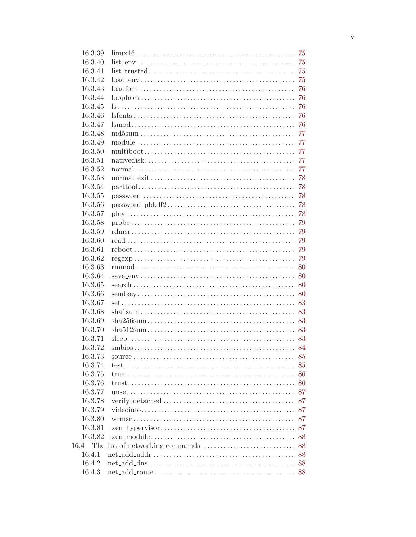| 16.3.39 |                                                                                              | 75 |
|---------|----------------------------------------------------------------------------------------------|----|
| 16.3.40 |                                                                                              | 75 |
| 16.3.41 |                                                                                              | 75 |
| 16.3.42 |                                                                                              |    |
| 16.3.43 |                                                                                              | 76 |
| 16.3.44 |                                                                                              | 76 |
| 16.3.45 |                                                                                              |    |
| 16.3.46 |                                                                                              |    |
| 16.3.47 |                                                                                              |    |
| 16.3.48 |                                                                                              |    |
| 16.3.49 |                                                                                              | 77 |
| 16.3.50 |                                                                                              |    |
| 16.3.51 |                                                                                              |    |
| 16.3.52 |                                                                                              |    |
| 16.3.53 |                                                                                              |    |
| 16.3.54 |                                                                                              |    |
| 16.3.55 |                                                                                              | 78 |
| 16.3.56 |                                                                                              |    |
| 16.3.57 |                                                                                              |    |
| 16.3.58 |                                                                                              |    |
| 16.3.59 |                                                                                              |    |
| 16.3.60 |                                                                                              | 79 |
| 16.3.61 |                                                                                              |    |
| 16.3.62 |                                                                                              |    |
| 16.3.63 |                                                                                              |    |
| 16.3.64 |                                                                                              |    |
| 16.3.65 |                                                                                              |    |
| 16.3.66 |                                                                                              |    |
| 16.3.67 |                                                                                              |    |
| 16.3.68 |                                                                                              |    |
| 16.3.69 |                                                                                              |    |
| 16.3.70 |                                                                                              |    |
| 16.3.71 |                                                                                              |    |
| 16.3.72 |                                                                                              |    |
|         |                                                                                              | 85 |
| 16.3.73 |                                                                                              |    |
| 16.3.74 |                                                                                              | 85 |
| 16.3.75 |                                                                                              | 86 |
| 16.3.76 |                                                                                              |    |
| 16.3.77 |                                                                                              |    |
| 16.3.78 |                                                                                              |    |
| 16.3.79 |                                                                                              |    |
| 16.3.80 |                                                                                              | 87 |
| 16.3.81 |                                                                                              |    |
| 16.3.82 |                                                                                              |    |
| 16.4    |                                                                                              |    |
| 16.4.1  |                                                                                              | 88 |
| 16.4.2  | $net\_add\_dns \ldots \ldots \ldots \ldots \ldots \ldots \ldots \ldots \ldots \ldots \ldots$ | 88 |
| 16.4.3  |                                                                                              |    |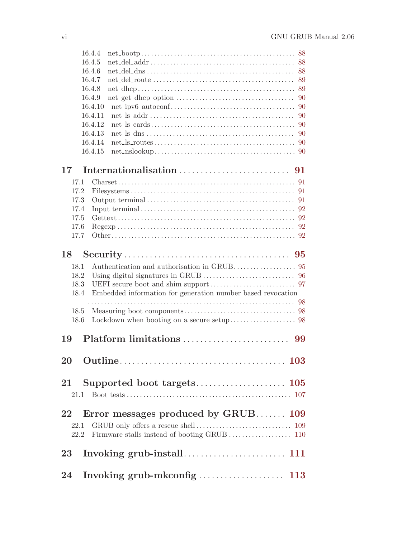|                 | 16.4.4  |                                                                                                                                                            |    |
|-----------------|---------|------------------------------------------------------------------------------------------------------------------------------------------------------------|----|
|                 | 16.4.5  |                                                                                                                                                            |    |
|                 | 16.4.6  |                                                                                                                                                            |    |
|                 | 16.4.7  |                                                                                                                                                            |    |
|                 | 16.4.8  |                                                                                                                                                            |    |
|                 | 16.4.9  |                                                                                                                                                            |    |
|                 | 16.4.10 |                                                                                                                                                            |    |
|                 | 16.4.11 |                                                                                                                                                            |    |
|                 | 16.4.12 |                                                                                                                                                            |    |
|                 | 16.4.13 | $net \, \Delta s$ $\Delta s$ $\ldots$ $\ldots$ $\ldots$ $\ldots$ $\ldots$ $\ldots$ $\ldots$ $\ldots$ $\ldots$ $\ldots$ $\ldots$ $\ldots$ $\ldots$ $\ldots$ |    |
|                 | 16.4.14 |                                                                                                                                                            |    |
|                 | 16.4.15 |                                                                                                                                                            |    |
|                 |         |                                                                                                                                                            |    |
| 17 <sub>1</sub> |         |                                                                                                                                                            |    |
| 17.1            |         |                                                                                                                                                            |    |
| 17.2            |         |                                                                                                                                                            |    |
| 17.3            |         |                                                                                                                                                            |    |
| 17.4            |         |                                                                                                                                                            |    |
| 17.5            |         |                                                                                                                                                            |    |
| 17.6            |         |                                                                                                                                                            |    |
| 17.7            |         |                                                                                                                                                            |    |
| 18              |         |                                                                                                                                                            |    |
|                 |         |                                                                                                                                                            |    |
| 18.1            |         | Authentication and authorisation in GRUB 95                                                                                                                |    |
| 18.2            |         |                                                                                                                                                            |    |
| 18.3            |         |                                                                                                                                                            |    |
| 18.4            |         | Embedded information for generation number based revocation                                                                                                |    |
|                 |         |                                                                                                                                                            |    |
| 18.5            |         |                                                                                                                                                            |    |
| 18.6            |         |                                                                                                                                                            |    |
| 19              |         | Platform limitations                                                                                                                                       | 99 |
|                 |         |                                                                                                                                                            |    |
|                 |         |                                                                                                                                                            |    |
|                 |         |                                                                                                                                                            |    |
| 21              |         |                                                                                                                                                            |    |
| 21.1            |         |                                                                                                                                                            |    |
| 22              |         | Error messages produced by GRUB 109                                                                                                                        |    |
| 22.1            |         |                                                                                                                                                            |    |
| 22.2            |         |                                                                                                                                                            |    |
|                 |         |                                                                                                                                                            |    |
| 23              |         |                                                                                                                                                            |    |
|                 |         |                                                                                                                                                            |    |
| 24              |         |                                                                                                                                                            |    |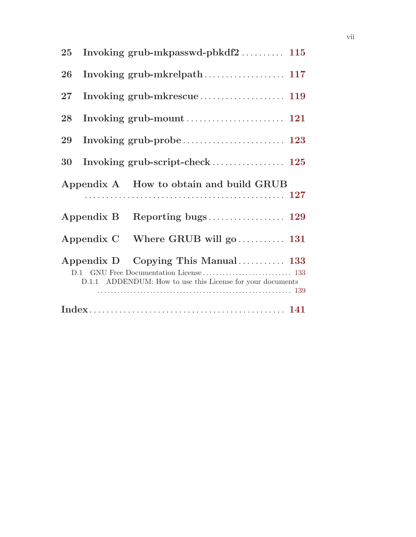| $25\,$                                                                                           |            | Invoking grub-mkpasswd-pbkdf2 115       |  |  |
|--------------------------------------------------------------------------------------------------|------------|-----------------------------------------|--|--|
| 26                                                                                               |            |                                         |  |  |
| $27\,$                                                                                           |            |                                         |  |  |
| 28                                                                                               |            |                                         |  |  |
| 29                                                                                               |            |                                         |  |  |
| 30                                                                                               |            |                                         |  |  |
|                                                                                                  |            | Appendix A How to obtain and build GRUB |  |  |
|                                                                                                  |            |                                         |  |  |
|                                                                                                  | Appendix C | Where GRUB will go  131                 |  |  |
| Appendix D Copying This Manual 133<br>D.1.1 ADDENDUM: How to use this License for your documents |            |                                         |  |  |
|                                                                                                  |            |                                         |  |  |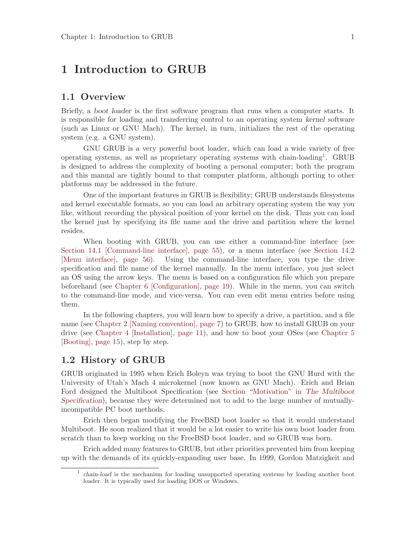## <span id="page-10-0"></span>1 Introduction to GRUB

### 1.1 Overview

Briefly, a boot loader is the first software program that runs when a computer starts. It is responsible for loading and transferring control to an operating system kernel software (such as Linux or GNU Mach). The kernel, in turn, initializes the rest of the operating system (e.g. a GNU system).

GNU GRUB is a very powerful boot loader, which can load a wide variety of free operating systems, as well as proprietary operating systems with chain-loading<sup>1</sup> . GRUB is designed to address the complexity of booting a personal computer; both the program and this manual are tightly bound to that computer platform, although porting to other platforms may be addressed in the future.

One of the important features in GRUB is flexibility; GRUB understands filesystems and kernel executable formats, so you can load an arbitrary operating system the way you like, without recording the physical position of your kernel on the disk. Thus you can load the kernel just by specifying its file name and the drive and partition where the kernel resides.

When booting with GRUB, you can use either a command-line interface (see [Section 14.1 \[Command-line interface\], page 55](#page-64-1)), or a menu interface (see [Section 14.2](#page-65-1) [\[Menu interface\], page 56\)](#page-65-1). Using the command-line interface, you type the drive specification and file name of the kernel manually. In the menu interface, you just select an OS using the arrow keys. The menu is based on a configuration file which you prepare beforehand (see [Chapter 6 \[Configuration\], page 19](#page-28-0)). While in the menu, you can switch to the command-line mode, and vice-versa. You can even edit menu entries before using them.

In the following chapters, you will learn how to specify a drive, a partition, and a file name (see [Chapter 2 \[Naming convention\], page 7\)](#page-16-0) to GRUB, how to install GRUB on your drive (see [Chapter 4 \[Installation\], page 11](#page-20-0)), and how to boot your OSes (see [Chapter 5](#page-24-0) [\[Booting\], page 15\)](#page-24-0), step by step.

## <span id="page-10-1"></span>1.2 History of GRUB

GRUB originated in 1995 when Erich Boleyn was trying to boot the GNU Hurd with the University of Utah's Mach 4 microkernel (now known as GNU Mach). Erich and Brian Ford designed the Multiboot Specification (see Section "Motivation" in The Multiboot Specification), because they were determined not to add to the large number of mutuallyincompatible PC boot methods.

Erich then began modifying the FreeBSD boot loader so that it would understand Multiboot. He soon realized that it would be a lot easier to write his own boot loader from scratch than to keep working on the FreeBSD boot loader, and so GRUB was born.

Erich added many features to GRUB, but other priorities prevented him from keeping up with the demands of its quickly-expanding user base. In 1999, Gordon Matzigkeit and

<sup>1</sup> chain-load is the mechanism for loading unsupported operating systems by loading another boot loader. It is typically used for loading DOS or Windows.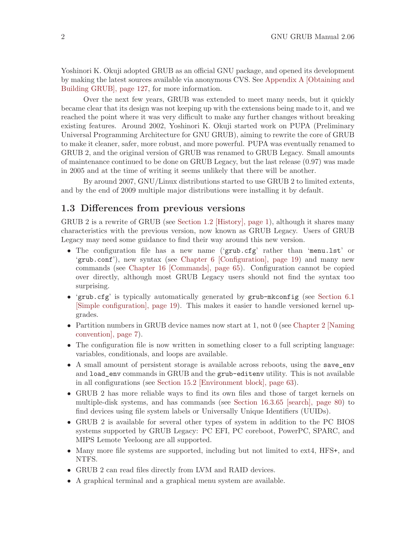<span id="page-11-0"></span>Yoshinori K. Okuji adopted GRUB as an official GNU package, and opened its development by making the latest sources available via anonymous CVS. See [Appendix A \[Obtaining and](#page-136-0) [Building GRUB\], page 127,](#page-136-0) for more information.

Over the next few years, GRUB was extended to meet many needs, but it quickly became clear that its design was not keeping up with the extensions being made to it, and we reached the point where it was very difficult to make any further changes without breaking existing features. Around 2002, Yoshinori K. Okuji started work on PUPA (Preliminary Universal Programming Architecture for GNU GRUB), aiming to rewrite the core of GRUB to make it cleaner, safer, more robust, and more powerful. PUPA was eventually renamed to GRUB 2, and the original version of GRUB was renamed to GRUB Legacy. Small amounts of maintenance continued to be done on GRUB Legacy, but the last release (0.97) was made in 2005 and at the time of writing it seems unlikely that there will be another.

By around 2007, GNU/Linux distributions started to use GRUB 2 to limited extents, and by the end of 2009 multiple major distributions were installing it by default.

## 1.3 Differences from previous versions

GRUB 2 is a rewrite of GRUB (see [Section 1.2 \[History\], page 1](#page-10-1)), although it shares many characteristics with the previous version, now known as GRUB Legacy. Users of GRUB Legacy may need some guidance to find their way around this new version.

- The configuration file has a new name ('grub.cfg' rather than 'menu.lst' or 'grub.conf'), new syntax (see [Chapter 6 \[Configuration\], page 19](#page-28-0)) and many new commands (see [Chapter 16 \[Commands\], page 65\)](#page-74-0). Configuration cannot be copied over directly, although most GRUB Legacy users should not find the syntax too surprising.
- 'grub.cfg' is typically automatically generated by grub-mkconfig (see [Section 6.1](#page-28-1)) [\[Simple configuration\], page 19\)](#page-28-1). This makes it easier to handle versioned kernel upgrades.
- Partition numbers in GRUB device names now start at 1, not 0 (see [Chapter 2 \[Naming](#page-16-0) [convention\], page 7](#page-16-0)).
- The configuration file is now written in something closer to a full scripting language: variables, conditionals, and loops are available.
- A small amount of persistent storage is available across reboots, using the save\_env and load\_env commands in GRUB and the grub-editenv utility. This is not available in all configurations (see [Section 15.2 \[Environment block\], page 63\)](#page-72-1).
- GRUB 2 has more reliable ways to find its own files and those of target kernels on multiple-disk systems, and has commands (see [Section 16.3.65 \[search\], page 80](#page-89-1)) to find devices using file system labels or Universally Unique Identifiers (UUIDs).
- GRUB 2 is available for several other types of system in addition to the PC BIOS systems supported by GRUB Legacy: PC EFI, PC coreboot, PowerPC, SPARC, and MIPS Lemote Yeeloong are all supported.
- Many more file systems are supported, including but not limited to ext4, HFS+, and NTFS.
- GRUB 2 can read files directly from LVM and RAID devices.
- A graphical terminal and a graphical menu system are available.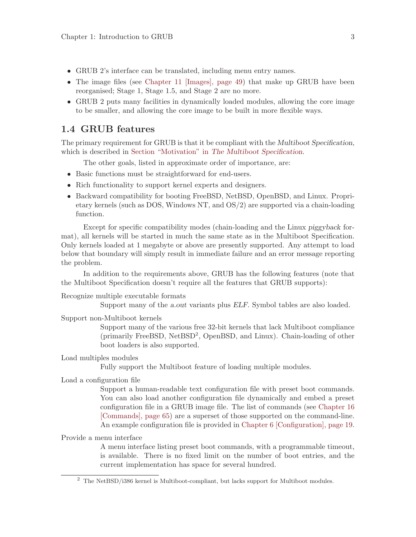- <span id="page-12-0"></span>• GRUB 2's interface can be translated, including menu entry names.
- The image files (see [Chapter 11 \[Images\], page 49\)](#page-58-0) that make up GRUB have been reorganised; Stage 1, Stage 1.5, and Stage 2 are no more.
- GRUB 2 puts many facilities in dynamically loaded modules, allowing the core image to be smaller, and allowing the core image to be built in more flexible ways.

## 1.4 GRUB features

The primary requirement for GRUB is that it be compliant with the Multiboot Specification, which is described in Section "Motivation" in The Multiboot Specification.

The other goals, listed in approximate order of importance, are:

- Basic functions must be straightforward for end-users.
- Rich functionality to support kernel experts and designers.
- Backward compatibility for booting FreeBSD, NetBSD, OpenBSD, and Linux. Proprietary kernels (such as DOS, Windows NT, and OS/2) are supported via a chain-loading function.

Except for specific compatibility modes (chain-loading and the Linux piggyback format), all kernels will be started in much the same state as in the Multiboot Specification. Only kernels loaded at 1 megabyte or above are presently supported. Any attempt to load below that boundary will simply result in immediate failure and an error message reporting the problem.

In addition to the requirements above, GRUB has the following features (note that the Multiboot Specification doesn't require all the features that GRUB supports):

Recognize multiple executable formats

Support many of the a.out variants plus ELF. Symbol tables are also loaded.

Support non-Multiboot kernels

Support many of the various free 32-bit kernels that lack Multiboot compliance (primarily FreeBSD, NetBSD<sup>2</sup>, OpenBSD, and Linux). Chain-loading of other boot loaders is also supported.

Load multiples modules

Fully support the Multiboot feature of loading multiple modules.

#### Load a configuration file

Support a human-readable text configuration file with preset boot commands. You can also load another configuration file dynamically and embed a preset configuration file in a GRUB image file. The list of commands (see [Chapter 16](#page-74-0) [\[Commands\], page 65\)](#page-74-0) are a superset of those supported on the command-line. An example configuration file is provided in [Chapter 6 \[Configuration\], page 19.](#page-28-0)

Provide a menu interface

A menu interface listing preset boot commands, with a programmable timeout, is available. There is no fixed limit on the number of boot entries, and the current implementation has space for several hundred.

<sup>2</sup> The NetBSD/i386 kernel is Multiboot-compliant, but lacks support for Multiboot modules.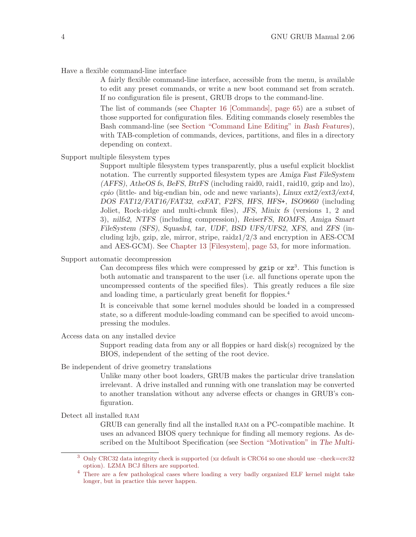Have a flexible command-line interface

A fairly flexible command-line interface, accessible from the menu, is available to edit any preset commands, or write a new boot command set from scratch. If no configuration file is present, GRUB drops to the command-line.

The list of commands (see [Chapter 16 \[Commands\], page 65](#page-74-0)) are a subset of those supported for configuration files. Editing commands closely resembles the Bash command-line (see Section "Command Line Editing" in Bash Features), with TAB-completion of commands, devices, partitions, and files in a directory depending on context.

Support multiple filesystem types

Support multiple filesystem types transparently, plus a useful explicit blocklist notation. The currently supported filesystem types are Amiga Fast FileSystem  $(AFFS)$ ,  $A$ the OS fs, BeFS, BtrFS (including raid $0$ , raid $1$ , raid $10$ , gzip and lzo), cpio (little- and big-endian bin, odc and newc variants), Linux  $ext2/ext3/ext4$ , DOS FAT12/FAT16/FAT32, exFAT, F2FS, HFS, HFS+, ISO9660 (including Joliet, Rock-ridge and multi-chunk files), JFS, Minix fs (versions 1, 2 and 3), nilfs2, NTFS (including compression), ReiserFS, ROMFS, Amiga Smart FileSystem (SFS), Squash4, tar, UDF, BSD UFS/UFS2, XFS, and ZFS (including lzjb, gzip, zle, mirror, stripe, raidz1/2/3 and encryption in AES-CCM and AES-GCM). See [Chapter 13 \[Filesystem\], page 53,](#page-62-0) for more information.

Support automatic decompression

Can decompress files which were compressed by  $gzip$  or  $xz<sup>3</sup>$ . This function is both automatic and transparent to the user (i.e. all functions operate upon the uncompressed contents of the specified files). This greatly reduces a file size and loading time, a particularly great benefit for floppies.<sup>4</sup>

It is conceivable that some kernel modules should be loaded in a compressed state, so a different module-loading command can be specified to avoid uncompressing the modules.

Access data on any installed device

Support reading data from any or all floppies or hard disk(s) recognized by the BIOS, independent of the setting of the root device.

Be independent of drive geometry translations

Unlike many other boot loaders, GRUB makes the particular drive translation irrelevant. A drive installed and running with one translation may be converted to another translation without any adverse effects or changes in GRUB's configuration.

Detect all installed RAM

GRUB can generally find all the installed ram on a PC-compatible machine. It uses an advanced BIOS query technique for finding all memory regions. As described on the Multiboot Specification (see Section "Motivation" in The Multi-

<sup>3</sup> Only CRC32 data integrity check is supported (xz default is CRC64 so one should use –check=crc32 option). LZMA BCJ filters are supported.

<sup>4</sup> There are a few pathological cases where loading a very badly organized ELF kernel might take longer, but in practice this never happen.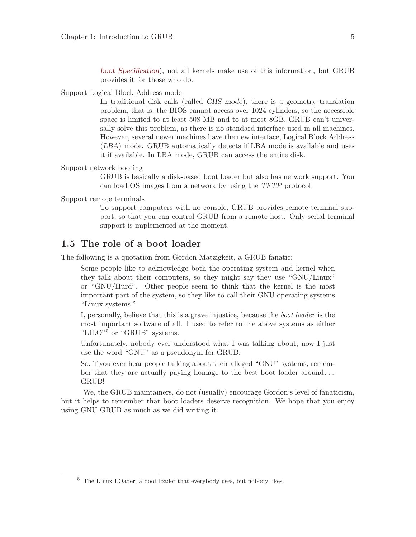boot Specification), not all kernels make use of this information, but GRUB provides it for those who do.

<span id="page-14-0"></span>Support Logical Block Address mode

In traditional disk calls (called CHS mode), there is a geometry translation problem, that is, the BIOS cannot access over 1024 cylinders, so the accessible space is limited to at least 508 MB and to at most 8GB. GRUB can't universally solve this problem, as there is no standard interface used in all machines. However, several newer machines have the new interface, Logical Block Address (LBA) mode. GRUB automatically detects if LBA mode is available and uses it if available. In LBA mode, GRUB can access the entire disk.

Support network booting

GRUB is basically a disk-based boot loader but also has network support. You can load OS images from a network by using the TFTP protocol.

Support remote terminals

To support computers with no console, GRUB provides remote terminal support, so that you can control GRUB from a remote host. Only serial terminal support is implemented at the moment.

## 1.5 The role of a boot loader

The following is a quotation from Gordon Matzigkeit, a GRUB fanatic:

Some people like to acknowledge both the operating system and kernel when they talk about their computers, so they might say they use "GNU/Linux" or "GNU/Hurd". Other people seem to think that the kernel is the most important part of the system, so they like to call their GNU operating systems "Linux systems."

I, personally, believe that this is a grave injustice, because the boot loader is the most important software of all. I used to refer to the above systems as either "LILO"<sup>5</sup> or "GRUB" systems.

Unfortunately, nobody ever understood what I was talking about; now I just use the word "GNU" as a pseudonym for GRUB.

So, if you ever hear people talking about their alleged "GNU" systems, remember that they are actually paying homage to the best boot loader around. . . GRUB!

We, the GRUB maintainers, do not (usually) encourage Gordon's level of fanaticism, but it helps to remember that boot loaders deserve recognition. We hope that you enjoy using GNU GRUB as much as we did writing it.

<sup>5</sup> The LInux LOader, a boot loader that everybody uses, but nobody likes.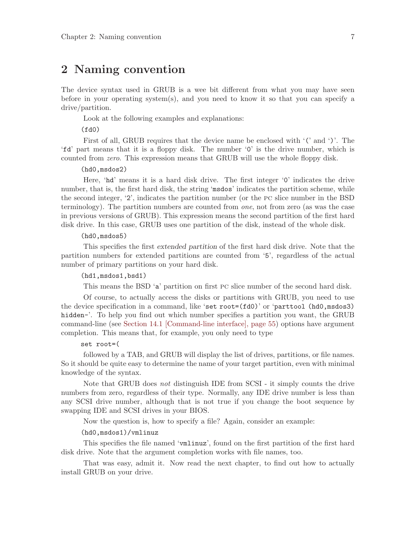## <span id="page-16-0"></span>2 Naming convention

The device syntax used in GRUB is a wee bit different from what you may have seen before in your operating system(s), and you need to know it so that you can specify a drive/partition.

Look at the following examples and explanations:

 $(fd0)$ 

First of all, GRUB requires that the device name be enclosed with '(' and ')'. The 'fd' part means that it is a floppy disk. The number '0' is the drive number, which is counted from zero. This expression means that GRUB will use the whole floppy disk.

#### (hd0,msdos2)

Here, 'hd' means it is a hard disk drive. The first integer '0' indicates the drive number, that is, the first hard disk, the string 'msdos' indicates the partition scheme, while the second integer, '2', indicates the partition number (or the pc slice number in the BSD terminology). The partition numbers are counted from one, not from zero (as was the case in previous versions of GRUB). This expression means the second partition of the first hard disk drive. In this case, GRUB uses one partition of the disk, instead of the whole disk.

#### (hd0,msdos5)

This specifies the first extended partition of the first hard disk drive. Note that the partition numbers for extended partitions are counted from '5', regardless of the actual number of primary partitions on your hard disk.

#### (hd1,msdos1,bsd1)

This means the BSD 'a' partition on first pc slice number of the second hard disk.

Of course, to actually access the disks or partitions with GRUB, you need to use the device specification in a command, like 'set root=(fd0)' or 'parttool (hd0,msdos3) hidden-'. To help you find out which number specifies a partition you want, the GRUB command-line (see [Section 14.1 \[Command-line interface\], page 55\)](#page-64-1) options have argument completion. This means that, for example, you only need to type

#### set root=(

followed by a TAB, and GRUB will display the list of drives, partitions, or file names. So it should be quite easy to determine the name of your target partition, even with minimal knowledge of the syntax.

Note that GRUB does not distinguish IDE from SCSI - it simply counts the drive numbers from zero, regardless of their type. Normally, any IDE drive number is less than any SCSI drive number, although that is not true if you change the boot sequence by swapping IDE and SCSI drives in your BIOS.

Now the question is, how to specify a file? Again, consider an example:

#### (hd0,msdos1)/vmlinuz

This specifies the file named 'vmlinuz', found on the first partition of the first hard disk drive. Note that the argument completion works with file names, too.

That was easy, admit it. Now read the next chapter, to find out how to actually install GRUB on your drive.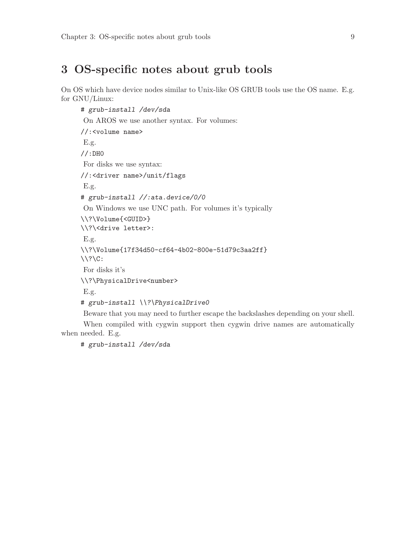## <span id="page-18-0"></span>3 OS-specific notes about grub tools

On OS which have device nodes similar to Unix-like OS GRUB tools use the OS name. E.g. for GNU/Linux:

```
# grub-install /dev/sda
On AROS we use another syntax. For volumes:
//:<volume name>
E.g.
//:DH0
For disks we use syntax:
//:<driver name>/unit/flags
E.g.
# grub-install //:ata.device/0/0
On Windows we use UNC path. For volumes it's typically
\\?\Volume{<GUID>}
\\?\<drive letter>:
E.g.
\\?\Volume{17f34d50-cf64-4b02-800e-51d79c3aa2ff}
\setminus ? \setminus C:
For disks it's
\\?\PhysicalDrive<number>
E.g.
# grub-install \\?\PhysicalDrive0
Beware that you may need to further escape the backslashes depending on your shell.
```
When compiled with cygwin support then cygwin drive names are automatically when needed. E.g.

# grub-install /dev/sda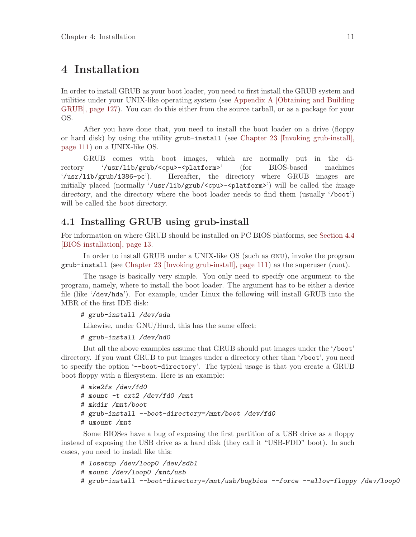## <span id="page-20-0"></span>4 Installation

In order to install GRUB as your boot loader, you need to first install the GRUB system and utilities under your UNIX-like operating system (see [Appendix A \[Obtaining and Building](#page-136-0) [GRUB\], page 127](#page-136-0)). You can do this either from the source tarball, or as a package for your OS.

After you have done that, you need to install the boot loader on a drive (floppy or hard disk) by using the utility grub-install (see [Chapter 23 \[Invoking grub-install\],](#page-120-0) [page 111\)](#page-120-0) on a UNIX-like OS.

GRUB comes with boot images, which are normally put in the directory '/usr/lib/grub/<cpu>-<platform>' (for BIOS-based machines '/usr/lib/grub/i386-pc'). Hereafter, the directory where GRUB images are initially placed (normally '/usr/lib/grub/<cpu>-<platform>') will be called the *image* directory, and the directory where the boot loader needs to find them (usually '/boot') will be called the boot directory.

## 4.1 Installing GRUB using grub-install

For information on where GRUB should be installed on PC BIOS platforms, see [Section 4.4](#page-22-1) [\[BIOS installation\], page 13](#page-22-1).

In order to install GRUB under a UNIX-like OS (such as gnu), invoke the program grub-install (see [Chapter 23 \[Invoking grub-install\], page 111\)](#page-120-0) as the superuser (root).

The usage is basically very simple. You only need to specify one argument to the program, namely, where to install the boot loader. The argument has to be either a device file (like '/dev/hda'). For example, under Linux the following will install GRUB into the MBR of the first IDE disk:

```
# grub-install /dev/sda
```
Likewise, under GNU/Hurd, this has the same effect:

```
# grub-install /dev/hd0
```
But all the above examples assume that GRUB should put images under the '/boot' directory. If you want GRUB to put images under a directory other than '/boot', you need to specify the option '--boot-directory'. The typical usage is that you create a GRUB boot floppy with a filesystem. Here is an example:

```
# mke2fs /dev/fd0
# mount -t ext2 /dev/fd0 /mnt
# mkdir /mnt/boot
# grub-install --boot-directory=/mnt/boot /dev/fd0
# umount /mnt
```
Some BIOSes have a bug of exposing the first partition of a USB drive as a floppy instead of exposing the USB drive as a hard disk (they call it "USB-FDD" boot). In such cases, you need to install like this:

# losetup /dev/loop0 /dev/sdb1

- # mount /dev/loop0 /mnt/usb
- # grub-install --boot-directory=/mnt/usb/bugbios --force --allow-floppy /dev/loop0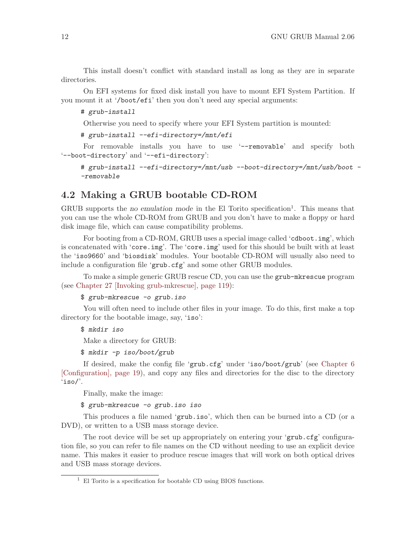<span id="page-21-0"></span>This install doesn't conflict with standard install as long as they are in separate directories.

On EFI systems for fixed disk install you have to mount EFI System Partition. If you mount it at '/boot/efi' then you don't need any special arguments:

#### # grub-install

Otherwise you need to specify where your EFI System partition is mounted:

```
# grub-install --efi-directory=/mnt/efi
```
For removable installs you have to use '--removable' and specify both '--boot-directory' and '--efi-directory':

```
# grub-install --efi-directory=/mnt/usb --boot-directory=/mnt/usb/boot -
-removable
```
## 4.2 Making a GRUB bootable CD-ROM

GRUB supports the *no emulation mode* in the El Torito specification<sup>1</sup>. This means that you can use the whole CD-ROM from GRUB and you don't have to make a floppy or hard disk image file, which can cause compatibility problems.

For booting from a CD-ROM, GRUB uses a special image called 'cdboot.img', which is concatenated with 'core.img'. The 'core.img' used for this should be built with at least the 'iso9660' and 'biosdisk' modules. Your bootable CD-ROM will usually also need to include a configuration file 'grub.cfg' and some other GRUB modules.

To make a simple generic GRUB rescue CD, you can use the grub-mkrescue program (see [Chapter 27 \[Invoking grub-mkrescue\], page 119](#page-128-0)):

```
$ grub-mkrescue -o grub.iso
```
You will often need to include other files in your image. To do this, first make a top directory for the bootable image, say, 'iso':

\$ mkdir iso

Make a directory for GRUB:

\$ mkdir -p iso/boot/grub

If desired, make the config file 'grub.cfg' under 'iso/boot/grub' (see [Chapter 6](#page-28-0) [\[Configuration\], page 19](#page-28-0)), and copy any files and directories for the disc to the directory 'iso/'.

Finally, make the image:

\$ grub-mkrescue -o grub.iso iso

This produces a file named 'grub.iso', which then can be burned into a CD (or a DVD), or written to a USB mass storage device.

The root device will be set up appropriately on entering your 'grub.cfg' configuration file, so you can refer to file names on the CD without needing to use an explicit device name. This makes it easier to produce rescue images that will work on both optical drives and USB mass storage devices.

 $^{\rm 1}$  El Torito is a specification for bootable CD using BIOS functions.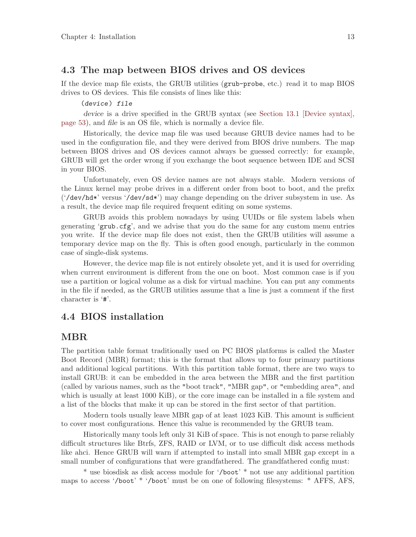## <span id="page-22-0"></span>4.3 The map between BIOS drives and OS devices

If the device map file exists, the GRUB utilities (grub-probe, etc.) read it to map BIOS drives to OS devices. This file consists of lines like this:

#### (device) file

device is a drive specified in the GRUB syntax (see [Section 13.1 \[Device syntax\],](#page-62-1) [page 53](#page-62-1)), and file is an OS file, which is normally a device file.

Historically, the device map file was used because GRUB device names had to be used in the configuration file, and they were derived from BIOS drive numbers. The map between BIOS drives and OS devices cannot always be guessed correctly: for example, GRUB will get the order wrong if you exchange the boot sequence between IDE and SCSI in your BIOS.

Unfortunately, even OS device names are not always stable. Modern versions of the Linux kernel may probe drives in a different order from boot to boot, and the prefix ('/dev/hd\*' versus '/dev/sd\*') may change depending on the driver subsystem in use. As a result, the device map file required frequent editing on some systems.

GRUB avoids this problem nowadays by using UUIDs or file system labels when generating 'grub.cfg', and we advise that you do the same for any custom menu entries you write. If the device map file does not exist, then the GRUB utilities will assume a temporary device map on the fly. This is often good enough, particularly in the common case of single-disk systems.

However, the device map file is not entirely obsolete yet, and it is used for overriding when current environment is different from the one on boot. Most common case is if you use a partition or logical volume as a disk for virtual machine. You can put any comments in the file if needed, as the GRUB utilities assume that a line is just a comment if the first character is '#'.

## <span id="page-22-1"></span>4.4 BIOS installation

## MBR

The partition table format traditionally used on PC BIOS platforms is called the Master Boot Record (MBR) format; this is the format that allows up to four primary partitions and additional logical partitions. With this partition table format, there are two ways to install GRUB: it can be embedded in the area between the MBR and the first partition (called by various names, such as the "boot track", "MBR gap", or "embedding area", and which is usually at least 1000 KiB), or the core image can be installed in a file system and a list of the blocks that make it up can be stored in the first sector of that partition.

Modern tools usually leave MBR gap of at least 1023 KiB. This amount is sufficient to cover most configurations. Hence this value is recommended by the GRUB team.

Historically many tools left only 31 KiB of space. This is not enough to parse reliably difficult structures like Btrfs, ZFS, RAID or LVM, or to use difficult disk access methods like ahci. Hence GRUB will warn if attempted to install into small MBR gap except in a small number of configurations that were grandfathered. The grandfathered config must:

\* use biosdisk as disk access module for '/boot' \* not use any additional partition maps to access '/boot' \* '/boot' must be on one of following filesystems: \* AFFS, AFS,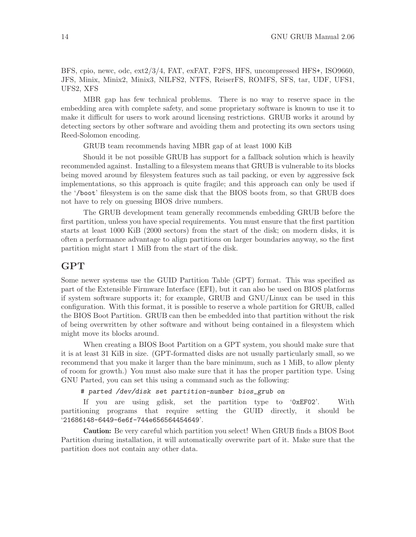BFS, cpio, newc, odc, ext2/3/4, FAT, exFAT, F2FS, HFS, uncompressed HFS+, ISO9660, JFS, Minix, Minix2, Minix3, NILFS2, NTFS, ReiserFS, ROMFS, SFS, tar, UDF, UFS1, UFS2, XFS

MBR gap has few technical problems. There is no way to reserve space in the embedding area with complete safety, and some proprietary software is known to use it to make it difficult for users to work around licensing restrictions. GRUB works it around by detecting sectors by other software and avoiding them and protecting its own sectors using Reed-Solomon encoding.

GRUB team recommends having MBR gap of at least 1000 KiB

Should it be not possible GRUB has support for a fallback solution which is heavily recommended against. Installing to a filesystem means that GRUB is vulnerable to its blocks being moved around by filesystem features such as tail packing, or even by aggressive fsck implementations, so this approach is quite fragile; and this approach can only be used if the '/boot' filesystem is on the same disk that the BIOS boots from, so that GRUB does not have to rely on guessing BIOS drive numbers.

The GRUB development team generally recommends embedding GRUB before the first partition, unless you have special requirements. You must ensure that the first partition starts at least 1000 KiB (2000 sectors) from the start of the disk; on modern disks, it is often a performance advantage to align partitions on larger boundaries anyway, so the first partition might start 1 MiB from the start of the disk.

## GPT

Some newer systems use the GUID Partition Table (GPT) format. This was specified as part of the Extensible Firmware Interface (EFI), but it can also be used on BIOS platforms if system software supports it; for example, GRUB and GNU/Linux can be used in this configuration. With this format, it is possible to reserve a whole partition for GRUB, called the BIOS Boot Partition. GRUB can then be embedded into that partition without the risk of being overwritten by other software and without being contained in a filesystem which might move its blocks around.

When creating a BIOS Boot Partition on a GPT system, you should make sure that it is at least 31 KiB in size. (GPT-formatted disks are not usually particularly small, so we recommend that you make it larger than the bare minimum, such as 1 MiB, to allow plenty of room for growth.) You must also make sure that it has the proper partition type. Using GNU Parted, you can set this using a command such as the following:

# parted /dev/disk set partition-number bios\_grub on

If you are using gdisk, set the partition type to '0xEF02'. With partitioning programs that require setting the GUID directly, it should be '21686148-6449-6e6f-744e656564454649'.

Caution: Be very careful which partition you select! When GRUB finds a BIOS Boot Partition during installation, it will automatically overwrite part of it. Make sure that the partition does not contain any other data.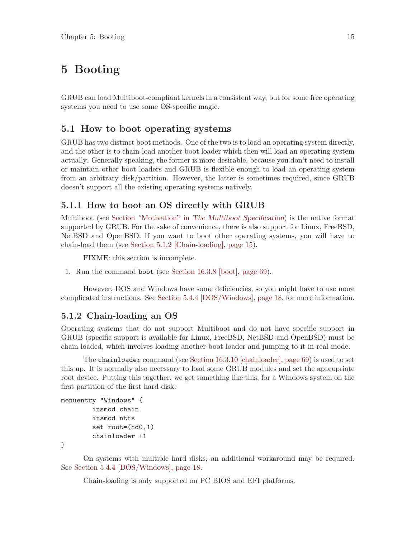## <span id="page-24-0"></span>5 Booting

GRUB can load Multiboot-compliant kernels in a consistent way, but for some free operating systems you need to use some OS-specific magic.

## 5.1 How to boot operating systems

GRUB has two distinct boot methods. One of the two is to load an operating system directly, and the other is to chain-load another boot loader which then will load an operating system actually. Generally speaking, the former is more desirable, because you don't need to install or maintain other boot loaders and GRUB is flexible enough to load an operating system from an arbitrary disk/partition. However, the latter is sometimes required, since GRUB doesn't support all the existing operating systems natively.

## 5.1.1 How to boot an OS directly with GRUB

Multiboot (see Section "Motivation" in The Multiboot Specification) is the native format supported by GRUB. For the sake of convenience, there is also support for Linux, FreeBSD, NetBSD and OpenBSD. If you want to boot other operating systems, you will have to chain-load them (see [Section 5.1.2 \[Chain-loading\], page 15](#page-24-1)).

FIXME: this section is incomplete.

1. Run the command boot (see [Section 16.3.8 \[boot\], page 69\)](#page-78-1).

However, DOS and Windows have some deficiencies, so you might have to use more complicated instructions. See [Section 5.4.4 \[DOS/Windows\], page 18,](#page-27-1) for more information.

### <span id="page-24-1"></span>5.1.2 Chain-loading an OS

Operating systems that do not support Multiboot and do not have specific support in GRUB (specific support is available for Linux, FreeBSD, NetBSD and OpenBSD) must be chain-loaded, which involves loading another boot loader and jumping to it in real mode.

The chainloader command (see [Section 16.3.10 \[chainloader\], page 69](#page-78-2)) is used to set this up. It is normally also necessary to load some GRUB modules and set the appropriate root device. Putting this together, we get something like this, for a Windows system on the first partition of the first hard disk:

```
menuentry "Windows" {
        insmod chain
        insmod ntfs
        set root=(hd0,1)
        chainloader +1
```
}

On systems with multiple hard disks, an additional workaround may be required. See [Section 5.4.4 \[DOS/Windows\], page 18.](#page-27-1)

Chain-loading is only supported on PC BIOS and EFI platforms.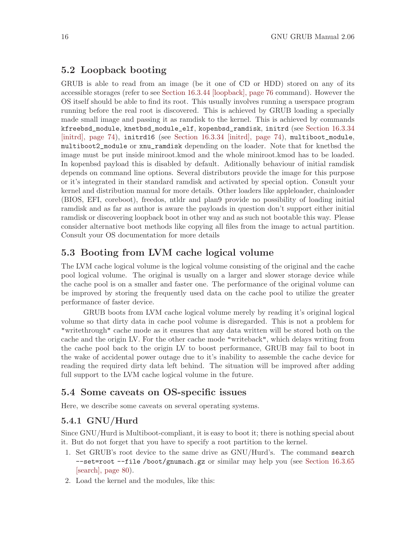## <span id="page-25-0"></span>5.2 Loopback booting

GRUB is able to read from an image (be it one of CD or HDD) stored on any of its accessible storages (refer to see [Section 16.3.44 \[loopback\], page 76](#page-85-1) command). However the OS itself should be able to find its root. This usually involves running a userspace program running before the real root is discovered. This is achieved by GRUB loading a specially made small image and passing it as ramdisk to the kernel. This is achieved by commands kfreebsd\_module, knetbsd\_module\_elf, kopenbsd\_ramdisk, initrd (see [Section 16.3.34](#page-83-1) [\[initrd\], page 74](#page-83-1)), initrd16 (see [Section 16.3.34 \[initrd\], page 74](#page-83-1)), multiboot\_module, multiboot2\_module or xnu\_ramdisk depending on the loader. Note that for knetbsd the image must be put inside miniroot.kmod and the whole miniroot.kmod has to be loaded. In kopenbsd payload this is disabled by default. Aditionally behaviour of initial ramdisk depends on command line options. Several distributors provide the image for this purpose or it's integrated in their standard ramdisk and activated by special option. Consult your kernel and distribution manual for more details. Other loaders like appleloader, chainloader (BIOS, EFI, coreboot), freedos, ntldr and plan9 provide no possibility of loading initial ramdisk and as far as author is aware the payloads in question don't support either initial ramdisk or discovering loopback boot in other way and as such not bootable this way. Please consider alternative boot methods like copying all files from the image to actual partition. Consult your OS documentation for more details

## 5.3 Booting from LVM cache logical volume

The LVM cache logical volume is the logical volume consisting of the original and the cache pool logical volume. The original is usually on a larger and slower storage device while the cache pool is on a smaller and faster one. The performance of the original volume can be improved by storing the frequently used data on the cache pool to utilize the greater performance of faster device.

GRUB boots from LVM cache logical volume merely by reading it's original logical volume so that dirty data in cache pool volume is disregarded. This is not a problem for "writethrough" cache mode as it ensures that any data written will be stored both on the cache and the origin LV. For the other cache mode "writeback", which delays writing from the cache pool back to the origin LV to boost performance, GRUB may fail to boot in the wake of accidental power outage due to it's inability to assemble the cache device for reading the required dirty data left behind. The situation will be improved after adding full support to the LVM cache logical volume in the future.

## 5.4 Some caveats on OS-specific issues

Here, we describe some caveats on several operating systems.

### 5.4.1 GNU/Hurd

Since GNU/Hurd is Multiboot-compliant, it is easy to boot it; there is nothing special about it. But do not forget that you have to specify a root partition to the kernel.

- 1. Set GRUB's root device to the same drive as GNU/Hurd's. The command search --set=root --file /boot/gnumach.gz or similar may help you (see [Section 16.3.65](#page-89-1) [\[search\], page 80](#page-89-1)).
- 2. Load the kernel and the modules, like this: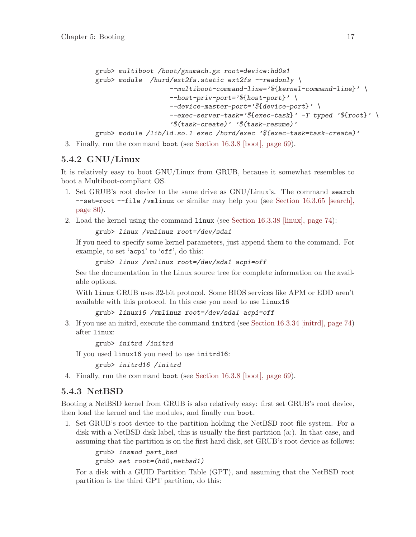```
grub> multiboot /boot/gnumach.gz root=device:hd0s1
grub> module /hurd/ext2fs.static ext2fs --readonly \
                   --multiboot-command-line='${kernel-command-line}' \
                   --host-priv-port='${host-port}' \
                   --device-master-port='${device-port}' \
                   --exec-server-task='${exec-task}' -T typed '${root}' \
                   '$(task-create)' '$(task-resume)'
```
grub> module /lib/ld.so.1 exec /hurd/exec '\$(exec-task=task-create)'

3. Finally, run the command boot (see [Section 16.3.8 \[boot\], page 69](#page-78-1)).

## 5.4.2 GNU/Linux

It is relatively easy to boot GNU/Linux from GRUB, because it somewhat resembles to boot a Multiboot-compliant OS.

- 1. Set GRUB's root device to the same drive as GNU/Linux's. The command search --set=root --file /vmlinuz or similar may help you (see [Section 16.3.65 \[search\],](#page-89-1) [page 80\)](#page-89-1).
- 2. Load the kernel using the command linux (see [Section 16.3.38 \[linux\], page 74](#page-83-2)):

grub> linux /vmlinuz root=/dev/sda1

If you need to specify some kernel parameters, just append them to the command. For example, to set 'acpi' to 'off', do this:

```
grub> linux /vmlinuz root=/dev/sda1 acpi=off
```
See the documentation in the Linux source tree for complete information on the available options.

With linux GRUB uses 32-bit protocol. Some BIOS services like APM or EDD aren't available with this protocol. In this case you need to use linux16

```
grub> linux16 /vmlinuz root=/dev/sda1 acpi=off
```
3. If you use an initrd, execute the command initrd (see [Section 16.3.34 \[initrd\], page 74\)](#page-83-1) after linux:

grub> initrd /initrd

If you used linux16 you need to use initrd16:

grub> initrd16 /initrd

4. Finally, run the command boot (see [Section 16.3.8 \[boot\], page 69](#page-78-1)).

## 5.4.3 NetBSD

Booting a NetBSD kernel from GRUB is also relatively easy: first set GRUB's root device, then load the kernel and the modules, and finally run boot.

1. Set GRUB's root device to the partition holding the NetBSD root file system. For a disk with a NetBSD disk label, this is usually the first partition (a:). In that case, and assuming that the partition is on the first hard disk, set GRUB's root device as follows:

```
grub> insmod part_bsd
grub> set root=(hd0,netbsd1)
```
For a disk with a GUID Partition Table (GPT), and assuming that the NetBSD root partition is the third GPT partition, do this: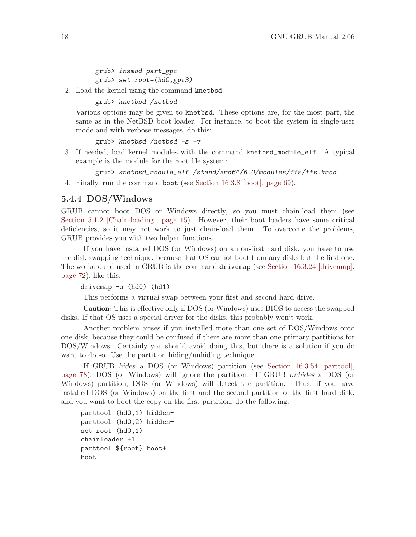<span id="page-27-0"></span>grub> insmod part\_gpt grub> set root=(hd0,gpt3)

2. Load the kernel using the command knetbsd:

grub> knetbsd /netbsd

Various options may be given to knetbsd. These options are, for the most part, the same as in the NetBSD boot loader. For instance, to boot the system in single-user mode and with verbose messages, do this:

grub> knetbsd /netbsd -s -v

3. If needed, load kernel modules with the command knetbsd\_module\_elf. A typical example is the module for the root file system:

grub> knetbsd\_module\_elf /stand/amd64/6.0/modules/ffs/ffs.kmod

4. Finally, run the command boot (see [Section 16.3.8 \[boot\], page 69](#page-78-1)).

#### <span id="page-27-1"></span>5.4.4 DOS/Windows

GRUB cannot boot DOS or Windows directly, so you must chain-load them (see [Section 5.1.2 \[Chain-loading\], page 15\)](#page-24-1). However, their boot loaders have some critical deficiencies, so it may not work to just chain-load them. To overcome the problems, GRUB provides you with two helper functions.

If you have installed DOS (or Windows) on a non-first hard disk, you have to use the disk swapping technique, because that OS cannot boot from any disks but the first one. The workaround used in GRUB is the command drivemap (see [Section 16.3.24 \[drivemap\],](#page-81-0) [page 72](#page-81-0)), like this:

```
drivemap -s (hd0) (hd1)
```
This performs a virtual swap between your first and second hard drive.

Caution: This is effective only if DOS (or Windows) uses BIOS to access the swapped disks. If that OS uses a special driver for the disks, this probably won't work.

Another problem arises if you installed more than one set of DOS/Windows onto one disk, because they could be confused if there are more than one primary partitions for DOS/Windows. Certainly you should avoid doing this, but there is a solution if you do want to do so. Use the partition hiding/unhiding technique.

If GRUB hides a DOS (or Windows) partition (see [Section 16.3.54 \[parttool\],](#page-87-1) [page 78](#page-87-1)), DOS (or Windows) will ignore the partition. If GRUB unhides a DOS (or Windows) partition, DOS (or Windows) will detect the partition. Thus, if you have installed DOS (or Windows) on the first and the second partition of the first hard disk, and you want to boot the copy on the first partition, do the following:

```
parttool (hd0,1) hidden-
parttool (hd0,2) hidden+
set root=(hd0,1)
chainloader +1
parttool ${root} boot+
boot
```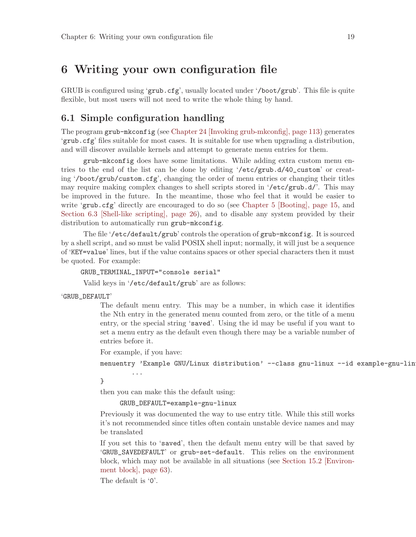## <span id="page-28-0"></span>6 Writing your own configuration file

GRUB is configured using 'grub.cfg', usually located under '/boot/grub'. This file is quite flexible, but most users will not need to write the whole thing by hand.

## <span id="page-28-1"></span>6.1 Simple configuration handling

The program grub-mkconfig (see [Chapter 24 \[Invoking grub-mkconfig\], page 113\)](#page-122-0) generates 'grub.cfg' files suitable for most cases. It is suitable for use when upgrading a distribution, and will discover available kernels and attempt to generate menu entries for them.

grub-mkconfig does have some limitations. While adding extra custom menu entries to the end of the list can be done by editing '/etc/grub.d/40\_custom' or creating '/boot/grub/custom.cfg', changing the order of menu entries or changing their titles may require making complex changes to shell scripts stored in '/etc/grub.d/'. This may be improved in the future. In the meantime, those who feel that it would be easier to write 'grub.cfg' directly are encouraged to do so (see [Chapter 5 \[Booting\], page 15](#page-24-0), and [Section 6.3 \[Shell-like scripting\], page 26\)](#page-35-0), and to disable any system provided by their distribution to automatically run grub-mkconfig.

The file '/etc/default/grub' controls the operation of grub-mkconfig. It is sourced by a shell script, and so must be valid POSIX shell input; normally, it will just be a sequence of 'KEY=value' lines, but if the value contains spaces or other special characters then it must be quoted. For example:

GRUB\_TERMINAL\_INPUT="console serial"

Valid keys in '/etc/default/grub' are as follows:

'GRUB\_DEFAULT'

The default menu entry. This may be a number, in which case it identifies the Nth entry in the generated menu counted from zero, or the title of a menu entry, or the special string 'saved'. Using the id may be useful if you want to set a menu entry as the default even though there may be a variable number of entries before it.

For example, if you have:

...

menuentry 'Example GNU/Linux distribution' --class gnu-linux --id example-gnu-lin

}

then you can make this the default using:

```
GRUB_DEFAULT=example-gnu-linux
```
Previously it was documented the way to use entry title. While this still works it's not recommended since titles often contain unstable device names and may be translated

If you set this to 'saved', then the default menu entry will be that saved by 'GRUB\_SAVEDEFAULT' or grub-set-default. This relies on the environment block, which may not be available in all situations (see [Section 15.2 \[Environ](#page-72-1)[ment block\], page 63](#page-72-1)).

The default is '0'.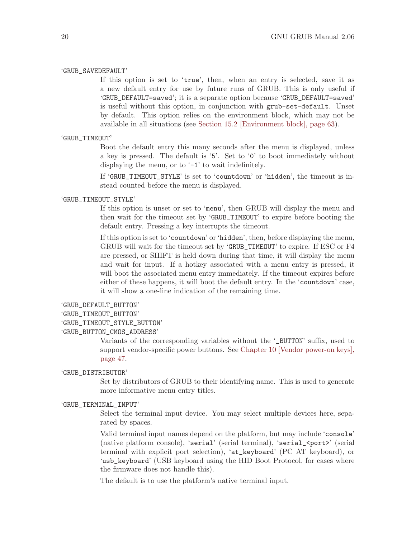#### 'GRUB\_SAVEDEFAULT'

If this option is set to 'true', then, when an entry is selected, save it as a new default entry for use by future runs of GRUB. This is only useful if 'GRUB\_DEFAULT=saved'; it is a separate option because 'GRUB\_DEFAULT=saved' is useful without this option, in conjunction with grub-set-default. Unset by default. This option relies on the environment block, which may not be available in all situations (see [Section 15.2 \[Environment block\], page 63\)](#page-72-1).

#### 'GRUB\_TIMEOUT'

Boot the default entry this many seconds after the menu is displayed, unless a key is pressed. The default is '5'. Set to '0' to boot immediately without displaying the menu, or to '-1' to wait indefinitely.

If 'GRUB\_TIMEOUT\_STYLE' is set to 'countdown' or 'hidden', the timeout is instead counted before the menu is displayed.

#### 'GRUB\_TIMEOUT\_STYLE'

If this option is unset or set to 'menu', then GRUB will display the menu and then wait for the timeout set by 'GRUB\_TIMEOUT' to expire before booting the default entry. Pressing a key interrupts the timeout.

If this option is set to 'countdown' or 'hidden', then, before displaying the menu, GRUB will wait for the timeout set by 'GRUB\_TIMEOUT' to expire. If ESC or F4 are pressed, or SHIFT is held down during that time, it will display the menu and wait for input. If a hotkey associated with a menu entry is pressed, it will boot the associated menu entry immediately. If the timeout expires before either of these happens, it will boot the default entry. In the 'countdown' case, it will show a one-line indication of the remaining time.

#### 'GRUB\_DEFAULT\_BUTTON'

#### 'GRUB\_TIMEOUT\_BUTTON'

'GRUB\_TIMEOUT\_STYLE\_BUTTON'

#### 'GRUB\_BUTTON\_CMOS\_ADDRESS'

Variants of the corresponding variables without the '\_BUTTON' suffix, used to support vendor-specific power buttons. See [Chapter 10 \[Vendor power-on keys\],](#page-56-0) [page 47.](#page-56-0)

#### 'GRUB\_DISTRIBUTOR'

Set by distributors of GRUB to their identifying name. This is used to generate more informative menu entry titles.

#### 'GRUB\_TERMINAL\_INPUT'

Select the terminal input device. You may select multiple devices here, separated by spaces.

Valid terminal input names depend on the platform, but may include 'console' (native platform console), 'serial' (serial terminal), 'serial\_<port>' (serial terminal with explicit port selection), 'at\_keyboard' (PC AT keyboard), or 'usb\_keyboard' (USB keyboard using the HID Boot Protocol, for cases where the firmware does not handle this).

The default is to use the platform's native terminal input.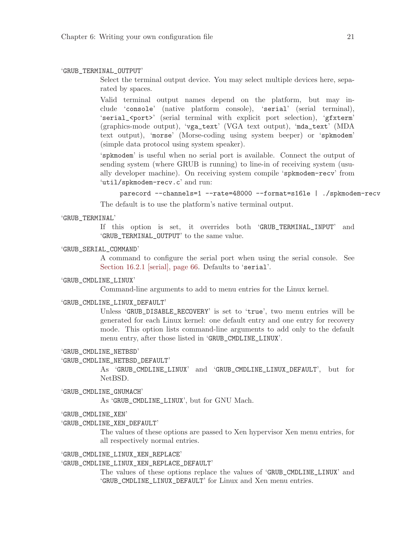#### 'GRUB\_TERMINAL\_OUTPUT'

Select the terminal output device. You may select multiple devices here, separated by spaces.

Valid terminal output names depend on the platform, but may include 'console' (native platform console), 'serial' (serial terminal), 'serial\_<port>' (serial terminal with explicit port selection), 'gfxterm' (graphics-mode output), 'vga\_text' (VGA text output), 'mda\_text' (MDA text output), 'morse' (Morse-coding using system beeper) or 'spkmodem' (simple data protocol using system speaker).

'spkmodem' is useful when no serial port is available. Connect the output of sending system (where GRUB is running) to line-in of receiving system (usually developer machine). On receiving system compile 'spkmodem-recv' from 'util/spkmodem-recv.c' and run:

parecord --channels=1 --rate=48000 --format=s16le | ./spkmodem-recv

The default is to use the platform's native terminal output.

#### 'GRUB\_TERMINAL'

If this option is set, it overrides both 'GRUB\_TERMINAL\_INPUT' and 'GRUB\_TERMINAL\_OUTPUT' to the same value.

#### 'GRUB\_SERIAL\_COMMAND'

A command to configure the serial port when using the serial console. See [Section 16.2.1 \[serial\], page 66](#page-75-1). Defaults to 'serial'.

#### 'GRUB\_CMDLINE\_LINUX'

Command-line arguments to add to menu entries for the Linux kernel.

#### 'GRUB\_CMDLINE\_LINUX\_DEFAULT'

Unless 'GRUB\_DISABLE\_RECOVERY' is set to 'true', two menu entries will be generated for each Linux kernel: one default entry and one entry for recovery mode. This option lists command-line arguments to add only to the default menu entry, after those listed in 'GRUB\_CMDLINE\_LINUX'.

#### 'GRUB\_CMDLINE\_NETBSD'

#### 'GRUB\_CMDLINE\_NETBSD\_DEFAULT'

As 'GRUB\_CMDLINE\_LINUX' and 'GRUB\_CMDLINE\_LINUX\_DEFAULT', but for NetBSD.

#### 'GRUB\_CMDLINE\_GNUMACH'

As 'GRUB\_CMDLINE\_LINUX', but for GNU Mach.

- 'GRUB\_CMDLINE\_XEN'
- 'GRUB\_CMDLINE\_XEN\_DEFAULT'

The values of these options are passed to Xen hypervisor Xen menu entries, for all respectively normal entries.

#### 'GRUB\_CMDLINE\_LINUX\_XEN\_REPLACE'

'GRUB\_CMDLINE\_LINUX\_XEN\_REPLACE\_DEFAULT'

The values of these options replace the values of 'GRUB\_CMDLINE\_LINUX' and 'GRUB\_CMDLINE\_LINUX\_DEFAULT' for Linux and Xen menu entries.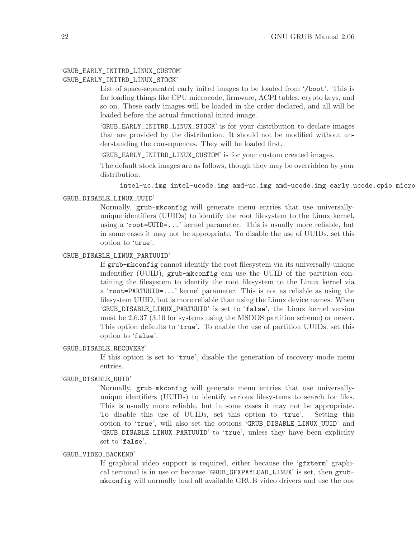### 'GRUB\_EARLY\_INITRD\_LINUX\_CUSTOM'

#### 'GRUB\_EARLY\_INITRD\_LINUX\_STOCK'

List of space-separated early initrd images to be loaded from '/boot'. This is for loading things like CPU microcode, firmware, ACPI tables, crypto keys, and so on. These early images will be loaded in the order declared, and all will be loaded before the actual functional initrd image.

'GRUB\_EARLY\_INITRD\_LINUX\_STOCK' is for your distribution to declare images that are provided by the distribution. It should not be modified without understanding the consequences. They will be loaded first.

'GRUB\_EARLY\_INITRD\_LINUX\_CUSTOM' is for your custom created images.

The default stock images are as follows, though they may be overridden by your distribution:

intel-uc.img intel-ucode.img amd-uc.img amd-ucode.img early\_ucode.cpio microcode.cpio

#### 'GRUB\_DISABLE\_LINUX\_UUID'

Normally, grub-mkconfig will generate menu entries that use universallyunique identifiers (UUIDs) to identify the root filesystem to the Linux kernel, using a 'root=UUID=...' kernel parameter. This is usually more reliable, but in some cases it may not be appropriate. To disable the use of UUIDs, set this option to 'true'.

#### 'GRUB\_DISABLE\_LINUX\_PARTUUID'

If grub-mkconfig cannot identify the root filesystem via its universally-unique indentifier (UUID), grub-mkconfig can use the UUID of the partition containing the filesystem to identify the root filesystem to the Linux kernel via a 'root=PARTUUID=...' kernel parameter. This is not as reliable as using the filesystem UUID, but is more reliable than using the Linux device names. When 'GRUB\_DISABLE\_LINUX\_PARTUUID' is set to 'false', the Linux kernel version must be 2.6.37 (3.10 for systems using the MSDOS partition scheme) or newer. This option defaults to 'true'. To enable the use of partition UUIDs, set this option to 'false'.

#### 'GRUB\_DISABLE\_RECOVERY'

If this option is set to 'true', disable the generation of recovery mode menu entries.

#### 'GRUB\_DISABLE\_UUID'

Normally, grub-mkconfig will generate menu entries that use universallyunique identifiers (UUIDs) to identify various filesystems to search for files. This is usually more reliable, but in some cases it may not be appropriate. To disable this use of UUIDs, set this option to 'true'. Setting this option to 'true', will also set the options 'GRUB\_DISABLE\_LINUX\_UUID' and 'GRUB\_DISABLE\_LINUX\_PARTUUID' to 'true', unless they have been explicilty set to 'false'.

#### 'GRUB\_VIDEO\_BACKEND'

If graphical video support is required, either because the 'gfxterm' graphical terminal is in use or because 'GRUB\_GFXPAYLOAD\_LINUX' is set, then grubmkconfig will normally load all available GRUB video drivers and use the one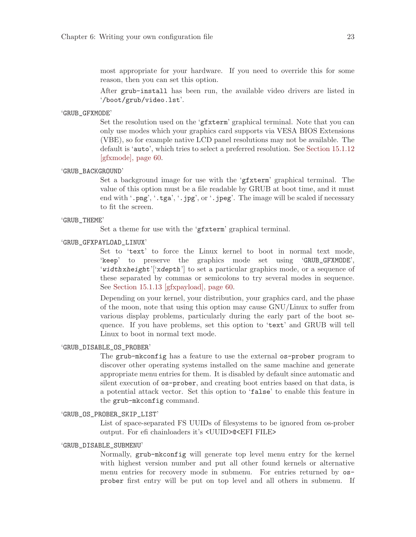most appropriate for your hardware. If you need to override this for some reason, then you can set this option.

After grub-install has been run, the available video drivers are listed in '/boot/grub/video.lst'.

#### 'GRUB\_GFXMODE'

Set the resolution used on the 'gfxterm' graphical terminal. Note that you can only use modes which your graphics card supports via VESA BIOS Extensions (VBE), so for example native LCD panel resolutions may not be available. The default is 'auto', which tries to select a preferred resolution. See [Section 15.1.12](#page-69-0) [\[gfxmode\], page 60.](#page-69-0)

#### 'GRUB\_BACKGROUND'

Set a background image for use with the 'gfxterm' graphical terminal. The value of this option must be a file readable by GRUB at boot time, and it must end with '.png', '.tga', '.jpg', or '.jpeg'. The image will be scaled if necessary to fit the screen.

#### 'GRUB\_THEME'

Set a theme for use with the 'gfxterm' graphical terminal.

#### 'GRUB\_GFXPAYLOAD\_LINUX'

Set to 'text' to force the Linux kernel to boot in normal text mode, 'keep' to preserve the graphics mode set using 'GRUB\_GFXMODE', 'widthxheight'['xdepth'] to set a particular graphics mode, or a sequence of these separated by commas or semicolons to try several modes in sequence. See [Section 15.1.13 \[gfxpayload\], page 60.](#page-69-1)

Depending on your kernel, your distribution, your graphics card, and the phase of the moon, note that using this option may cause GNU/Linux to suffer from various display problems, particularly during the early part of the boot sequence. If you have problems, set this option to 'text' and GRUB will tell Linux to boot in normal text mode.

#### 'GRUB\_DISABLE\_OS\_PROBER'

The grub-mkconfig has a feature to use the external os-prober program to discover other operating systems installed on the same machine and generate appropriate menu entries for them. It is disabled by default since automatic and silent execution of os-prober, and creating boot entries based on that data, is a potential attack vector. Set this option to 'false' to enable this feature in the grub-mkconfig command.

#### 'GRUB\_OS\_PROBER\_SKIP\_LIST'

List of space-separated FS UUIDs of filesystems to be ignored from os-prober output. For efi chainloaders it's <UUID>@<EFI FILE>

#### 'GRUB\_DISABLE\_SUBMENU'

Normally, grub-mkconfig will generate top level menu entry for the kernel with highest version number and put all other found kernels or alternative menu entries for recovery mode in submenu. For entries returned by osprober first entry will be put on top level and all others in submenu. If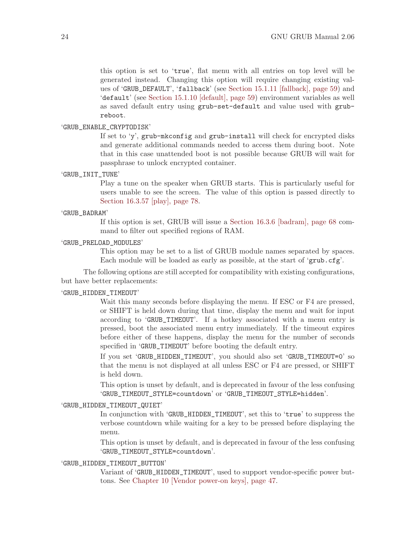this option is set to 'true', flat menu with all entries on top level will be generated instead. Changing this option will require changing existing values of 'GRUB\_DEFAULT', 'fallback' (see [Section 15.1.11 \[fallback\], page 59\)](#page-68-1) and 'default' (see [Section 15.1.10 \[default\], page 59](#page-68-2)) environment variables as well as saved default entry using grub-set-default and value used with grubreboot.

#### 'GRUB\_ENABLE\_CRYPTODISK'

If set to 'y', grub-mkconfig and grub-install will check for encrypted disks and generate additional commands needed to access them during boot. Note that in this case unattended boot is not possible because GRUB will wait for passphrase to unlock encrypted container.

#### 'GRUB\_INIT\_TUNE'

Play a tune on the speaker when GRUB starts. This is particularly useful for users unable to see the screen. The value of this option is passed directly to [Section 16.3.57 \[play\], page 78.](#page-87-2)

#### 'GRUB\_BADRAM'

If this option is set, GRUB will issue a [Section 16.3.6 \[badram\], page 68](#page-77-1) command to filter out specified regions of RAM.

#### 'GRUB\_PRELOAD\_MODULES'

This option may be set to a list of GRUB module names separated by spaces. Each module will be loaded as early as possible, at the start of 'grub.cfg'.

The following options are still accepted for compatibility with existing configurations, but have better replacements:

#### 'GRUB\_HIDDEN\_TIMEOUT'

Wait this many seconds before displaying the menu. If ESC or F4 are pressed, or SHIFT is held down during that time, display the menu and wait for input according to 'GRUB\_TIMEOUT'. If a hotkey associated with a menu entry is pressed, boot the associated menu entry immediately. If the timeout expires before either of these happens, display the menu for the number of seconds specified in 'GRUB\_TIMEOUT' before booting the default entry.

If you set 'GRUB\_HIDDEN\_TIMEOUT', you should also set 'GRUB\_TIMEOUT=0' so that the menu is not displayed at all unless ESC or F4 are pressed, or SHIFT is held down.

This option is unset by default, and is deprecated in favour of the less confusing 'GRUB\_TIMEOUT\_STYLE=countdown' or 'GRUB\_TIMEOUT\_STYLE=hidden'.

#### 'GRUB\_HIDDEN\_TIMEOUT\_QUIET'

In conjunction with 'GRUB\_HIDDEN\_TIMEOUT', set this to 'true' to suppress the verbose countdown while waiting for a key to be pressed before displaying the menu.

This option is unset by default, and is deprecated in favour of the less confusing 'GRUB\_TIMEOUT\_STYLE=countdown'.

#### 'GRUB\_HIDDEN\_TIMEOUT\_BUTTON'

Variant of 'GRUB\_HIDDEN\_TIMEOUT', used to support vendor-specific power buttons. See [Chapter 10 \[Vendor power-on keys\], page 47.](#page-56-0)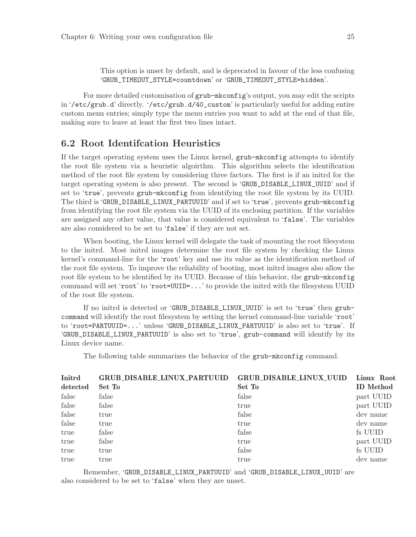<span id="page-34-0"></span>This option is unset by default, and is deprecated in favour of the less confusing 'GRUB\_TIMEOUT\_STYLE=countdown' or 'GRUB\_TIMEOUT\_STYLE=hidden'.

For more detailed customisation of grub-mkconfig's output, you may edit the scripts in '/etc/grub.d' directly. '/etc/grub.d/40\_custom' is particularly useful for adding entire custom menu entries; simply type the menu entries you want to add at the end of that file, making sure to leave at least the first two lines intact.

## 6.2 Root Identifcation Heuristics

If the target operating system uses the Linux kernel, grub-mkconfig attempts to identify the root file system via a heuristic algoirthm. This algorithm selects the identification method of the root file system by considering three factors. The first is if an initrd for the target operating system is also present. The second is 'GRUB\_DISABLE\_LINUX\_UUID' and if set to 'true', prevents grub-mkconfig from identifying the root file system by its UUID. The third is 'GRUB\_DISABLE\_LINUX\_PARTUUID' and if set to 'true', prevents grub-mkconfig from identifying the root file system via the UUID of its enclosing partition. If the variables are assigned any other value, that value is considered equivalent to 'false'. The variables are also considered to be set to 'false' if they are not set.

When booting, the Linux kernel will delegate the task of mounting the root filesystem to the initrd. Most initrd images determine the root file system by checking the Linux kernel's command-line for the 'root' key and use its value as the identification method of the root file system. To improve the reliability of booting, most initrd images also allow the root file system to be identified by its UUID. Because of this behavior, the grub-mkconfig command will set 'root' to 'root=UUID=...' to provide the initrd with the filesystem UUID of the root file system.

If no initrd is detected or 'GRUB\_DISABLE\_LINUX\_UUID' is set to 'true' then grubcommand will identify the root filesystem by setting the kernel command-line variable 'root' to 'root=PARTUUID=...' unless 'GRUB\_DISABLE\_LINUX\_PARTUUID' is also set to 'true'. If 'GRUB\_DISABLE\_LINUX\_PARTUUID' is also set to 'true', grub-command will identify by its Linux device name.

The following table summarizes the behavior of the grub-mkconfig command.

| Initrd   | <b>GRUB_DISABLE_LINUX_PARTUUID</b> | <b>GRUB_DISABLE_LINUX_UUID</b> | Linux Root       |
|----------|------------------------------------|--------------------------------|------------------|
| detected | Set To                             | Set To                         | <b>ID</b> Method |
| false    | false                              | false                          | part UUID        |
| false    | false                              | true                           | part UUID        |
| false    | true                               | false                          | dev name         |
| false    | true                               | true                           | dev name         |
| true     | false                              | false                          | fs UUID          |
| true     | false                              | true                           | part UUID        |
| true     | true                               | false                          | fs UUID          |
| true     | true                               | true                           | dev name         |

Remember, 'GRUB\_DISABLE\_LINUX\_PARTUUID' and 'GRUB\_DISABLE\_LINUX\_UUID' are also considered to be set to 'false' when they are unset.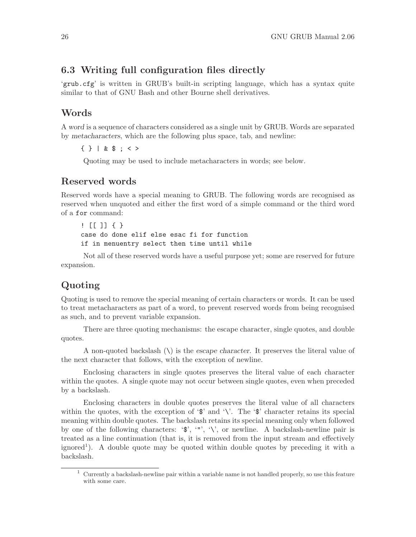## <span id="page-35-0"></span>6.3 Writing full configuration files directly

'grub.cfg' is written in GRUB's built-in scripting language, which has a syntax quite similar to that of GNU Bash and other Bourne shell derivatives.

## Words

A word is a sequence of characters considered as a single unit by GRUB. Words are separated by metacharacters, which are the following plus space, tab, and newline:

{ } | & \$ ; < >

Quoting may be used to include metacharacters in words; see below.

### Reserved words

Reserved words have a special meaning to GRUB. The following words are recognised as reserved when unquoted and either the first word of a simple command or the third word of a for command:

! [[ ]] { } case do done elif else esac fi for function if in menuentry select then time until while

Not all of these reserved words have a useful purpose yet; some are reserved for future expansion.

## Quoting

Quoting is used to remove the special meaning of certain characters or words. It can be used to treat metacharacters as part of a word, to prevent reserved words from being recognised as such, and to prevent variable expansion.

There are three quoting mechanisms: the escape character, single quotes, and double quotes.

A non-quoted backslash  $(\setminus)$  is the escape character. It preserves the literal value of the next character that follows, with the exception of newline.

Enclosing characters in single quotes preserves the literal value of each character within the quotes. A single quote may not occur between single quotes, even when preceded by a backslash.

Enclosing characters in double quotes preserves the literal value of all characters within the quotes, with the exception of  $\mathcal{F}$  and  $\setminus$ . The  $\mathcal{F}$  character retains its special meaning within double quotes. The backslash retains its special meaning only when followed by one of the following characters: ' $\mathcal{F}'$ , '"', '\', or newline. A backslash-newline pair is treated as a line continuation (that is, it is removed from the input stream and effectively ignored<sup>1</sup>). A double quote may be quoted within double quotes by preceding it with a backslash.

<sup>1</sup> Currently a backslash-newline pair within a variable name is not handled properly, so use this feature with some care.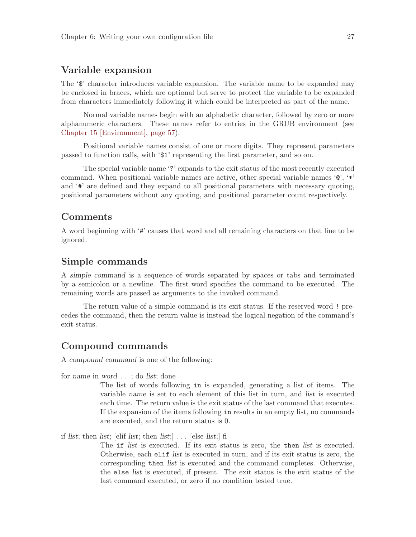# Variable expansion

The '\$' character introduces variable expansion. The variable name to be expanded may be enclosed in braces, which are optional but serve to protect the variable to be expanded from characters immediately following it which could be interpreted as part of the name.

Normal variable names begin with an alphabetic character, followed by zero or more alphanumeric characters. These names refer to entries in the GRUB environment (see [Chapter 15 \[Environment\], page 57\)](#page-66-0).

Positional variable names consist of one or more digits. They represent parameters passed to function calls, with '\$1' representing the first parameter, and so on.

The special variable name '?' expands to the exit status of the most recently executed command. When positional variable names are active, other special variable names '@', '\*' and '#' are defined and they expand to all positional parameters with necessary quoting, positional parameters without any quoting, and positional parameter count respectively.

## Comments

A word beginning with '#' causes that word and all remaining characters on that line to be ignored.

## Simple commands

A simple command is a sequence of words separated by spaces or tabs and terminated by a semicolon or a newline. The first word specifies the command to be executed. The remaining words are passed as arguments to the invoked command.

The return value of a simple command is its exit status. If the reserved word ! precedes the command, then the return value is instead the logical negation of the command's exit status.

# Compound commands

A compound command is one of the following:

for name in word . . .; do list; done

The list of words following in is expanded, generating a list of items. The variable name is set to each element of this list in turn, and list is executed each time. The return value is the exit status of the last command that executes. If the expansion of the items following in results in an empty list, no commands are executed, and the return status is 0.

if list; then list; [elif list; then list;]  $\ldots$  [else list;] fi

The if list is executed. If its exit status is zero, the then list is executed. Otherwise, each elif list is executed in turn, and if its exit status is zero, the corresponding then list is executed and the command completes. Otherwise, the else list is executed, if present. The exit status is the exit status of the last command executed, or zero if no condition tested true.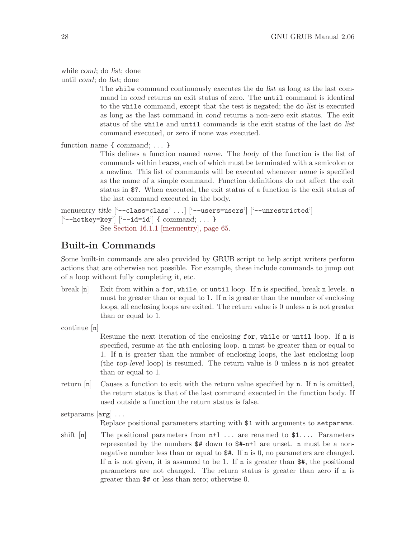```
while cond; do list; done
```
until cond; do list; done

The while command continuously executes the do list as long as the last command in cond returns an exit status of zero. The until command is identical to the while command, except that the test is negated; the do list is executed as long as the last command in cond returns a non-zero exit status. The exit status of the while and until commands is the exit status of the last do list command executed, or zero if none was executed.

```
function name { command; . . . }
```
This defines a function named name. The body of the function is the list of commands within braces, each of which must be terminated with a semicolon or a newline. This list of commands will be executed whenever name is specified as the name of a simple command. Function definitions do not affect the exit status in \$?. When executed, the exit status of a function is the exit status of the last command executed in the body.

```
menuentry title ['--class=class' ...] ['--users=users'] ['--unrestricted']
['--hotkey=key'] ['--id=id'] { command; ... }
           See Section 16.1.1 [menuentry], page 65.
```
# Built-in Commands

Some built-in commands are also provided by GRUB script to help script writers perform actions that are otherwise not possible. For example, these include commands to jump out of a loop without fully completing it, etc.

break  $[n]$  Exit from within a for, while, or untill loop. If n is specified, break n levels. n must be greater than or equal to 1. If n is greater than the number of enclosing loops, all enclosing loops are exited. The return value is 0 unless n is not greater than or equal to 1.

continue [n]

Resume the next iteration of the enclosing for, while or until loop. If n is specified, resume at the nth enclosing loop. n must be greater than or equal to 1. If n is greater than the number of enclosing loops, the last enclosing loop (the top-level loop) is resumed. The return value is 0 unless n is not greater than or equal to 1.

return  $[n]$  Causes a function to exit with the return value specified by n. If n is omitted, the return status is that of the last command executed in the function body. If used outside a function the return status is false.

setparams [arg] . . .

Replace positional parameters starting with \$1 with arguments to setparams.

shift  $[n]$  The positional parameters from  $n+1$ ... are renamed to \$1.... Parameters represented by the numbers  $#$  down to  $#$ -n+1 are unset. n must be a nonnegative number less than or equal to \$#. If n is 0, no parameters are changed. If  $n$  is not given, it is assumed to be 1. If  $n$  is greater than  $\frac{4}{n}$ , the positional parameters are not changed. The return status is greater than zero if n is greater than \$# or less than zero; otherwise 0.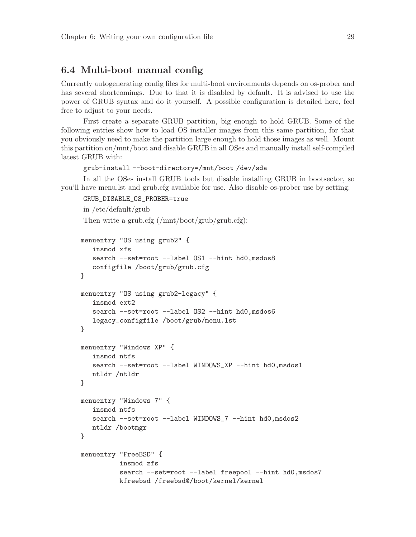# 6.4 Multi-boot manual config

Currently autogenerating config files for multi-boot environments depends on os-prober and has several shortcomings. Due to that it is disabled by default. It is advised to use the power of GRUB syntax and do it yourself. A possible configuration is detailed here, feel free to adjust to your needs.

First create a separate GRUB partition, big enough to hold GRUB. Some of the following entries show how to load OS installer images from this same partition, for that you obviously need to make the partition large enough to hold those images as well. Mount this partition on/mnt/boot and disable GRUB in all OSes and manually install self-compiled latest GRUB with:

```
grub-install --boot-directory=/mnt/boot /dev/sda
```
In all the OSes install GRUB tools but disable installing GRUB in bootsector, so you'll have menu.lst and grub.cfg available for use. Also disable os-prober use by setting:

GRUB\_DISABLE\_OS\_PROBER=true

```
in /etc/default/grub
Then write a grub.cfg (/mnt/boot/grub/grub.cfg):
```

```
menuentry "OS using grub2" {
  insmod xfs
  search --set=root --label OS1 --hint hd0,msdos8
   configfile /boot/grub/grub.cfg
}
menuentry "OS using grub2-legacy" {
  insmod ext2
  search --set=root --label OS2 --hint hd0, msdos6
  legacy_configfile /boot/grub/menu.lst
}
menuentry "Windows XP" {
  insmod ntfs
   search --set=root --label WINDOWS_XP --hint hd0,msdos1
  ntldr /ntldr
}
menuentry "Windows 7" {
  insmod ntfs
  search --set=root --label WINDOWS_7 --hint hd0,msdos2
  ntldr /bootmgr
}
menuentry "FreeBSD" {
          insmod zfs
          search --set=root --label freepool --hint hd0,msdos7
          kfreebsd /freebsd@/boot/kernel/kernel
```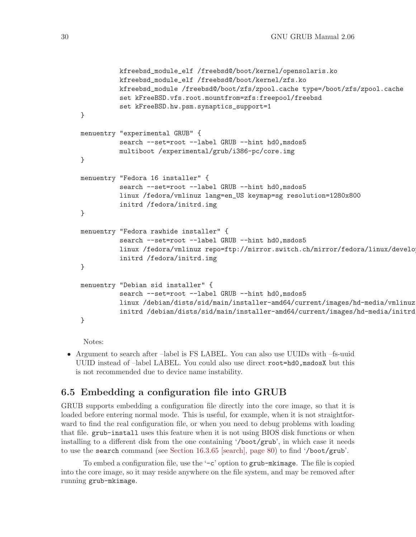```
kfreebsd_module_elf /freebsd@/boot/kernel/opensolaris.ko
          kfreebsd_module_elf /freebsd@/boot/kernel/zfs.ko
          kfreebsd_module /freebsd@/boot/zfs/zpool.cache type=/boot/zfs/zpool.cache
          set kFreeBSD.vfs.root.mountfrom=zfs:freepool/freebsd
          set kFreeBSD.hw.psm.synaptics_support=1
}
menuentry "experimental GRUB" {
          search --set=root --label GRUB --hint hd0, msdos5
          multiboot /experimental/grub/i386-pc/core.img
}
menuentry "Fedora 16 installer" {
          search --set=root --label GRUB --hint hd0, msdos5
          linux /fedora/vmlinuz lang=en_US keymap=sg resolution=1280x800
          initrd /fedora/initrd.img
}
menuentry "Fedora rawhide installer" {
          search --set=root --label GRUB --hint hd0, msdos5
          linux /fedora/vmlinuz repo=ftp://mirror.switch.ch/mirror/fedora/linux/develo
          initrd /fedora/initrd.img
}
menuentry "Debian sid installer" {
          search --set=root --label GRUB --hint hd0,msdos5
          linux /debian/dists/sid/main/installer-amd64/current/images/hd-media/vmlinuz
          initrd /debian/dists/sid/main/installer-amd64/current/images/hd-media/initrd.gz
}
```
Notes:

• Argument to search after –label is FS LABEL. You can also use UUIDs with –fs-uuid UUID instead of –label LABEL. You could also use direct root=hd0, msdosX but this is not recommended due to device name instability.

# <span id="page-39-0"></span>6.5 Embedding a configuration file into GRUB

GRUB supports embedding a configuration file directly into the core image, so that it is loaded before entering normal mode. This is useful, for example, when it is not straightforward to find the real configuration file, or when you need to debug problems with loading that file. grub-install uses this feature when it is not using BIOS disk functions or when installing to a different disk from the one containing '/boot/grub', in which case it needs to use the search command (see [Section 16.3.65 \[search\], page 80](#page-89-0)) to find '/boot/grub'.

To embed a configuration file, use the '-c' option to grub-mkimage. The file is copied into the core image, so it may reside anywhere on the file system, and may be removed after running grub-mkimage.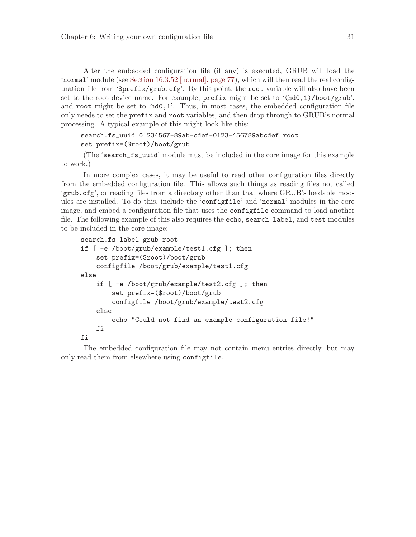After the embedded configuration file (if any) is executed, GRUB will load the 'normal' module (see [Section 16.3.52 \[normal\], page 77](#page-86-0)), which will then read the real configuration file from '\$prefix/grub.cfg'. By this point, the root variable will also have been set to the root device name. For example, prefix might be set to '(hd0,1)/boot/grub', and root might be set to 'hd0,1'. Thus, in most cases, the embedded configuration file only needs to set the prefix and root variables, and then drop through to GRUB's normal processing. A typical example of this might look like this:

```
search.fs_uuid 01234567-89ab-cdef-0123-456789abcdef root
set prefix=($root)/boot/grub
```
(The 'search\_fs\_uuid' module must be included in the core image for this example to work.)

In more complex cases, it may be useful to read other configuration files directly from the embedded configuration file. This allows such things as reading files not called 'grub.cfg', or reading files from a directory other than that where GRUB's loadable modules are installed. To do this, include the 'configfile' and 'normal' modules in the core image, and embed a configuration file that uses the configfile command to load another file. The following example of this also requires the echo, search\_label, and test modules to be included in the core image:

```
search.fs_label grub root
if [ -e /boot/grub/example/test1.cfg ]; then
    set prefix=($root)/boot/grub
    configfile /boot/grub/example/test1.cfg
else
    if [ -e /boot/grub/example/test2.cfg ]; then
        set prefix=($root)/boot/grub
        configfile /boot/grub/example/test2.cfg
    else
        echo "Could not find an example configuration file!"
    fi
fi
```
The embedded configuration file may not contain menu entries directly, but may only read them from elsewhere using configfile.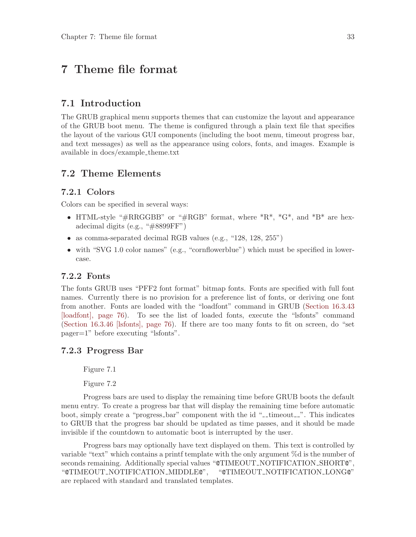# <span id="page-42-0"></span>7 Theme file format

# 7.1 Introduction

The GRUB graphical menu supports themes that can customize the layout and appearance of the GRUB boot menu. The theme is configured through a plain text file that specifies the layout of the various GUI components (including the boot menu, timeout progress bar, and text messages) as well as the appearance using colors, fonts, and images. Example is available in docs/example theme.txt

## 7.2 Theme Elements

### 7.2.1 Colors

Colors can be specified in several ways:

- HTML-style " $\#RRGGBB$ " or " $\#RGB$ " format, where  $^*R^*$ ,  $^*G^*$ , and  $^*B^*$  are hexadecimal digits (e.g., "#8899FF")
- as comma-separated decimal RGB values (e.g., "128, 128, 255")
- with "SVG 1.0 color names" (e.g., "cornflowerblue") which must be specified in lowercase.

### 7.2.2 Fonts

The fonts GRUB uses "PFF2 font format" bitmap fonts. Fonts are specified with full font names. Currently there is no provision for a preference list of fonts, or deriving one font from another. Fonts are loaded with the "loadfont" command in GRUB ([Section 16.3.43](#page-85-0) [\[loadfont\], page 76](#page-85-0)). To see the list of loaded fonts, execute the "lsfonts" command [\(Section 16.3.46 \[lsfonts\], page 76\)](#page-85-1). If there are too many fonts to fit on screen, do "set pager=1" before executing "lsfonts".

### 7.2.3 Progress Bar

Figure 7.1

Figure 7.2

Progress bars are used to display the remaining time before GRUB boots the default menu entry. To create a progress bar that will display the remaining time before automatic boot, simply create a "progress\_bar" component with the id "\_timeout\_". This indicates to GRUB that the progress bar should be updated as time passes, and it should be made invisible if the countdown to automatic boot is interrupted by the user.

Progress bars may optionally have text displayed on them. This text is controlled by variable "text" which contains a printf template with the only argument %d is the number of seconds remaining. Additionally special values "CTIMEOUT\_NOTIFICATION\_SHORTC", "@TIMEOUT NOTIFICATION MIDDLE@", "@TIMEOUT NOTIFICATION LONG@" are replaced with standard and translated templates.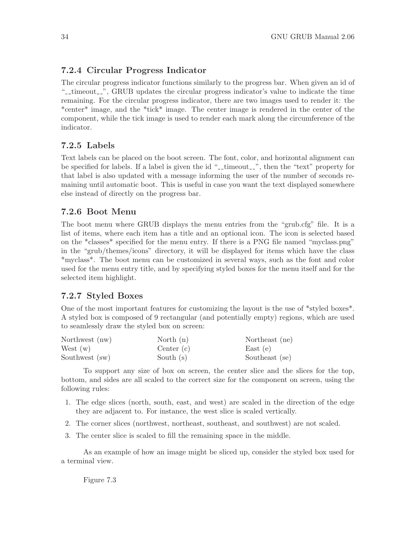# 7.2.4 Circular Progress Indicator

The circular progress indicator functions similarly to the progress bar. When given an id of "-timeout  $\ldots$ ", GRUB updates the circular progress indicator's value to indicate the time remaining. For the circular progress indicator, there are two images used to render it: the \*center\* image, and the \*tick\* image. The center image is rendered in the center of the component, while the tick image is used to render each mark along the circumference of the indicator.

# 7.2.5 Labels

Text labels can be placed on the boot screen. The font, color, and horizontal alignment can be specified for labels. If a label is given the id "-timeout-", then the "text" property for that label is also updated with a message informing the user of the number of seconds remaining until automatic boot. This is useful in case you want the text displayed somewhere else instead of directly on the progress bar.

# 7.2.6 Boot Menu

The boot menu where GRUB displays the menu entries from the "grub.cfg" file. It is a list of items, where each item has a title and an optional icon. The icon is selected based on the \*classes\* specified for the menu entry. If there is a PNG file named "myclass.png" in the "grub/themes/icons" directory, it will be displayed for items which have the class \*myclass\*. The boot menu can be customized in several ways, such as the font and color used for the menu entry title, and by specifying styled boxes for the menu itself and for the selected item highlight.

# 7.2.7 Styled Boxes

One of the most important features for customizing the layout is the use of \*styled boxes\*. A styled box is composed of 9 rectangular (and potentially empty) regions, which are used to seamlessly draw the styled box on screen:

| Northwest (nw) | North $(n)$  | Northeast (ne) |
|----------------|--------------|----------------|
| West $(w)$     | Center $(c)$ | East(e)        |
| Southwest (sw) | South $(s)$  | Southeast (se) |

To support any size of box on screen, the center slice and the slices for the top, bottom, and sides are all scaled to the correct size for the component on screen, using the following rules:

- 1. The edge slices (north, south, east, and west) are scaled in the direction of the edge they are adjacent to. For instance, the west slice is scaled vertically.
- 2. The corner slices (northwest, northeast, southeast, and southwest) are not scaled.
- 3. The center slice is scaled to fill the remaining space in the middle.

As an example of how an image might be sliced up, consider the styled box used for a terminal view.

Figure 7.3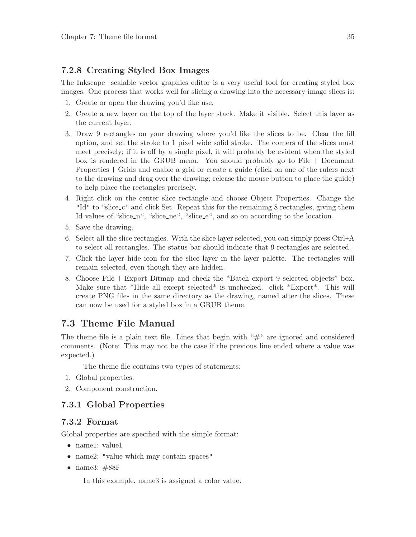# 7.2.8 Creating Styled Box Images

The Inkscape<sub>r</sub> scalable vector graphics editor is a very useful tool for creating styled box images. One process that works well for slicing a drawing into the necessary image slices is:

- 1. Create or open the drawing you'd like use.
- 2. Create a new layer on the top of the layer stack. Make it visible. Select this layer as the current layer.
- 3. Draw 9 rectangles on your drawing where you'd like the slices to be. Clear the fill option, and set the stroke to 1 pixel wide solid stroke. The corners of the slices must meet precisely; if it is off by a single pixel, it will probably be evident when the styled box is rendered in the GRUB menu. You should probably go to File | Document Properties | Grids and enable a grid or create a guide (click on one of the rulers next to the drawing and drag over the drawing; release the mouse button to place the guide) to help place the rectangles precisely.
- 4. Right click on the center slice rectangle and choose Object Properties. Change the "Id" to "slice c" and click Set. Repeat this for the remaining 8 rectangles, giving them Id values of "slice n", "slice ne", "slice e", and so on according to the location.
- 5. Save the drawing.
- 6. Select all the slice rectangles. With the slice layer selected, you can simply press  $Ctrl+A$ to select all rectangles. The status bar should indicate that 9 rectangles are selected.
- 7. Click the layer hide icon for the slice layer in the layer palette. The rectangles will remain selected, even though they are hidden.
- 8. Choose File | Export Bitmap and check the \*Batch export 9 selected objects\* box. Make sure that \*Hide all except selected\* is unchecked. click \*Export\*. This will create PNG files in the same directory as the drawing, named after the slices. These can now be used for a styled box in a GRUB theme.

# 7.3 Theme File Manual

The theme file is a plain text file. Lines that begin with " $#$ " are ignored and considered comments. (Note: This may not be the case if the previous line ended where a value was expected.)

The theme file contains two types of statements:

- 1. Global properties.
- 2. Component construction.

# 7.3.1 Global Properties

## 7.3.2 Format

Global properties are specified with the simple format:

- name1: value1
- name2: "value which may contain spaces"
- name3: #88F

In this example, name3 is assigned a color value.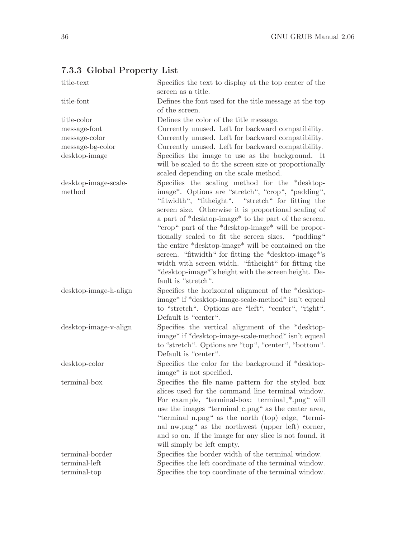# 7.3.3 Global Property List

| title-text            | Specifies the text to display at the top center of the<br>screen as a title.                                                                                                                                                                                            |
|-----------------------|-------------------------------------------------------------------------------------------------------------------------------------------------------------------------------------------------------------------------------------------------------------------------|
| title-font            | Defines the font used for the title message at the top                                                                                                                                                                                                                  |
|                       | of the screen.                                                                                                                                                                                                                                                          |
| title-color           | Defines the color of the title message.                                                                                                                                                                                                                                 |
| message-font          | Currently unused. Left for backward compatibility.                                                                                                                                                                                                                      |
| message-color         | Currently unused. Left for backward compatibility.                                                                                                                                                                                                                      |
| message-bg-color      | Currently unused. Left for backward compatibility.                                                                                                                                                                                                                      |
| desktop-image         | Specifies the image to use as the background. It<br>will be scaled to fit the screen size or proportionally<br>scaled depending on the scale method.                                                                                                                    |
| desktop-image-scale-  | Specifies the scaling method for the *desktop-                                                                                                                                                                                                                          |
| method                | image <sup>*</sup> . Options are "stretch", "crop", "padding",<br>"fitwidth", "fitheight". "stretch" for fitting the<br>screen size. Otherwise it is proportional scaling of                                                                                            |
|                       | a part of *desktop-image* to the part of the screen.<br>"crop" part of the *desktop-image* will be propor-<br>tionally scaled to fit the screen sizes. "padding"                                                                                                        |
|                       | the entire *desktop-image* will be contained on the<br>screen. "fitwidth" for fitting the *desktop-image*'s<br>width with screen width. "fitheight" for fitting the<br>*desktop-image*'s height with the screen height. De-<br>fault is "stretch".                      |
| desktop-image-h-align | Specifies the horizontal alignment of the *desktop-<br>image* if *desktop-image-scale-method* isn't equeal<br>to "stretch". Options are "left", "center", "right".<br>Default is "center".                                                                              |
| desktop-image-v-align | Specifies the vertical alignment of the *desktop-<br>image* if *desktop-image-scale-method* isn't equeal<br>to "stretch". Options are "top", "center", "bottom".<br>Default is "center".                                                                                |
| desktop-color         | Specifies the color for the background if *desktop-<br>image <sup>*</sup> is not specified.                                                                                                                                                                             |
| terminal-box          | Specifies the file name pattern for the styled box<br>slices used for the command line terminal window.<br>For example, "terminal-box: terminal-*.png" will<br>use the images "terminal_c.png" as the center area,<br>"terminal_n.png" as the north (top) edge, "termi- |
|                       | nal_nw.png" as the northwest (upper left) corner,<br>and so on. If the image for any slice is not found, it<br>will simply be left empty.                                                                                                                               |
| terminal-border       | Specifies the border width of the terminal window.                                                                                                                                                                                                                      |
| terminal-left         | Specifies the left coordinate of the terminal window.                                                                                                                                                                                                                   |
| terminal-top          | Specifies the top coordinate of the terminal window.                                                                                                                                                                                                                    |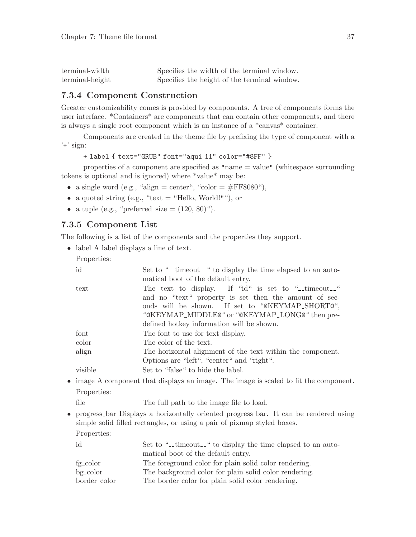| terminal-width  | Specifies the width of the terminal window.  |  |  |
|-----------------|----------------------------------------------|--|--|
| terminal-height | Specifies the height of the terminal window. |  |  |

## 7.3.4 Component Construction

Greater customizability comes is provided by components. A tree of components forms the user interface. \*Containers\* are components that can contain other components, and there is always a single root component which is an instance of a \*canvas\* container.

Components are created in the theme file by prefixing the type of component with a  $'$ +' sign:

```
+ label { text="GRUB" font="aqui 11" color="#8FF" }
```
properties of a component are specified as "name = value" (whitespace surrounding tokens is optional and is ignored) where \*value\* may be:

- a single word (e.g., "align = center", "color =  $\#FF8080$ "),
- a quoted string (e.g., "text = "Hello, World!""), or
- a tuple (e.g., "preferred\_size  $= (120, 80)$ ").

# 7.3.5 Component List

The following is a list of the components and the properties they support.

• label A label displays a line of text.

Properties:

| id               | Set to "_timeout_" to display the time elapsed to an auto-<br>matical boot of the default entry.                                                                                                                 |
|------------------|------------------------------------------------------------------------------------------------------------------------------------------------------------------------------------------------------------------|
| $texttext{text}$ | The text to display. If "id" is set to "-timeout-"<br>and no "text" property is set then the amount of sec-<br>onds will be shown. If set to "@KEYMAP_SHORT@",<br>"@KEYMAP_MIDDLE@" or "@KEYMAP_LONG@" then pre- |
|                  | defined hotkey information will be shown.                                                                                                                                                                        |
| font             | The font to use for text display.                                                                                                                                                                                |
| color            | The color of the text.                                                                                                                                                                                           |
| align            | The horizontal alignment of the text within the component.<br>Options are "left", "center" and "right".                                                                                                          |
| visible          | Set to "false" to hide the label.                                                                                                                                                                                |

• image A component that displays an image. The image is scaled to fit the component. Properties:

file The full path to the image file to load.

• progress bar Displays a horizontally oriented progress bar. It can be rendered using simple solid filled rectangles, or using a pair of pixmap styled boxes. Properties:

|  | × |
|--|---|
|  |   |
|  |   |
|  |   |

| Set to "-timeout-" to display the time elapsed to an auto- |
|------------------------------------------------------------|
| matical boot of the default entry.                         |
| The foreground color for plain solid color rendering.      |
| The background color for plain solid color rendering.      |
| The border color for plain solid color rendering.          |
|                                                            |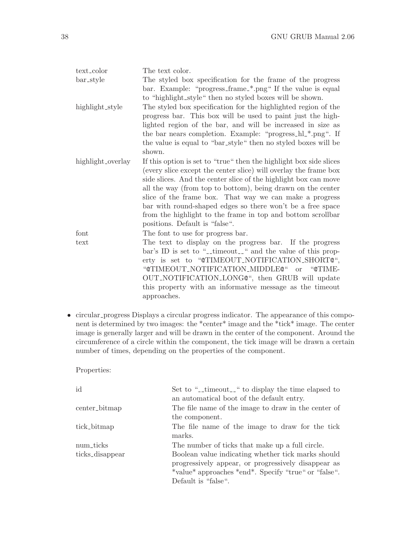| text_color        | The text color.                                                                                                                                                                                                                                                                                                                                                                                                                                                                                    |
|-------------------|----------------------------------------------------------------------------------------------------------------------------------------------------------------------------------------------------------------------------------------------------------------------------------------------------------------------------------------------------------------------------------------------------------------------------------------------------------------------------------------------------|
| bar_style         | The styled box specification for the frame of the progress<br>bar. Example: "progress_frame_*.png" If the value is equal<br>to "highlight_style" then no styled boxes will be shown.                                                                                                                                                                                                                                                                                                               |
| highlight_style   | The styled box specification for the highlighted region of the<br>progress bar. This box will be used to paint just the high-<br>lighted region of the bar, and will be increased in size as<br>the bar nears completion. Example: "progress_hl_*.png". If<br>the value is equal to "bar_style" then no styled boxes will be<br>shown.                                                                                                                                                             |
| highlight_overlay | If this option is set to "true" then the highlight box side slices<br>(every slice except the center slice) will overlay the frame box<br>side slices. And the center slice of the highlight box can move<br>all the way (from top to bottom), being drawn on the center<br>slice of the frame box. That way we can make a progress<br>bar with round-shaped edges so there won't be a free space<br>from the highlight to the frame in top and bottom scrollbar<br>positions. Default is "false". |
| font              | The font to use for progress bar.                                                                                                                                                                                                                                                                                                                                                                                                                                                                  |
| text              | The text to display on the progress bar. If the progress<br>bar's ID is set to "-timeout-" and the value of this prop-<br>erty is set to "@TIMEOUT_NOTIFICATION_SHORT@",<br>"@TIMEOUT_NOTIFICATION_MIDDLE@" or "@TIME-<br>OUT_NOTIFICATION_LONG@", then GRUB will update<br>this property with an informative message as the timeout<br>approaches.                                                                                                                                                |

• circular progress Displays a circular progress indicator. The appearance of this component is determined by two images: the \*center\* image and the \*tick\* image. The center image is generally larger and will be drawn in the center of the component. Around the circumference of a circle within the component, the tick image will be drawn a certain number of times, depending on the properties of the component.

Properties:

| id                           | Set to "-timeout-" to display the time elapsed to<br>an automatical boot of the default entry.                                                                                                                                              |
|------------------------------|---------------------------------------------------------------------------------------------------------------------------------------------------------------------------------------------------------------------------------------------|
| center_bitmap                | The file name of the image to draw in the center of<br>the component.                                                                                                                                                                       |
| tick_bitmap                  | The file name of the image to draw for the tick<br>marks.                                                                                                                                                                                   |
| num_ticks<br>ticks_disappear | The number of ticks that make up a full circle.<br>Boolean value indicating whether tick marks should<br>progressively appear, or progressively disappear as<br>*value* approaches *end*. Specify "true" or "false".<br>Default is "false". |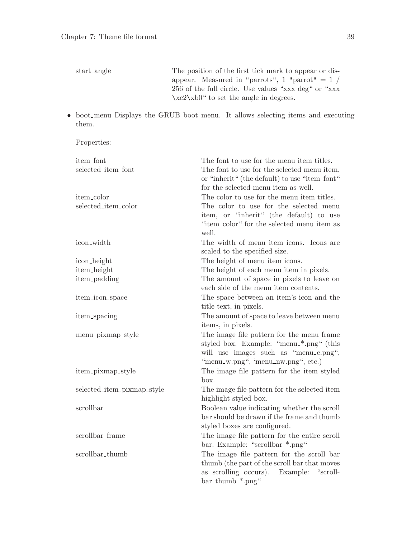| start_angle | The position of the first tick mark to appear or dis- |
|-------------|-------------------------------------------------------|
|             | appear. Measured in "parrots", 1 "parrot" $= 1 /$     |
|             | 256 of the full circle. Use values "xxx deg" or "xxx" |
|             | $\xc2\xb0''$ to set the angle in degrees.             |

• boot menu Displays the GRUB boot menu. It allows selecting items and executing them.

Properties:

| item_font                  | The font to use for the menu item titles.     |
|----------------------------|-----------------------------------------------|
| selected_item_font         | The font to use for the selected menu item,   |
|                            | or "inherit" (the default) to use "item_font" |
|                            | for the selected menu item as well.           |
| item_color                 | The color to use for the menu item titles.    |
| selected_item_color        | The color to use for the selected menu        |
|                            | item, or "inherit" (the default) to use       |
|                            | "item_color" for the selected menu item as    |
|                            | well.                                         |
| icon_width                 | The width of menu item icons. Icons are       |
|                            | scaled to the specified size.                 |
| icon_height                | The height of menu item icons.                |
| item_height                | The height of each menu item in pixels.       |
| item_padding               | The amount of space in pixels to leave on     |
|                            | each side of the menu item contents.          |
| item_icon_space            | The space between an item's icon and the      |
|                            | title text, in pixels.                        |
| item_spacing               | The amount of space to leave between menu     |
|                            | items, in pixels.                             |
| menu_pixmap_style          | The image file pattern for the menu frame     |
|                            | styled box. Example: "menu_*.png" (this       |
|                            | will use images such as "menu_c.png",         |
|                            | "menu_w.png", 'menu_nw.png", etc.)            |
| item_pixmap_style          | The image file pattern for the item styled    |
|                            | box.                                          |
| selected_item_pixmap_style | The image file pattern for the selected item  |
|                            | highlight styled box.                         |
| scrollbar                  | Boolean value indicating whether the scroll   |
|                            | bar should be drawn if the frame and thumb    |
|                            | styled boxes are configured.                  |
| scrollbar_frame            | The image file pattern for the entire scroll  |
|                            | bar. Example: "scrollbar_*.png"               |
| scrollbar_thumb            | The image file pattern for the scroll bar     |
|                            | thumb (the part of the scroll bar that moves  |
|                            | as scrolling occurs).<br>Example:<br>"scroll- |
|                            | bar_thumb_*.png"                              |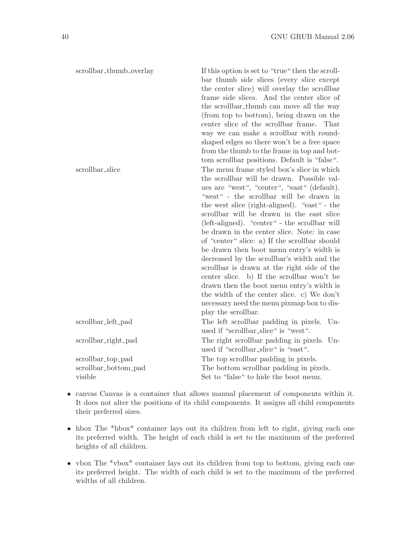| scrollbar_thumb_overlay | If this option is set to "true" then the scroll- |
|-------------------------|--------------------------------------------------|
|                         | bar thumb side slices (every slice except        |
|                         | the center slice) will overlay the scrollbar     |
|                         | frame side slices. And the center slice of       |
|                         | the scrollbar_thumb can move all the way         |
|                         | (from top to bottom), being drawn on the         |
|                         | center slice of the scrollbar frame. That        |
|                         | way we can make a scrollbar with round-          |
|                         | shaped edges so there won't be a free space      |
|                         | from the thumb to the frame in top and bot-      |
|                         | tom scrollbar positions. Default is "false".     |
| scrollbar_slice         | The menu frame styled box's slice in which       |
|                         | the scrollbar will be drawn. Possible val-       |
|                         | ues are "west", "center", "east" (default).      |
|                         | "west" - the scrollbar will be drawn in          |
|                         | the west slice (right-aligned). "east" - the     |
|                         | scrollbar will be drawn in the east slice        |
|                         | (left-aligned). "center" - the scrollbar will    |
|                         | be drawn in the center slice. Note: in case      |
|                         | of "center" slice: a) If the scrollbar should    |
|                         | be drawn then boot menu entry's width is         |
|                         | decreased by the scrollbar's width and the       |
|                         | scrollbar is drawn at the right side of the      |
|                         | center slice. b) If the scrollbar won't be       |
|                         | drawn then the boot menu entry's width is        |
|                         | the width of the center slice. c) We don't       |
|                         | necessary need the menu pixmap box to dis-       |
|                         | play the scrollbar.                              |
| scrollbar_left_pad      | The left scrollbar padding in pixels.<br>$Un-$   |
|                         | used if "scrollbar_slice" is "west".             |
| scrollbar_right_pad     | The right scrollbar padding in pixels. Un-       |
|                         | used if "scrollbar_slice" is "east".             |
| scrollbar_top_pad       | The top scrollbar padding in pixels.             |
| scrollbar_bottom_pad    | The bottom scrollbar padding in pixels.          |
| visible                 | Set to "false" to hide the boot menu.            |

- canvas Canvas is a container that allows manual placement of components within it. It does not alter the positions of its child components. It assigns all child components their preferred sizes.
- hbox The \*hbox\* container lays out its children from left to right, giving each one its preferred width. The height of each child is set to the maximum of the preferred heights of all children.
- vbox The \*vbox\* container lays out its children from top to bottom, giving each one its preferred height. The width of each child is set to the maximum of the preferred widths of all children.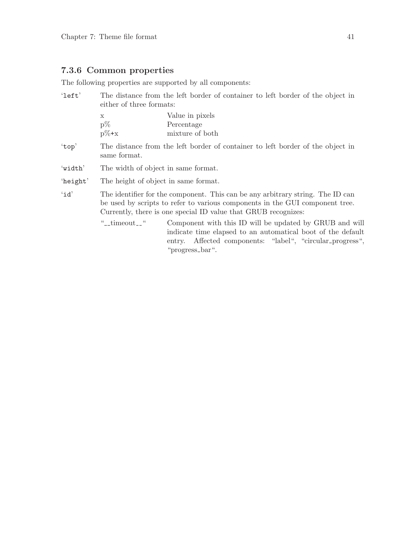# 7.3.6 Common properties

The following properties are supported by all components:

| $'$ left' | The distance from the left border of container to left border of the object in<br>either of three formats:                                                                                                                       |                                                                                                                                                                                                           |  |
|-----------|----------------------------------------------------------------------------------------------------------------------------------------------------------------------------------------------------------------------------------|-----------------------------------------------------------------------------------------------------------------------------------------------------------------------------------------------------------|--|
|           | $\mathbf x$<br>$p\%$<br>$p\% + x$                                                                                                                                                                                                | Value in pixels<br>Percentage<br>mixture of both                                                                                                                                                          |  |
| 'top'     | The distance from the left border of container to left border of the object in<br>same format.                                                                                                                                   |                                                                                                                                                                                                           |  |
| 'width'   | The width of object in same format.                                                                                                                                                                                              |                                                                                                                                                                                                           |  |
| 'height'  | The height of object in same format.                                                                                                                                                                                             |                                                                                                                                                                                                           |  |
| 'id'      | The identifier for the component. This can be any arbitrary string. The ID can<br>be used by scripts to refer to various components in the GUI component tree.<br>Currently, there is one special ID value that GRUB recognizes: |                                                                                                                                                                                                           |  |
|           | "__timeout__"                                                                                                                                                                                                                    | Component with this ID will be updated by GRUB and will<br>indicate time elapsed to an automatical boot of the default<br>Affected components: "label", "circular_progress",<br>entry.<br>"progress_bar". |  |
|           |                                                                                                                                                                                                                                  |                                                                                                                                                                                                           |  |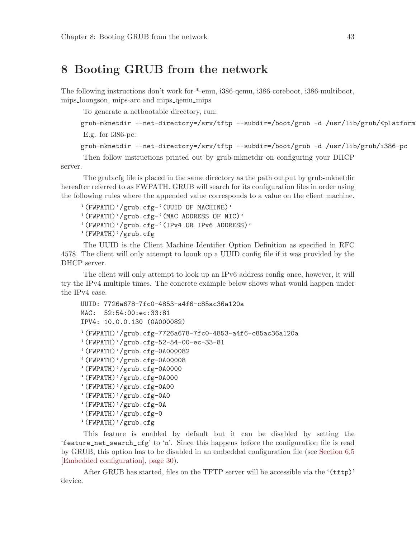# <span id="page-52-0"></span>8 Booting GRUB from the network

The following instructions don't work for \*-emu, i386-qemu, i386-coreboot, i386-multiboot, mips loongson, mips-arc and mips qemu mips

To generate a netbootable directory, run:

```
grub-mknetdir --net-directory=/srv/tftp --subdir=/boot/grub -d /usr/lib/grub/<platform>
E.g. for i386-pc:
```

```
grub-mknetdir --net-directory=/srv/tftp --subdir=/boot/grub -d /usr/lib/grub/i386-pc
```
Then follow instructions printed out by grub-mknetdir on configuring your DHCP server.

The grub.cfg file is placed in the same directory as the path output by grub-mknetdir hereafter referred to as FWPATH. GRUB will search for its configuration files in order using the following rules where the appended value corresponds to a value on the client machine.

```
'(FWPATH)'/grub.cfg-'(UUID OF MACHINE)'
'(FWPATH)'/grub.cfg-'(MAC ADDRESS OF NIC)'
'(FWPATH)'/grub.cfg-'(IPv4 OR IPv6 ADDRESS)'
'(FWPATH)'/grub.cfg
```
The UUID is the Client Machine Identifier Option Definition as specified in RFC 4578. The client will only attempt to loouk up a UUID config file if it was provided by the DHCP server.

The client will only attempt to look up an IPv6 address config once, however, it will try the IPv4 multiple times. The concrete example below shows what would happen under the IPv4 case.

```
UUID: 7726a678-7fc0-4853-a4f6-c85ac36a120a
MAC: 52:54:00:ec:33:81
IPV4: 10.0.0.130 (0A000082)
'(FWPATH)'/grub.cfg-7726a678-7fc0-4853-a4f6-c85ac36a120a
'(FWPATH)'/grub.cfg-52-54-00-ec-33-81
'(FWPATH)'/grub.cfg-0A000082
'(FWPATH)'/grub.cfg-0A00008
'(FWPATH)'/grub.cfg-0A0000
'(FWPATH)'/grub.cfg-0A000
'(FWPATH)'/grub.cfg-0A00
'(FWPATH)'/grub.cfg-0A0
'(FWPATH)'/grub.cfg-0A
'(FWPATH)'/grub.cfg-0
'(FWPATH)'/grub.cfg
```
This feature is enabled by default but it can be disabled by setting the 'feature\_net\_search\_cfg' to 'n'. Since this happens before the configuration file is read by GRUB, this option has to be disabled in an embedded configuration file (see [Section 6.5](#page-39-0) [\[Embedded configuration\], page 30\)](#page-39-0).

After GRUB has started, files on the TFTP server will be accessible via the '(tftp)' device.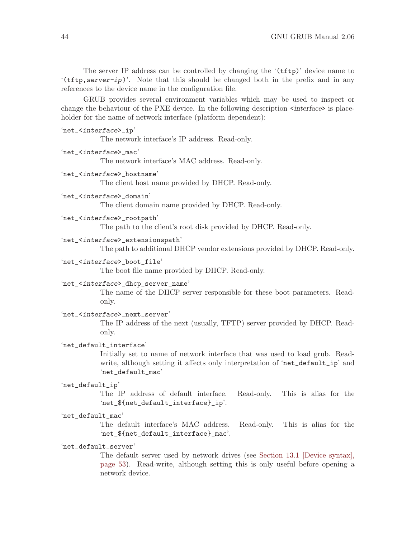The server IP address can be controlled by changing the '(tftp)' device name to  $'$ (tftp, server-ip)'. Note that this should be changed both in the prefix and in any references to the device name in the configuration file.

GRUB provides several environment variables which may be used to inspect or change the behaviour of the PXE device. In the following description  $\langle$  interface> is placeholder for the name of network interface (platform dependent):

```
'net_<interface>_ip'
```
The network interface's IP address. Read-only.

```
'net_<interface>_mac'
```
The network interface's MAC address. Read-only.

```
'net_<interface>_hostname'
```
The client host name provided by DHCP. Read-only.

```
'net_<interface>_domain'
```
The client domain name provided by DHCP. Read-only.

```
'net_<interface>_rootpath'
```
The path to the client's root disk provided by DHCP. Read-only.

```
'net_<interface>_extensionspath'
```
The path to additional DHCP vendor extensions provided by DHCP. Read-only.

#### 'net\_<interface>\_boot\_file'

The boot file name provided by DHCP. Read-only.

### 'net\_<interface>\_dhcp\_server\_name'

The name of the DHCP server responsible for these boot parameters. Readonly.

#### 'net\_<interface>\_next\_server'

The IP address of the next (usually, TFTP) server provided by DHCP. Readonly.

#### 'net\_default\_interface'

Initially set to name of network interface that was used to load grub. Readwrite, although setting it affects only interpretation of 'net\_default\_ip' and 'net\_default\_mac'

#### 'net\_default\_ip'

The IP address of default interface. Read-only. This is alias for the 'net\_\${net\_default\_interface}\_ip'.

#### 'net\_default\_mac'

The default interface's MAC address. Read-only. This is alias for the 'net\_\${net\_default\_interface}\_mac'.

### 'net\_default\_server'

The default server used by network drives (see [Section 13.1 \[Device syntax\],](#page-62-0) [page 53](#page-62-0)). Read-write, although setting this is only useful before opening a network device.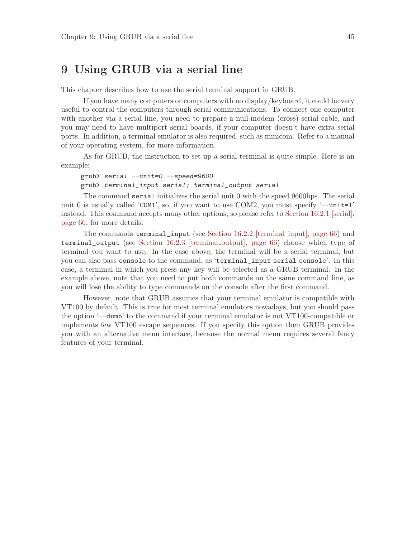# 9 Using GRUB via a serial line

This chapter describes how to use the serial terminal support in GRUB.

If you have many computers or computers with no display/keyboard, it could be very useful to control the computers through serial communications. To connect one computer with another via a serial line, you need to prepare a null-modem (cross) serial cable, and you may need to have multiport serial boards, if your computer doesn't have extra serial ports. In addition, a terminal emulator is also required, such as minicom. Refer to a manual of your operating system, for more information.

As for GRUB, the instruction to set up a serial terminal is quite simple. Here is an example:

grub> serial --unit=0 --speed=9600 grub> terminal\_input serial; terminal\_output serial

The command serial initializes the serial unit 0 with the speed 9600bps. The serial unit 0 is usually called 'COM1', so, if you want to use COM2, you must specify '--unit=1' instead. This command accepts many other options, so please refer to [Section 16.2.1 \[serial\],](#page-75-0) [page 66](#page-75-0), for more details.

The commands terminal\_input (see [Section 16.2.2 \[terminal](#page-75-1) input], page 66) and terminal\_output (see [Section 16.2.3 \[terminal](#page-75-2) output], page 66) choose which type of terminal you want to use. In the case above, the terminal will be a serial terminal, but you can also pass console to the command, as 'terminal\_input serial console'. In this case, a terminal in which you press any key will be selected as a GRUB terminal. In the example above, note that you need to put both commands on the same command line, as you will lose the ability to type commands on the console after the first command.

However, note that GRUB assumes that your terminal emulator is compatible with VT100 by default. This is true for most terminal emulators nowadays, but you should pass the option '--dumb' to the command if your terminal emulator is not VT100-compatible or implements few VT100 escape sequences. If you specify this option then GRUB provides you with an alternative menu interface, because the normal menu requires several fancy features of your terminal.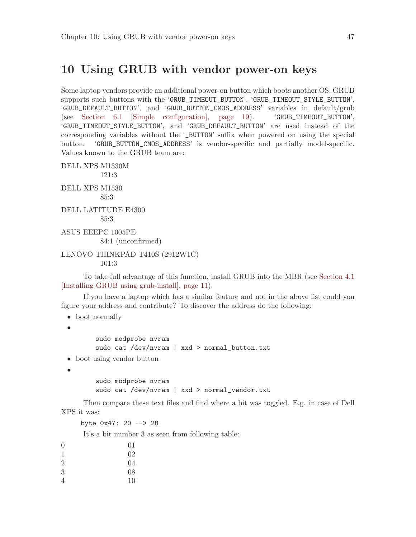# 10 Using GRUB with vendor power-on keys

Some laptop vendors provide an additional power-on button which boots another OS. GRUB supports such buttons with the 'GRUB\_TIMEOUT\_BUTTON', 'GRUB\_TIMEOUT\_STYLE\_BUTTON', 'GRUB\_DEFAULT\_BUTTON', and 'GRUB\_BUTTON\_CMOS\_ADDRESS' variables in default/grub (see [Section 6.1 \[Simple configuration\], page 19\)](#page-28-0). 'GRUB\_TIMEOUT\_BUTTON', 'GRUB\_TIMEOUT\_STYLE\_BUTTON', and 'GRUB\_DEFAULT\_BUTTON' are used instead of the corresponding variables without the '\_BUTTON' suffix when powered on using the special button. 'GRUB\_BUTTON\_CMOS\_ADDRESS' is vendor-specific and partially model-specific. Values known to the GRUB team are:

DELL XPS M1330M 121:3 DELL XPS M1530 85:3 DELL LATITUDE E4300 85:3 ASUS EEEPC 1005PE 84:1 (unconfirmed) LENOVO THINKPAD T410S (2912W1C)

101:3

To take full advantage of this function, install GRUB into the MBR (see [Section 4.1](#page-20-0) [\[Installing GRUB using grub-install\], page 11](#page-20-0)).

If you have a laptop which has a similar feature and not in the above list could you figure your address and contribute? To discover the address do the following:

• boot normally

•

sudo modprobe nvram sudo cat /dev/nvram | xxd > normal\_button.txt

• boot using vendor button

•

sudo modprobe nvram sudo cat /dev/nvram | xxd > normal\_vendor.txt

Then compare these text files and find where a bit was toggled. E.g. in case of Dell XPS it was:

byte 0x47: 20 --> 28

It's a bit number 3 as seen from following table:

| $\overline{0}$ | 01 |
|----------------|----|
| $\mathbf{1}$   | 02 |
| $\overline{2}$ | 04 |
| 3              | 08 |
| 4              | 10 |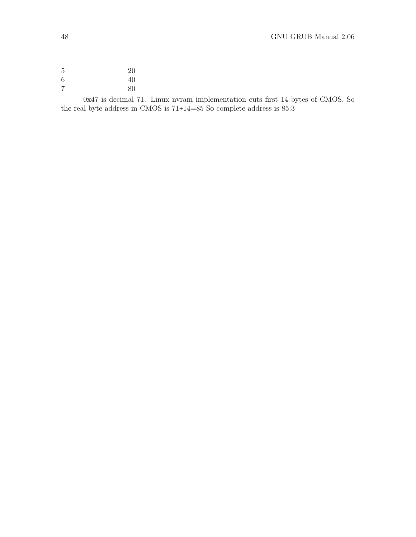0x47 is decimal 71. Linux nvram implementation cuts first 14 bytes of CMOS. So the real byte address in CMOS is  $71\texttt{+}14\texttt{=}85$  So complete address is  $85\!\!:\!\!3$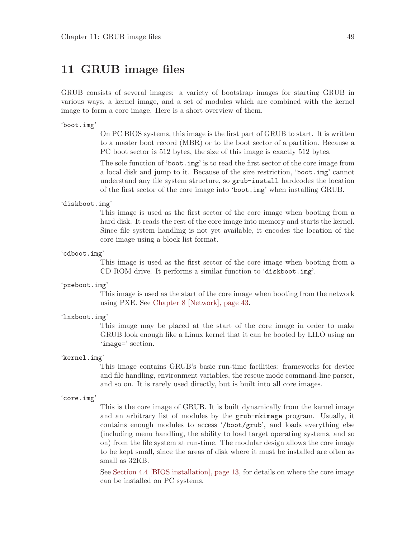# 11 GRUB image files

GRUB consists of several images: a variety of bootstrap images for starting GRUB in various ways, a kernel image, and a set of modules which are combined with the kernel image to form a core image. Here is a short overview of them.

#### 'boot.img'

On PC BIOS systems, this image is the first part of GRUB to start. It is written to a master boot record (MBR) or to the boot sector of a partition. Because a PC boot sector is 512 bytes, the size of this image is exactly 512 bytes.

The sole function of 'boot.img' is to read the first sector of the core image from a local disk and jump to it. Because of the size restriction, 'boot.img' cannot understand any file system structure, so grub-install hardcodes the location of the first sector of the core image into 'boot.img' when installing GRUB.

#### 'diskboot.img'

This image is used as the first sector of the core image when booting from a hard disk. It reads the rest of the core image into memory and starts the kernel. Since file system handling is not yet available, it encodes the location of the core image using a block list format.

'cdboot.img'

This image is used as the first sector of the core image when booting from a CD-ROM drive. It performs a similar function to 'diskboot.img'.

#### 'pxeboot.img'

This image is used as the start of the core image when booting from the network using PXE. See [Chapter 8 \[Network\], page 43.](#page-52-0)

#### 'lnxboot.img'

This image may be placed at the start of the core image in order to make GRUB look enough like a Linux kernel that it can be booted by LILO using an 'image=' section.

#### 'kernel.img'

This image contains GRUB's basic run-time facilities: frameworks for device and file handling, environment variables, the rescue mode command-line parser, and so on. It is rarely used directly, but is built into all core images.

#### 'core.img'

This is the core image of GRUB. It is built dynamically from the kernel image and an arbitrary list of modules by the grub-mkimage program. Usually, it contains enough modules to access '/boot/grub', and loads everything else (including menu handling, the ability to load target operating systems, and so on) from the file system at run-time. The modular design allows the core image to be kept small, since the areas of disk where it must be installed are often as small as 32KB.

See [Section 4.4 \[BIOS installation\], page 13,](#page-22-0) for details on where the core image can be installed on PC systems.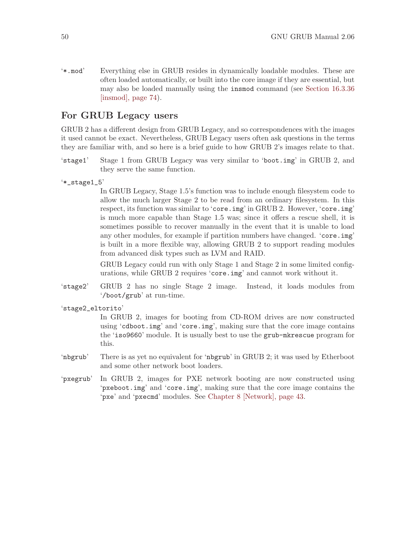'\*.mod' Everything else in GRUB resides in dynamically loadable modules. These are often loaded automatically, or built into the core image if they are essential, but may also be loaded manually using the insmod command (see [Section 16.3.36](#page-83-0) [\[insmod\], page 74\)](#page-83-0).

# For GRUB Legacy users

GRUB 2 has a different design from GRUB Legacy, and so correspondences with the images it used cannot be exact. Nevertheless, GRUB Legacy users often ask questions in the terms they are familiar with, and so here is a brief guide to how GRUB 2's images relate to that.

- 'stage1' Stage 1 from GRUB Legacy was very similar to 'boot.img' in GRUB 2, and they serve the same function.
- '\*\_stage1\_5'

In GRUB Legacy, Stage 1.5's function was to include enough filesystem code to allow the much larger Stage 2 to be read from an ordinary filesystem. In this respect, its function was similar to 'core.img' in GRUB 2. However, 'core.img' is much more capable than Stage 1.5 was; since it offers a rescue shell, it is sometimes possible to recover manually in the event that it is unable to load any other modules, for example if partition numbers have changed. 'core.img' is built in a more flexible way, allowing GRUB 2 to support reading modules from advanced disk types such as LVM and RAID.

GRUB Legacy could run with only Stage 1 and Stage 2 in some limited configurations, while GRUB 2 requires 'core.img' and cannot work without it.

- 'stage2' GRUB 2 has no single Stage 2 image. Instead, it loads modules from '/boot/grub' at run-time.
- 'stage2\_eltorito'

In GRUB 2, images for booting from CD-ROM drives are now constructed using 'cdboot.img' and 'core.img', making sure that the core image contains the 'iso9660' module. It is usually best to use the grub-mkrescue program for this.

- 'nbgrub' There is as yet no equivalent for 'nbgrub' in GRUB 2; it was used by Etherboot and some other network boot loaders.
- 'pxegrub' In GRUB 2, images for PXE network booting are now constructed using 'pxeboot.img' and 'core.img', making sure that the core image contains the 'pxe' and 'pxecmd' modules. See [Chapter 8 \[Network\], page 43.](#page-52-0)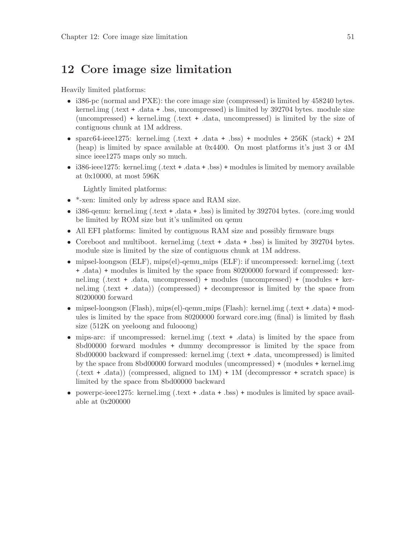# 12 Core image size limitation

Heavily limited platforms:

- i386-pc (normal and PXE): the core image size (compressed) is limited by 458240 bytes. kernel.img (.text + .data + .bss, uncompressed) is limited by 392704 bytes. module size (uncompressed) + kernel.img (.text + .data, uncompressed) is limited by the size of contiguous chunk at 1M address.
- sparc $64$ -ieee $1275$ : kernel.img (.text + .data + .bss) + modules +  $256K$  (stack) +  $2M$ (heap) is limited by space available at 0x4400. On most platforms it's just 3 or 4M since ieee1275 maps only so much.
- i386-ieee1275: kernel.img (.text + .data + .bss) + modules is limited by memory available at 0x10000, at most 596K

Lightly limited platforms:

- \*-xen: limited only by adress space and RAM size.
- i386-qemu: kernel.img (.text + .data + .bss) is limited by 392704 bytes. (core.img would be limited by ROM size but it's unlimited on qemu
- All EFI platforms: limited by contiguous RAM size and possibly firmware bugs
- Coreboot and multiboot. kernel.img (.text + .data + .bss) is limited by 392704 bytes. module size is limited by the size of contiguous chunk at 1M address.
- mipsel-loongson (ELF), mips(el)-qemu\_mips (ELF): if uncompressed: kernel.img (.text + .data) + modules is limited by the space from 80200000 forward if compressed: kernel.img (.text + .data, uncompressed) + modules (uncompressed) + (modules + kernel.img (.text + .data)) (compressed) + decompressor is limited by the space from 80200000 forward
- mipsel-loongson (Flash), mips(el)-qemu\_mips (Flash): kernel.img (.text + .data) + modules is limited by the space from 80200000 forward core.img (final) is limited by flash size (512K on yeeloong and fulooong)
- mips-arc: if uncompressed: kernel.img (.text + .data) is limited by the space from 8bd00000 forward modules + dummy decompressor is limited by the space from 8bd00000 backward if compressed: kernel.img (.text + .data, uncompressed) is limited by the space from 8bd00000 forward modules (uncompressed) + (modules + kernel.img  $(\text{.text} + \text{.data})$  (compressed, aligned to  $1M$ ) +  $1M$  (decompressor + scratch space) is limited by the space from 8bd00000 backward
- powerpc-ieee1275: kernel.img (.text + .data + .bss) + modules is limited by space available at 0x200000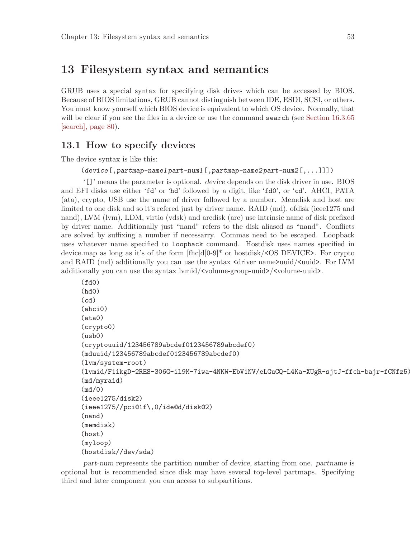# 13 Filesystem syntax and semantics

GRUB uses a special syntax for specifying disk drives which can be accessed by BIOS. Because of BIOS limitations, GRUB cannot distinguish between IDE, ESDI, SCSI, or others. You must know yourself which BIOS device is equivalent to which OS device. Normally, that will be clear if you see the files in a device or use the command **search** (see [Section 16.3.65](#page-89-0)) [\[search\], page 80\)](#page-89-0).

# <span id="page-62-0"></span>13.1 How to specify devices

The device syntax is like this:

(device[,partmap-name1 part-num1[,partmap-name2 part-num2[,...]]])

'[]' means the parameter is optional. device depends on the disk driver in use. BIOS and EFI disks use either 'fd' or 'hd' followed by a digit, like 'fd0', or 'cd'. AHCI, PATA (ata), crypto, USB use the name of driver followed by a number. Memdisk and host are limited to one disk and so it's refered just by driver name. RAID (md), ofdisk (ieee1275 and nand), LVM (lvm), LDM, virtio (vdsk) and arcdisk (arc) use intrinsic name of disk prefixed by driver name. Additionally just "nand" refers to the disk aliased as "nand". Conflicts are solved by suffixing a number if necessarry. Commas need to be escaped. Loopback uses whatever name specified to loopback command. Hostdisk uses names specified in device.map as long as it's of the form [fhc]d[0-9]\* or hostdisk/<OS DEVICE>. For crypto and RAID (md) additionally you can use the syntax  $\langle$  driver name>uuid/ $\langle$ uuid>. For LVM additionally you can use the syntax lvmid/<volume-group-uuid>/<volume-uuid>.

```
(fd0)
(hd0)
(cd)(ahci0)
(ata0)
(crypto0)
(usb0)
(cryptouuid/123456789abcdef0123456789abcdef0)
(mduuid/123456789abcdef0123456789abcdef0)
(lvm/system-root)
(lvmid/F1ikgD-2RES-306G-il9M-7iwa-4NKW-EbV1NV/eLGuCQ-L4Ka-XUgR-sjtJ-ffch-bajr-fCNfz5)
(md/myraid)
(md/0)
(ieee1275/disk2)
(ieee1275//pci@1f\,0/ide@d/disk@2)
(nand)
(memdisk)
(host)
(myloop)
(hostdisk//dev/sda)
```
part-num represents the partition number of device, starting from one. partname is optional but is recommended since disk may have several top-level partmaps. Specifying third and later component you can access to subpartitions.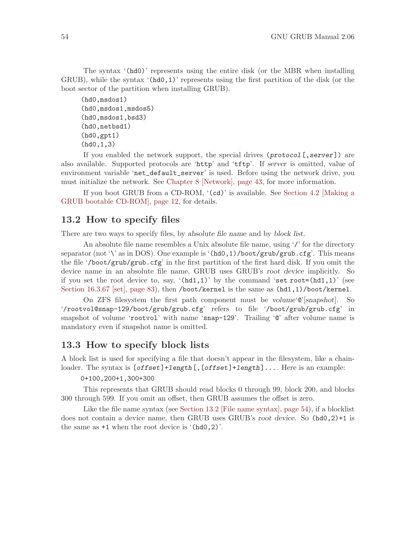The syntax '(hd0)' represents using the entire disk (or the MBR when installing GRUB), while the syntax  $(hd, 1)$  represents using the first partition of the disk (or the boot sector of the partition when installing GRUB).

```
(hd0,msdos1)
(hd0,msdos1,msdos5)
(hd0,msdos1,bsd3)
(hd0,netbsd1)
(hd0,gpt1)
(hd0,1,3)
```
If you enabled the network support, the special drives  $(protocol[,server])$  are also available. Supported protocols are 'http' and 'tftp'. If server is omitted, value of environment variable 'net\_default\_server' is used. Before using the network drive, you must initialize the network. See [Chapter 8 \[Network\], page 43,](#page-52-0) for more information.

If you boot GRUB from a CD-ROM, '(cd)' is available. See [Section 4.2 \[Making a](#page-21-0) [GRUB bootable CD-ROM\], page 12,](#page-21-0) for details.

# <span id="page-63-0"></span>13.2 How to specify files

There are two ways to specify files, by absolute file name and by block list.

An absolute file name resembles a Unix absolute file name, using '/' for the directory separator (not '\' as in DOS). One example is ' $(hd0,1)/boot/grub/grub.cfg'.$  This means the file '/boot/grub/grub.cfg' in the first partition of the first hard disk. If you omit the device name in an absolute file name, GRUB uses GRUB's root device implicitly. So if you set the root device to, say,  $(hd1,1)'$  by the command 'set root=(hd1,1)' (see [Section 16.3.67 \[set\], page 83\)](#page-92-0), then /boot/kernel is the same as  $(hd1,1)/boot/kernel$ .

On ZFS filesystem the first path component must be volume  $\mathcal{C}$  [snapshot]. So '/rootvol@snap-129/boot/grub/grub.cfg' refers to file '/boot/grub/grub.cfg' in snapshot of volume 'rootvol' with name 'snap-129'. Trailing 'Q' after volume name is mandatory even if snapshot name is omitted.

# 13.3 How to specify block lists

A block list is used for specifying a file that doesn't appear in the filesystem, like a chainloader. The syntax is  $[offset]+length[, [offset]+length], \ldots$  Here is an example:

#### 0+100,200+1,300+300

This represents that GRUB should read blocks 0 through 99, block 200, and blocks 300 through 599. If you omit an offset, then GRUB assumes the offset is zero.

Like the file name syntax (see [Section 13.2 \[File name syntax\], page 54\)](#page-63-0), if a blocklist does not contain a device name, then GRUB uses GRUB's root device. So (hd0,2)+1 is the same as  $+1$  when the root device is  $(hd0,2)$ .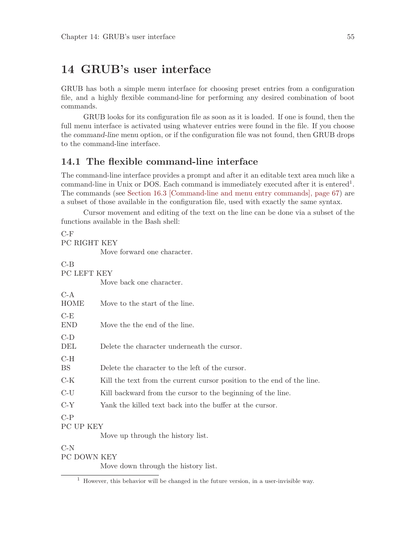# 14 GRUB's user interface

GRUB has both a simple menu interface for choosing preset entries from a configuration file, and a highly flexible command-line for performing any desired combination of boot commands.

GRUB looks for its configuration file as soon as it is loaded. If one is found, then the full menu interface is activated using whatever entries were found in the file. If you choose the command-line menu option, or if the configuration file was not found, then GRUB drops to the command-line interface.

# 14.1 The flexible command-line interface

The command-line interface provides a prompt and after it an editable text area much like a command-line in Unix or DOS. Each command is immediately executed after it is entered<sup>1</sup>. The commands (see [Section 16.3 \[Command-line and menu entry commands\], page 67\)](#page-76-0) are a subset of those available in the configuration file, used with exactly the same syntax.

Cursor movement and editing of the text on the line can be done via a subset of the functions available in the Bash shell:

```
C-F
PC RIGHT KEY
          Move forward one character.
C-B
PC LEFT KEY
          Move back one character.
C-AHOME Move to the start of the line.
C-FEND Move the the end of the line.
C-D
DEL Delete the character underneath the cursor.
C-H
BS Delete the character to the left of the cursor.
C-K Kill the text from the current cursor position to the end of the line.
C-U Kill backward from the cursor to the beginning of the line.
C-Y Yank the killed text back into the buffer at the cursor.
C-P
PC UP KEY
          Move up through the history list.
C-N
PC DOWN KEY
          Move down through the history list.
```
 $^{\rm 1}$  However, this behavior will be changed in the future version, in a user-invisible way.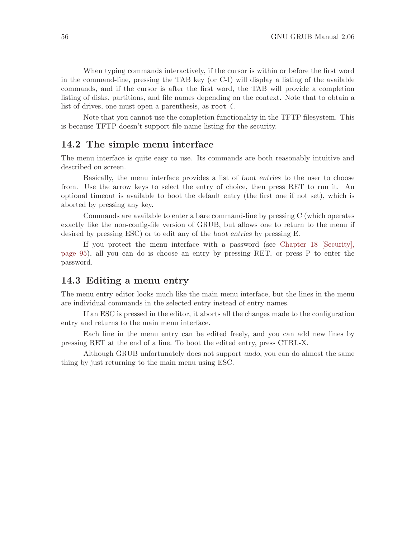When typing commands interactively, if the cursor is within or before the first word in the command-line, pressing the TAB key (or C-I) will display a listing of the available commands, and if the cursor is after the first word, the TAB will provide a completion listing of disks, partitions, and file names depending on the context. Note that to obtain a list of drives, one must open a parenthesis, as root (.

Note that you cannot use the completion functionality in the TFTP filesystem. This is because TFTP doesn't support file name listing for the security.

# 14.2 The simple menu interface

The menu interface is quite easy to use. Its commands are both reasonably intuitive and described on screen.

Basically, the menu interface provides a list of boot entries to the user to choose from. Use the arrow keys to select the entry of choice, then press RET to run it. An optional timeout is available to boot the default entry (the first one if not set), which is aborted by pressing any key.

Commands are available to enter a bare command-line by pressing C (which operates exactly like the non-config-file version of GRUB, but allows one to return to the menu if desired by pressing ESC) or to edit any of the boot entries by pressing E.

If you protect the menu interface with a password (see [Chapter 18 \[Security\],](#page-104-0) [page 95\)](#page-104-0), all you can do is choose an entry by pressing RET, or press P to enter the password.

# 14.3 Editing a menu entry

The menu entry editor looks much like the main menu interface, but the lines in the menu are individual commands in the selected entry instead of entry names.

If an ESC is pressed in the editor, it aborts all the changes made to the configuration entry and returns to the main menu interface.

Each line in the menu entry can be edited freely, and you can add new lines by pressing RET at the end of a line. To boot the edited entry, press CTRL-X.

Although GRUB unfortunately does not support undo, you can do almost the same thing by just returning to the main menu using ESC.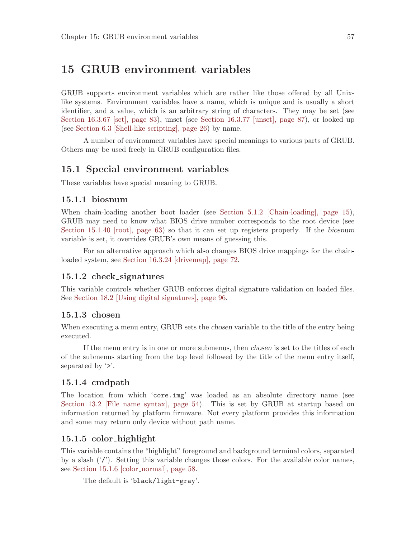# <span id="page-66-0"></span>15 GRUB environment variables

GRUB supports environment variables which are rather like those offered by all Unixlike systems. Environment variables have a name, which is unique and is usually a short identifier, and a value, which is an arbitrary string of characters. They may be set (see [Section 16.3.67 \[set\], page 83](#page-92-0)), unset (see [Section 16.3.77 \[unset\], page 87\)](#page-96-0), or looked up (see [Section 6.3 \[Shell-like scripting\], page 26\)](#page-35-0) by name.

A number of environment variables have special meanings to various parts of GRUB. Others may be used freely in GRUB configuration files.

# 15.1 Special environment variables

These variables have special meaning to GRUB.

## 15.1.1 biosnum

When chain-loading another boot loader (see [Section 5.1.2 \[Chain-loading\], page 15\)](#page-24-0), GRUB may need to know what BIOS drive number corresponds to the root device (see [Section 15.1.40 \[root\], page 63\)](#page-72-0) so that it can set up registers properly. If the biosnum variable is set, it overrides GRUB's own means of guessing this.

For an alternative approach which also changes BIOS drive mappings for the chainloaded system, see [Section 16.3.24 \[drivemap\], page 72.](#page-81-0)

#### 15.1.2 check signatures

This variable controls whether GRUB enforces digital signature validation on loaded files. See [Section 18.2 \[Using digital signatures\], page 96](#page-105-0).

#### 15.1.3 chosen

When executing a menu entry, GRUB sets the *chosen* variable to the title of the entry being executed.

If the menu entry is in one or more submenus, then chosen is set to the titles of each of the submenus starting from the top level followed by the title of the menu entry itself, separated by  $\cdot$ .

#### 15.1.4 cmdpath

The location from which 'core.img' was loaded as an absolute directory name (see [Section 13.2 \[File name syntax\], page 54](#page-63-0)). This is set by GRUB at startup based on information returned by platform firmware. Not every platform provides this information and some may return only device without path name.

#### <span id="page-66-1"></span>15.1.5 color highlight

This variable contains the "highlight" foreground and background terminal colors, separated by a slash  $('/')$ . Setting this variable changes those colors. For the available color names, see [Section 15.1.6 \[color](#page-67-0)\_normal], page 58.

The default is 'black/light-gray'.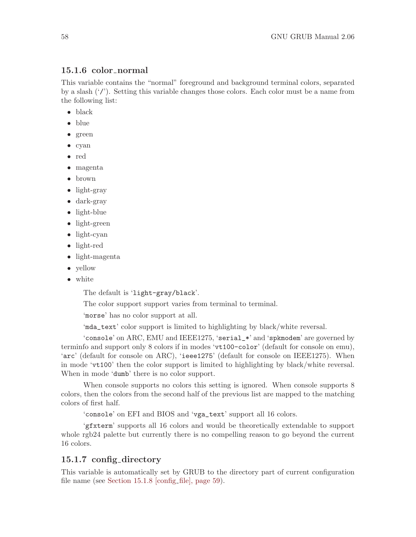## <span id="page-67-0"></span>15.1.6 color\_normal

This variable contains the "normal" foreground and background terminal colors, separated by a slash  $('')$ . Setting this variable changes those colors. Each color must be a name from the following list:

- black
- blue
- green
- cyan
- red
- magenta
- brown
- light-gray
- dark-gray
- light-blue
- light-green
- light-cyan
- light-red
- light-magenta
- yellow
- white

The default is 'light-gray/black'.

The color support support varies from terminal to terminal.

'morse' has no color support at all.

'mda\_text' color support is limited to highlighting by black/white reversal.

'console' on ARC, EMU and IEEE1275, 'serial\_\*' and 'spkmodem' are governed by terminfo and support only 8 colors if in modes 'vt100-color' (default for console on emu), 'arc' (default for console on ARC), 'ieee1275' (default for console on IEEE1275). When in mode 'vt100' then the color support is limited to highlighting by black/white reversal. When in mode 'dumb' there is no color support.

When console supports no colors this setting is ignored. When console supports 8 colors, then the colors from the second half of the previous list are mapped to the matching colors of first half.

'console' on EFI and BIOS and 'vga\_text' support all 16 colors.

'gfxterm' supports all 16 colors and would be theoretically extendable to support whole rgb24 palette but currently there is no compelling reason to go beyond the current 16 colors.

## 15.1.7 config directory

This variable is automatically set by GRUB to the directory part of current configuration file name (see [Section 15.1.8 \[config](#page-68-0) file], page 59).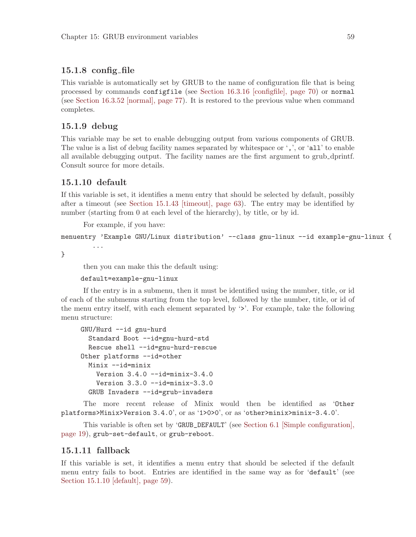## <span id="page-68-0"></span>15.1.8 config file

This variable is automatically set by GRUB to the name of configuration file that is being processed by commands configfile (see [Section 16.3.16 \[configfile\], page 70\)](#page-79-0) or normal (see [Section 16.3.52 \[normal\], page 77\)](#page-86-0). It is restored to the previous value when command completes.

## 15.1.9 debug

This variable may be set to enable debugging output from various components of GRUB. The value is a list of debug facility names separated by whitespace or ',', or 'all' to enable all available debugging output. The facility names are the first argument to grub dprintf. Consult source for more details.

## <span id="page-68-1"></span>15.1.10 default

...

If this variable is set, it identifies a menu entry that should be selected by default, possibly after a timeout (see [Section 15.1.43 \[timeout\], page 63](#page-72-1)). The entry may be identified by number (starting from 0 at each level of the hierarchy), by title, or by id.

For example, if you have:

```
menuentry 'Example GNU/Linux distribution' --class gnu-linux --id example-gnu-linux {
```
}

then you can make this the default using:

#### default=example-gnu-linux

If the entry is in a submenu, then it must be identified using the number, title, or id of each of the submenus starting from the top level, followed by the number, title, or id of the menu entry itself, with each element separated by '>'. For example, take the following menu structure:

```
GNU/Hurd --id gnu-hurd
  Standard Boot --id=gnu-hurd-std
  Rescue shell --id=gnu-hurd-rescue
Other platforms --id=other
  Minix --id=minix
    Version 3.4.0 --id=minix-3.4.0
    Version 3.3.0 --id=minix-3.3.0
  GRUB Invaders --id=grub-invaders
```
The more recent release of Minix would then be identified as 'Other platforms>Minix>Version 3.4.0', or as '1>0>0', or as 'other>minix>minix-3.4.0'.

This variable is often set by 'GRUB\_DEFAULT' (see [Section 6.1 \[Simple configuration\],](#page-28-0) [page 19](#page-28-0)), grub-set-default, or grub-reboot.

### 15.1.11 fallback

If this variable is set, it identifies a menu entry that should be selected if the default menu entry fails to boot. Entries are identified in the same way as for 'default' (see [Section 15.1.10 \[default\], page 59](#page-68-1)).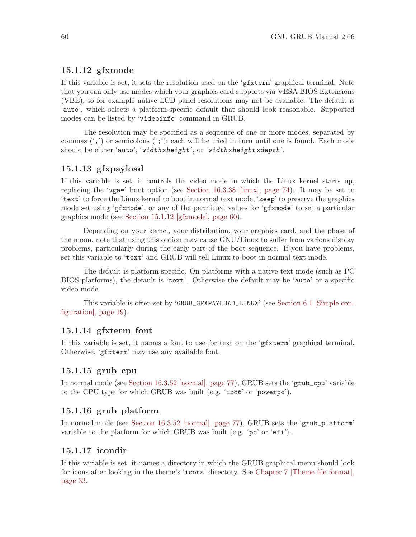# <span id="page-69-0"></span>15.1.12 gfxmode

If this variable is set, it sets the resolution used on the 'gfxterm' graphical terminal. Note that you can only use modes which your graphics card supports via VESA BIOS Extensions (VBE), so for example native LCD panel resolutions may not be available. The default is 'auto', which selects a platform-specific default that should look reasonable. Supported modes can be listed by 'videoinfo' command in GRUB.

The resolution may be specified as a sequence of one or more modes, separated by commas  $(\cdot, \cdot)$  or semicolons  $(\cdot, \cdot)$ ; each will be tried in turn until one is found. Each mode should be either 'auto', 'widthxheight', or 'widthxheightxdepth'.

# 15.1.13 gfxpayload

If this variable is set, it controls the video mode in which the Linux kernel starts up, replacing the 'vga=' boot option (see [Section 16.3.38 \[linux\], page 74\)](#page-83-1). It may be set to 'text' to force the Linux kernel to boot in normal text mode, 'keep' to preserve the graphics mode set using 'gfxmode', or any of the permitted values for 'gfxmode' to set a particular graphics mode (see [Section 15.1.12 \[gfxmode\], page 60\)](#page-69-0).

Depending on your kernel, your distribution, your graphics card, and the phase of the moon, note that using this option may cause GNU/Linux to suffer from various display problems, particularly during the early part of the boot sequence. If you have problems, set this variable to 'text' and GRUB will tell Linux to boot in normal text mode.

The default is platform-specific. On platforms with a native text mode (such as PC BIOS platforms), the default is 'text'. Otherwise the default may be 'auto' or a specific video mode.

This variable is often set by 'GRUB\_GFXPAYLOAD\_LINUX' (see [Section 6.1 \[Simple con](#page-28-0)[figuration\], page 19](#page-28-0)).

#### 15.1.14 gfxterm font

If this variable is set, it names a font to use for text on the 'gfxterm' graphical terminal. Otherwise, 'gfxterm' may use any available font.

# 15.1.15 grub cpu

In normal mode (see [Section 16.3.52 \[normal\], page 77](#page-86-0)), GRUB sets the 'grub\_cpu' variable to the CPU type for which GRUB was built (e.g. 'i386' or 'powerpc').

### 15.1.16 grub\_platform

In normal mode (see [Section 16.3.52 \[normal\], page 77\)](#page-86-0), GRUB sets the 'grub\_platform' variable to the platform for which GRUB was built (e.g. 'pc' or 'efi').

### 15.1.17 icondir

If this variable is set, it names a directory in which the GRUB graphical menu should look for icons after looking in the theme's 'icons' directory. See [Chapter 7 \[Theme file format\],](#page-42-0) [page 33](#page-42-0).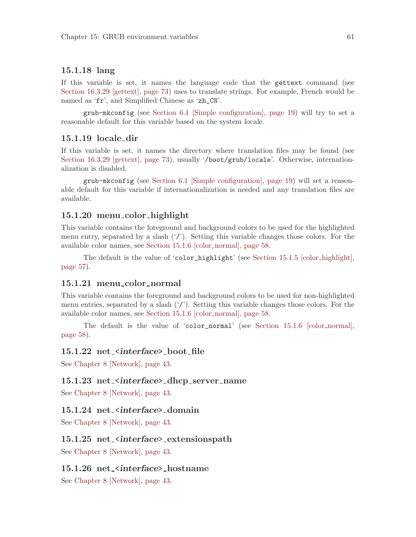## 15.1.18 lang

If this variable is set, it names the language code that the gettext command (see [Section 16.3.29 \[gettext\], page 73](#page-82-0)) uses to translate strings. For example, French would be named as 'fr', and Simplified Chinese as 'zh\_CN'.

grub-mkconfig (see [Section 6.1 \[Simple configuration\], page 19](#page-28-0)) will try to set a reasonable default for this variable based on the system locale.

## 15.1.19 locale dir

If this variable is set, it names the directory where translation files may be found (see [Section 16.3.29 \[gettext\], page 73](#page-82-0)), usually '/boot/grub/locale'. Otherwise, internationalization is disabled.

grub-mkconfig (see [Section 6.1 \[Simple configuration\], page 19\)](#page-28-0) will set a reasonable default for this variable if internationalization is needed and any translation files are available.

### 15.1.20 menu color highlight

This variable contains the foreground and background colors to be used for the highlighted menu entry, separated by a slash  $('')$ . Setting this variable changes those colors. For the available color names, see [Section 15.1.6 \[color](#page-67-0)\_normal], page 58.

The default is the value of 'color\_highlight' (see [Section 15.1.5 \[color](#page-66-1) highlight], [page 57](#page-66-1)).

## 15.1.21 menu\_color\_normal

This variable contains the foreground and background colors to be used for non-highlighted menu entries, separated by a slash  $('/')$ . Setting this variable changes those colors. For the available color names, see [Section 15.1.6 \[color](#page-67-0)\_normal], page 58.

The default is the value of 'color\_normal' (see [Section 15.1.6 \[color](#page-67-0) normal], [page 58](#page-67-0)).

## 15.1.22 net\_<interface>\_boot\_file

See [Chapter 8 \[Network\], page 43](#page-52-0).

### 15.1.23 net\_<interface>\_dhcp\_server\_name

See [Chapter 8 \[Network\], page 43](#page-52-0).

#### 15.1.24 net\_<interface>\_domain

See [Chapter 8 \[Network\], page 43](#page-52-0).

## 15.1.25 net\_<interface>\_extensionspath

See [Chapter 8 \[Network\], page 43](#page-52-0).

### 15.1.26 net\_<interface>\_hostname

See [Chapter 8 \[Network\], page 43](#page-52-0).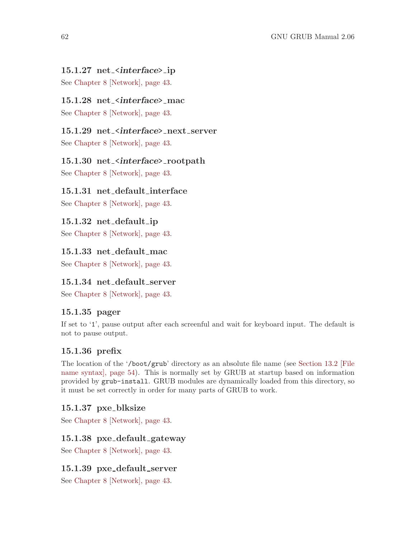# 15.1.27 net\_<interface>\_ip

See [Chapter 8 \[Network\], page 43](#page-52-0).

# 15.1.28 net\_<interface>\_mac

See [Chapter 8 \[Network\], page 43](#page-52-0).

# 15.1.29 net\_<interface>\_next\_server

See [Chapter 8 \[Network\], page 43](#page-52-0).

## 15.1.30 net\_<interface>\_rootpath

See [Chapter 8 \[Network\], page 43](#page-52-0).

# 15.1.31 net default interface

See [Chapter 8 \[Network\], page 43](#page-52-0).

## 15.1.32 net default ip

See [Chapter 8 \[Network\], page 43](#page-52-0).

# 15.1.33 net default mac

See [Chapter 8 \[Network\], page 43](#page-52-0).

## 15.1.34 net default server

See [Chapter 8 \[Network\], page 43](#page-52-0).

## 15.1.35 pager

If set to '1', pause output after each screenful and wait for keyboard input. The default is not to pause output.

# 15.1.36 prefix

The location of the '/boot/grub' directory as an absolute file name (see [Section 13.2 \[File](#page-63-0) [name syntax\], page 54\)](#page-63-0). This is normally set by GRUB at startup based on information provided by grub-install. GRUB modules are dynamically loaded from this directory, so it must be set correctly in order for many parts of GRUB to work.

## 15.1.37 pxe blksize

See [Chapter 8 \[Network\], page 43](#page-52-0).

## 15.1.38 pxe default gateway

See [Chapter 8 \[Network\], page 43](#page-52-0).

## 15.1.39 pxe default server

See [Chapter 8 \[Network\], page 43](#page-52-0).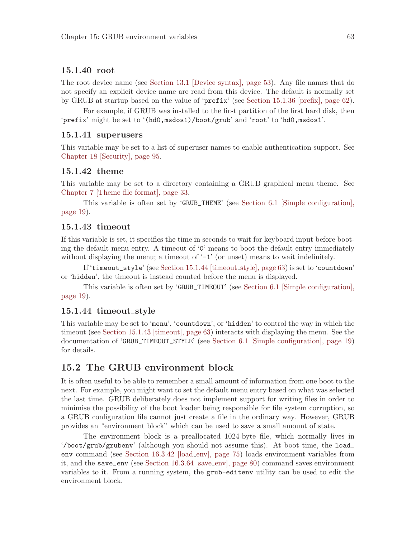#### 15.1.40 root

The root device name (see [Section 13.1 \[Device syntax\], page 53\)](#page-62-0). Any file names that do not specify an explicit device name are read from this device. The default is normally set by GRUB at startup based on the value of 'prefix' (see [Section 15.1.36 \[prefix\], page 62\)](#page-71-0).

For example, if GRUB was installed to the first partition of the first hard disk, then 'prefix' might be set to '(hd0,msdos1)/boot/grub' and 'root' to 'hd0,msdos1'.

#### <span id="page-72-2"></span>15.1.41 superusers

This variable may be set to a list of superuser names to enable authentication support. See [Chapter 18 \[Security\], page 95.](#page-104-0)

#### 15.1.42 theme

This variable may be set to a directory containing a GRUB graphical menu theme. See [Chapter 7 \[Theme file format\], page 33](#page-42-0).

This variable is often set by 'GRUB\_THEME' (see [Section 6.1 \[Simple configuration\],](#page-28-0) [page 19](#page-28-0)).

#### <span id="page-72-1"></span>15.1.43 timeout

If this variable is set, it specifies the time in seconds to wait for keyboard input before booting the default menu entry. A timeout of '0' means to boot the default entry immediately without displaying the menu; a timeout of  $-1'$  (or unset) means to wait indefinitely.

If 'timeout\_style' (see [Section 15.1.44 \[timeout](#page-72-0) style], page 63) is set to 'countdown' or 'hidden', the timeout is instead counted before the menu is displayed.

This variable is often set by 'GRUB\_TIMEOUT' (see [Section 6.1 \[Simple configuration\],](#page-28-0) [page 19](#page-28-0)).

#### <span id="page-72-0"></span>15.1.44 timeout style

This variable may be set to 'menu', 'countdown', or 'hidden' to control the way in which the timeout (see [Section 15.1.43 \[timeout\], page 63](#page-72-1)) interacts with displaying the menu. See the documentation of 'GRUB\_TIMEOUT\_STYLE' (see [Section 6.1 \[Simple configuration\], page 19\)](#page-28-0) for details.

## <span id="page-72-3"></span>15.2 The GRUB environment block

It is often useful to be able to remember a small amount of information from one boot to the next. For example, you might want to set the default menu entry based on what was selected the last time. GRUB deliberately does not implement support for writing files in order to minimise the possibility of the boot loader being responsible for file system corruption, so a GRUB configuration file cannot just create a file in the ordinary way. However, GRUB provides an "environment block" which can be used to save a small amount of state.

The environment block is a preallocated 1024-byte file, which normally lives in '/boot/grub/grubenv' (although you should not assume this). At boot time, the load\_ env command (see [Section 16.3.42 \[load](#page-84-0) env], page 75) loads environment variables from it, and the save\_env (see [Section 16.3.64 \[save](#page-89-0) env], page 80) command saves environment variables to it. From a running system, the grub-editenv utility can be used to edit the environment block.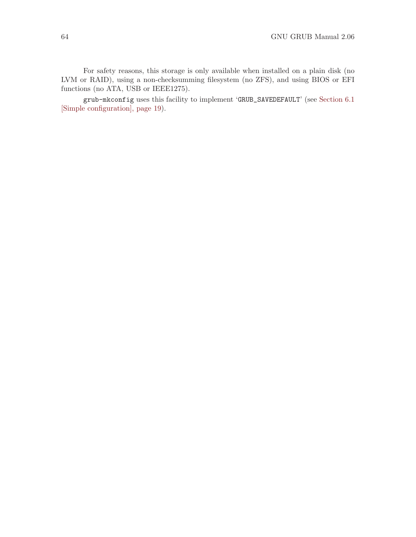For safety reasons, this storage is only available when installed on a plain disk (no LVM or RAID), using a non-checksumming filesystem (no ZFS), and using BIOS or EFI functions (no ATA, USB or IEEE1275).

grub-mkconfig uses this facility to implement 'GRUB\_SAVEDEFAULT' (see [Section 6.1](#page-28-0) [\[Simple configuration\], page 19](#page-28-0)).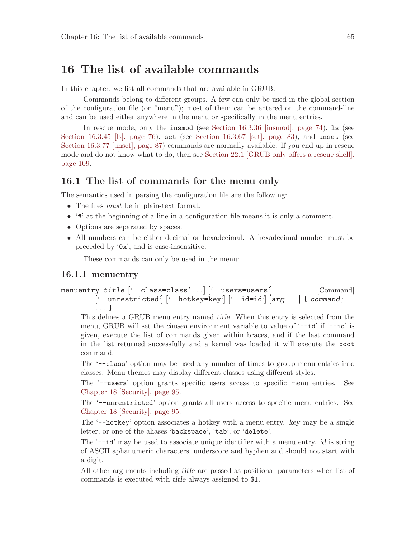# 16 The list of available commands

In this chapter, we list all commands that are available in GRUB.

Commands belong to different groups. A few can only be used in the global section of the configuration file (or "menu"); most of them can be entered on the command-line and can be used either anywhere in the menu or specifically in the menu entries.

In rescue mode, only the insmod (see [Section 16.3.36 \[insmod\], page 74](#page-83-0)), ls (see [Section 16.3.45 \[ls\], page 76](#page-85-0)), set (see [Section 16.3.67 \[set\], page 83\)](#page-92-0), and unset (see [Section 16.3.77 \[unset\], page 87](#page-96-0)) commands are normally available. If you end up in rescue mode and do not know what to do, then see [Section 22.1 \[GRUB only offers a rescue shell\],](#page-118-0) [page 109.](#page-118-0)

#### 16.1 The list of commands for the menu only

The semantics used in parsing the configuration file are the following:

- The files *must* be in plain-text format.
- '#' at the beginning of a line in a configuration file means it is only a comment.
- Options are separated by spaces.
- All numbers can be either decimal or hexadecimal. A hexadecimal number must be preceded by '0x', and is case-insensitive.

These commands can only be used in the menu:

#### <span id="page-74-0"></span>16.1.1 menuentry

## menuentry title ['--class=class'...] ['--users=users'] [Command]  $[--unrestricted']$   $[--hotkey=key']$   $[--id=id']$   $[arg ...]$  {  $command;$ . . . }

This defines a GRUB menu entry named title. When this entry is selected from the menu, GRUB will set the chosen environment variable to value of '--id' if '--id' is given, execute the list of commands given within braces, and if the last command in the list returned successfully and a kernel was loaded it will execute the boot command.

The '--class' option may be used any number of times to group menu entries into classes. Menu themes may display different classes using different styles.

The '--users' option grants specific users access to specific menu entries. See [Chapter 18 \[Security\], page 95.](#page-104-0)

The '--unrestricted' option grants all users access to specific menu entries. See [Chapter 18 \[Security\], page 95.](#page-104-0)

The '--hotkey' option associates a hotkey with a menu entry. key may be a single letter, or one of the aliases 'backspace', 'tab', or 'delete'.

The '--id' may be used to associate unique identifier with a menu entry. *id* is string of ASCII aphanumeric characters, underscore and hyphen and should not start with a digit.

All other arguments including title are passed as positional parameters when list of commands is executed with title always assigned to \$1.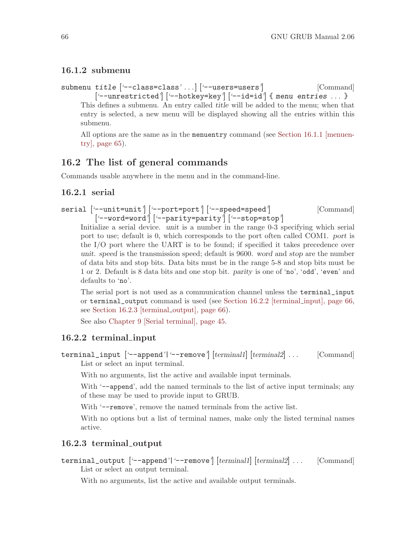## <span id="page-75-2"></span>16.1.2 submenu

submenu title  $\left[\text{'-class=class'} \dots\right]$   $\left[\text{--users=users'}\right]$  [Command]  $\left[$  '--unrestricted'  $\left[$  '--hotkey=key'  $\right]$   $\left[$  '--id=id'  $\left[$  f menu entries ...  $\right]$ This defines a submenu. An entry called *title* will be added to the menu; when that entry is selected, a new menu will be displayed showing all the entries within this submenu.

All options are the same as in the menuentry command (see [Section 16.1.1 \[menuen](#page-74-0)[try\], page 65](#page-74-0)).

## 16.2 The list of general commands

Commands usable anywhere in the menu and in the command-line.

## 16.2.1 serial

```
serial [--unit=unit'] [--port=port'] [--speed=speed'] [Command]
        ['--word=word'] ['--parity=parity'] ['--stop=stop']
```
Initialize a serial device. unit is a number in the range 0-3 specifying which serial port to use; default is 0, which corresponds to the port often called COM1. port is the I/O port where the UART is to be found; if specified it takes precedence over unit. speed is the transmission speed; default is 9600. word and stop are the number of data bits and stop bits. Data bits must be in the range 5-8 and stop bits must be 1 or 2. Default is 8 data bits and one stop bit. parity is one of 'no', 'odd', 'even' and defaults to 'no'.

The serial port is not used as a communication channel unless the terminal\_input or terminal\_output command is used (see [Section 16.2.2 \[terminal](#page-75-0) input], page 66, see [Section 16.2.3 \[terminal](#page-75-1)\_output], page 66).

See also [Chapter 9 \[Serial terminal\], page 45](#page-54-0).

## <span id="page-75-0"></span>16.2.2 terminal input

terminal\_input ['--append'| '--remove'] [terminal1] [terminal2] ... [Command] List or select an input terminal.

With no arguments, list the active and available input terminals.

With '--append', add the named terminals to the list of active input terminals; any of these may be used to provide input to GRUB.

With '--remove', remove the named terminals from the active list.

With no options but a list of terminal names, make only the listed terminal names active.

## <span id="page-75-1"></span>16.2.3 terminal output

terminal\_output ['--append'|'--remove'] [terminal1] [terminal2] . . . [Command] List or select an output terminal.

With no arguments, list the active and available output terminals.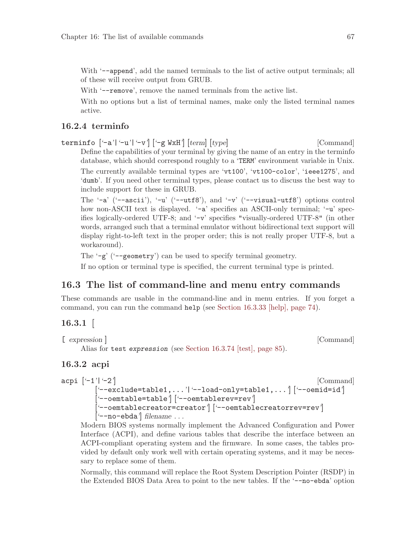With '--append', add the named terminals to the list of active output terminals; all of these will receive output from GRUB.

With '--remove', remove the named terminals from the active list.

With no options but a list of terminal names, make only the listed terminal names active.

## 16.2.4 terminfo

terminfo  $[-a'] -u'] -v'$   $[-g WxH']$   $[term] [type]$  [Command] Define the capabilities of your terminal by giving the name of an entry in the terminfo database, which should correspond roughly to a 'TERM' environment variable in Unix. The currently available terminal types are 'vt100', 'vt100-color', 'ieee1275', and 'dumb'. If you need other terminal types, please contact us to discuss the best way to include support for these in GRUB.

The '-a' ('--ascii'), '-u' ('--utf8'), and '-v' ('--visual-utf8') options control how non-ASCII text is displayed. '-a' specifies an ASCII-only terminal; '-u' specifies logically-ordered UTF-8; and '-v' specifies "visually-ordered UTF-8" (in other words, arranged such that a terminal emulator without bidirectional text support will display right-to-left text in the proper order; this is not really proper UTF-8, but a workaround).

The '-g' ('--geometry') can be used to specify terminal geometry.

If no option or terminal type is specified, the current terminal type is printed.

## 16.3 The list of command-line and menu entry commands

These commands are usable in the command-line and in menu entries. If you forget a command, you can run the command help (see [Section 16.3.33 \[help\], page 74\)](#page-83-1).

## $16.3.1$

```
[ expression ] [Command]
   Alias for test expression (see Section 16.3.74 [test], page 85).
```
## 16.3.2 acpi

```
acpi [-1'] -2'] [Command]
       ['--exclude=table1,...'|'--load-only=table1,...'] ['--oemid=id']
       ['--oemtable=table'] ['--oemtablerev=rev']
       ['--oemtablecreator=creator'] ['--oemtablecreatorrev=rev']
       ['--no-ebda'] filename . . .
```
Modern BIOS systems normally implement the Advanced Configuration and Power Interface (ACPI), and define various tables that describe the interface between an ACPI-compliant operating system and the firmware. In some cases, the tables provided by default only work well with certain operating systems, and it may be necessary to replace some of them.

Normally, this command will replace the Root System Description Pointer (RSDP) in the Extended BIOS Data Area to point to the new tables. If the '--no-ebda' option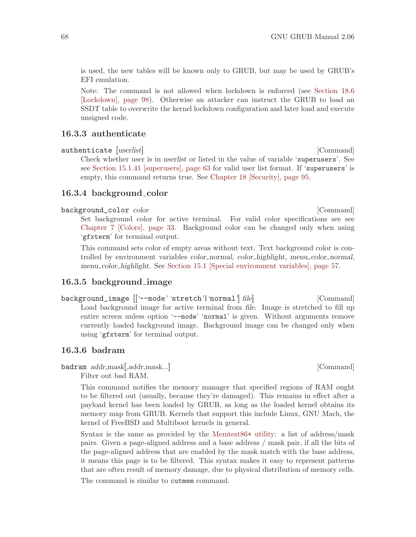is used, the new tables will be known only to GRUB, but may be used by GRUB's EFI emulation.

Note: The command is not allowed when lockdown is enforced (see [Section 18.6](#page-107-0) [\[Lockdown\], page 98](#page-107-0)). Otherwise an attacker can instruct the GRUB to load an SSDT table to overwrite the kernel lockdown configuration and later load and execute unsigned code.

#### 16.3.3 authenticate

authenticate [userlist] [Command]

Check whether user is in userlist or listed in the value of variable 'superusers'. See see [Section 15.1.41 \[superusers\], page 63](#page-72-2) for valid user list format. If 'superusers' is empty, this command returns true. See [Chapter 18 \[Security\], page 95.](#page-104-0)

## 16.3.4 background\_color

#### background\_color color  $[{\rm Command}]$

Set background color for active terminal. For valid color specifications see see [Chapter 7 \[Colors\], page 33.](#page-42-0) Background color can be changed only when using 'gfxterm' for terminal output.

This command sets color of empty areas without text. Text background color is controlled by environment variables *color\_normal*, *color\_highlight*, menu\_color\_normal, menu color highlight. See [Section 15.1 \[Special environment variables\], page 57.](#page-66-0)

## 16.3.5 background image

background\_image  $[[$  '--mode' 'stretch'| 'normal'| file| [Command] Load background image for active terminal from *file*. Image is stretched to fill up entire screen unless option '--mode' 'normal' is given. Without arguments remove currently loaded background image. Background image can be changed only when using 'gfxterm' for terminal output.

#### 16.3.6 badram

badram addr,mask[,addr,mask...] [Command]

Filter out bad RAM.

This command notifies the memory manager that specified regions of RAM ought to be filtered out (usually, because they're damaged). This remains in effect after a payload kernel has been loaded by GRUB, as long as the loaded kernel obtains its memory map from GRUB. Kernels that support this include Linux, GNU Mach, the kernel of FreeBSD and Multiboot kernels in general.

Syntax is the same as provided by the [Memtest86](http://www.memtest.org/)+ utility: a list of address/mask pairs. Given a page-aligned address and a base address / mask pair, if all the bits of the page-aligned address that are enabled by the mask match with the base address, it means this page is to be filtered. This syntax makes it easy to represent patterns that are often result of memory damage, due to physical distribution of memory cells.

The command is similar to cutmem command.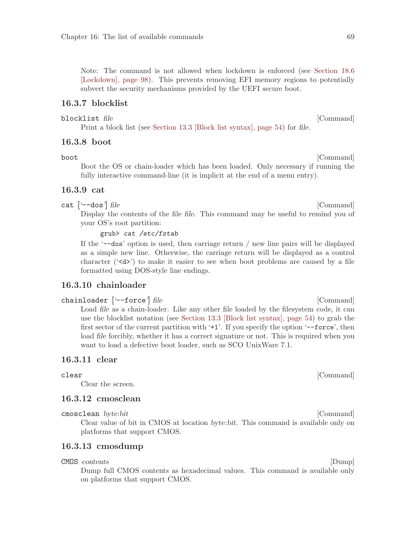Note: The command is not allowed when lockdown is enforced (see [Section 18.6](#page-107-0) [\[Lockdown\], page 98](#page-107-0)). This prevents removing EFI memory regions to potentially subvert the security mechanisms provided by the UEFI secure boot.

#### 16.3.7 blocklist

#### blocklist file [Command]

Print a block list (see [Section 13.3 \[Block list syntax\], page 54](#page-63-0)) for file.

#### 16.3.8 boot

Boot the OS or chain-loader which has been loaded. Only necessary if running the fully interactive command-line (it is implicit at the end of a menu entry).

#### 16.3.9 cat

 $cat$   $[--dos']$   $file$  [Command]

Display the contents of the file *file*. This command may be useful to remind you of your OS's root partition:

#### grub> cat /etc/fstab

If the '--dos' option is used, then carriage return / new line pairs will be displayed as a simple new line. Otherwise, the carriage return will be displayed as a control character ( $\langle \langle d \rangle$ ) to make it easier to see when boot problems are caused by a file formatted using DOS-style line endings.

## 16.3.10 chainloader

#### chainloader ['--force'] file [Command]

Load *file* as a chain-loader. Like any other file loaded by the filesystem code, it can use the blocklist notation (see [Section 13.3 \[Block list syntax\], page 54\)](#page-63-0) to grab the first sector of the current partition with '+1'. If you specify the option '--force', then load file forcibly, whether it has a correct signature or not. This is required when you want to load a defective boot loader, such as SCO UnixWare 7.1.

#### 16.3.11 clear

clear [Command]

Clear the screen.

#### 16.3.12 cmosclean

cmosclean byte:bit [Command]

Clear value of bit in CMOS at location byte:bit. This command is available only on platforms that support CMOS.

#### 16.3.13 cmosdump

CMOS contents [Dump]

Dump full CMOS contents as hexadecimal values. This command is available only on platforms that support CMOS.

boot [Command]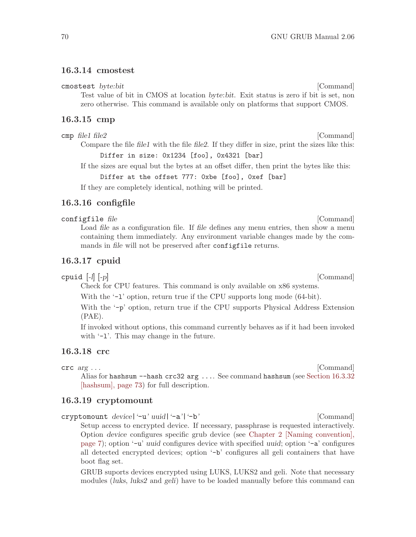#### 16.3.14 cmostest

cmostest byte:bit [Command]

Test value of bit in CMOS at location byte:bit. Exit status is zero if bit is set, non zero otherwise. This command is available only on platforms that support CMOS.

#### 16.3.15 cmp

cmp file1 file2 [Command]

Compare the file file1 with the file file2. If they differ in size, print the sizes like this: Differ in size: 0x1234 [foo], 0x4321 [bar]

If the sizes are equal but the bytes at an offset differ, then print the bytes like this: Differ at the offset 777: 0xbe [foo], 0xef [bar]

If they are completely identical, nothing will be printed.

## <span id="page-79-0"></span>16.3.16 configfile

configfile file [Command]

Load *file* as a configuration file. If *file* defines any menu entries, then show a menu containing them immediately. Any environment variable changes made by the commands in file will not be preserved after configfile returns.

#### 16.3.17 cpuid

cpuid [-l] [-p] [Command]

Check for CPU features. This command is only available on x86 systems.

With the  $-1$ ' option, return true if the CPU supports long mode (64-bit).

With the '-p' option, return true if the CPU supports Physical Address Extension (PAE).

If invoked without options, this command currently behaves as if it had been invoked with  $-1$ . This may change in the future.

## 16.3.18 crc

 $\text{circ} \quad \text{arg} \ldots$  [Command]

Alias for hashsum  $-\text{hash crc32 arg} \ldots$  See command hashsum (see [Section 16.3.32](#page-82-0)) [\[hashsum\], page 73](#page-82-0)) for full description.

#### 16.3.19 cryptomount

cryptomount device|'-u' uuid|'-a'|'-b' [Command] Setup access to encrypted device. If necessary, passphrase is requested interactively. Option device configures specific grub device (see [Chapter 2 \[Naming convention\],](#page-16-0) [page 7](#page-16-0)); option '-u' uuid configures device with specified uuid; option '-a' configures all detected encrypted devices; option '-b' configures all geli containers that have boot flag set.

GRUB suports devices encrypted using LUKS, LUKS2 and geli. Note that necessary modules (luks, luks2 and geli) have to be loaded manually before this command can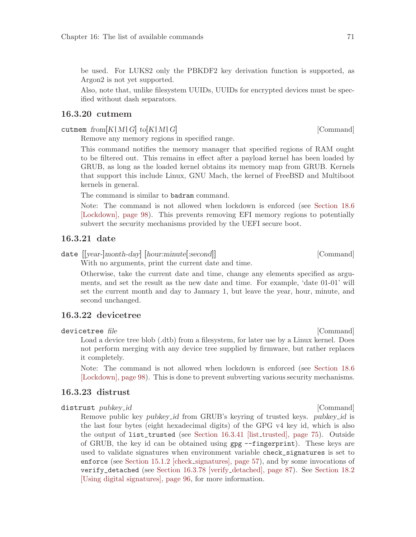be used. For LUKS2 only the PBKDF2 key derivation function is supported, as Argon2 is not yet supported.

Also, note that, unlike filesystem UUIDs, UUIDs for encrypted devices must be specified without dash separators.

#### 16.3.20 cutmem

cutmem  $from [K|M|G]$  to  $[K|M|G]$  [Command]

Remove any memory regions in specified range.

This command notifies the memory manager that specified regions of RAM ought to be filtered out. This remains in effect after a payload kernel has been loaded by GRUB, as long as the loaded kernel obtains its memory map from GRUB. Kernels that support this include Linux, GNU Mach, the kernel of FreeBSD and Multiboot kernels in general.

The command is similar to badram command.

With no arguments, print the current date and time.

Note: The command is not allowed when lockdown is enforced (see [Section 18.6](#page-107-0) [\[Lockdown\], page 98](#page-107-0)). This prevents removing EFI memory regions to potentially subvert the security mechanisms provided by the UEFI secure boot.

#### 16.3.21 date

date  $[[year]month-day]$  [hour:minute[:second]] [Command]

Otherwise, take the current date and time, change any elements specified as arguments, and set the result as the new date and time. For example, 'date 01-01' will set the current month and day to January 1, but leave the year, hour, minute, and second unchanged.

#### 16.3.22 devicetree

#### devicetree file [Command]

Load a device tree blob (.dtb) from a filesystem, for later use by a Linux kernel. Does not perform merging with any device tree supplied by firmware, but rather replaces it completely.

Note: The command is not allowed when lockdown is enforced (see [Section 18.6](#page-107-0) [\[Lockdown\], page 98\)](#page-107-0). This is done to prevent subverting various security mechanisms.

#### <span id="page-80-0"></span>16.3.23 distrust

#### distrust pubkey id and command command and command command command command command command command command comm

Remove public key pubkey id from GRUB's keyring of trusted keys. pubkey id is the last four bytes (eight hexadecimal digits) of the GPG v4 key id, which is also the output of list\_trusted (see [Section 16.3.41 \[list](#page-84-1)\_trusted], page 75). Outside of GRUB, the key id can be obtained using gpg --fingerprint). These keys are used to validate signatures when environment variable check\_signatures is set to enforce (see [Section 15.1.2 \[check](#page-66-1) signatures], page 57), and by some invocations of verify\_detached (see [Section 16.3.78 \[verify](#page-96-1) detached], page 87). See [Section 18.2](#page-105-0) [\[Using digital signatures\], page 96,](#page-105-0) for more information.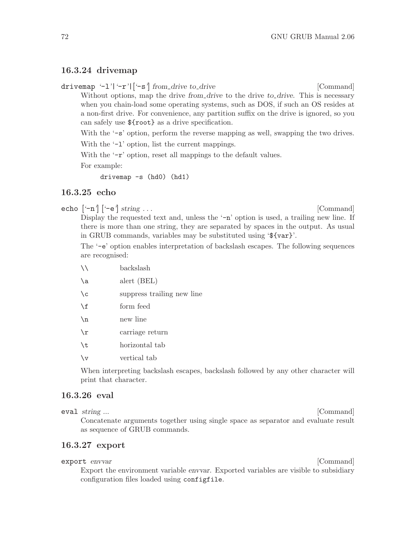## 16.3.24 drivemap

drivemap '-l'|'-r'|['-s'| from drive to drive  $[{\rm Command}]$ Without options, map the drive from drive to the drive to drive. This is necessary when you chain-load some operating systems, such as DOS, if such an OS resides at a non-first drive. For convenience, any partition suffix on the drive is ignored, so you can safely use \${root} as a drive specification.

With the '-s' option, perform the reverse mapping as well, swapping the two drives. With the  $-1$  option, list the current mappings.

With the  $\left\langle -r\right\rangle$  option, reset all mappings to the default values.

For example:

drivemap -s (hd0) (hd1)

## 16.3.25 echo

echo  $[-n]$   $[-e]$  string  $\dots$  [Command]

Display the requested text and, unless the  $-\mathbf{n}'$  option is used, a trailing new line. If there is more than one string, they are separated by spaces in the output. As usual in GRUB commands, variables may be substituted using '\${var}'.

The '-e' option enables interpretation of backslash escapes. The following sequences are recognised:

- \\ backslash
- \a alert (BEL)
- \c suppress trailing new line
- \f form feed
- \n new line
- \r carriage return
- \t horizontal tab
- \v vertical tab

When interpreting backslash escapes, backslash followed by any other character will print that character.

## 16.3.26 eval

eval string ... [Command] Concatenate arguments together using single space as separator and evaluate result as sequence of GRUB commands.

## 16.3.27 export

export envvar [Command]

Export the environment variable envvar. Exported variables are visible to subsidiary configuration files loaded using configfile.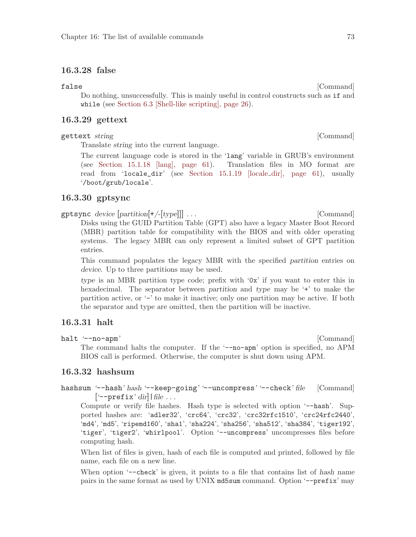## 16.3.28 false

#### false [Command]

Do nothing, unsuccessfully. This is mainly useful in control constructs such as if and while (see [Section 6.3 \[Shell-like scripting\], page 26\)](#page-35-0).

#### 16.3.29 gettext

#### gettext string [Command]

Translate string into the current language.

The current language code is stored in the 'lang' variable in GRUB's environment (see [Section 15.1.18 \[lang\], page 61\)](#page-70-0). Translation files in MO format are read from 'locale\_dir' (see [Section 15.1.19 \[locale](#page-70-1) dir], page 61), usually '/boot/grub/locale'.

## 16.3.30 gptsync

gptsync device [partition[+/-[type]]] . . . [Command]

Disks using the GUID Partition Table (GPT) also have a legacy Master Boot Record (MBR) partition table for compatibility with the BIOS and with older operating systems. The legacy MBR can only represent a limited subset of GPT partition entries.

This command populates the legacy MBR with the specified partition entries on device. Up to three partitions may be used.

type is an MBR partition type code; prefix with '0x' if you want to enter this in hexadecimal. The separator between partition and type may be '+' to make the partition active, or '-' to make it inactive; only one partition may be active. If both the separator and type are omitted, then the partition will be inactive.

## 16.3.31 halt

halt '--no-apm' [Command]

The command halts the computer. If the '--no-apm' option is specified, no APM BIOS call is performed. Otherwise, the computer is shut down using APM.

#### <span id="page-82-0"></span>16.3.32 hashsum

hashsum '--hash' hash '--keep-going' '--uncompress' '--check' file [Command]  $\left[$  '--prefix' dir | file ...

Compute or verify file hashes. Hash type is selected with option '--hash'. Supported hashes are: 'adler32', 'crc64', 'crc32', 'crc32rfc1510', 'crc24rfc2440', 'md4', 'md5', 'ripemd160', 'sha1', 'sha224', 'sha256', 'sha512', 'sha384', 'tiger192', 'tiger', 'tiger2', 'whirlpool'. Option '--uncompress' uncompresses files before computing hash.

When list of files is given, hash of each file is computed and printed, followed by file name, each file on a new line.

When option '--check' is given, it points to a file that contains list of hash name pairs in the same format as used by UNIX md5sum command. Option '--prefix' may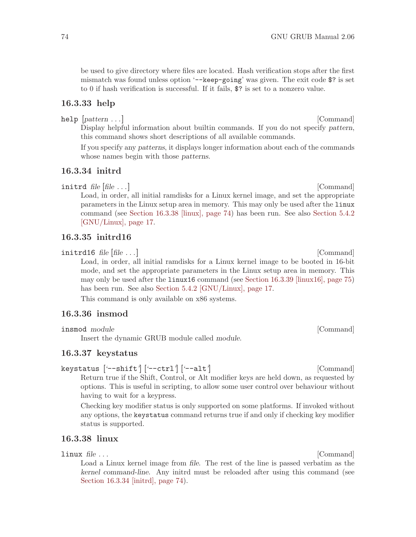be used to give directory where files are located. Hash verification stops after the first mismatch was found unless option  $\text{--}$ -keep-going' was given. The exit code \$? is set to 0 if hash verification is successful. If it fails, \$? is set to a nonzero value.

#### <span id="page-83-1"></span>16.3.33 help

help  $[pattern \dots]$  [Command]

Display helpful information about builtin commands. If you do not specify pattern, this command shows short descriptions of all available commands.

If you specify any patterns, it displays longer information about each of the commands whose names begin with those patterns.

## <span id="page-83-3"></span>16.3.34 initrd

initrd file  $[file \dots]$  [Command]

Load, in order, all initial ramdisks for a Linux kernel image, and set the appropriate parameters in the Linux setup area in memory. This may only be used after the linux command (see [Section 16.3.38 \[linux\], page 74](#page-83-2)) has been run. See also [Section 5.4.2](#page-26-0) [\[GNU/Linux\], page 17.](#page-26-0)

## <span id="page-83-4"></span>16.3.35 initrd16

initrd16 file [file . . .] [Command]

Load, in order, all initial ramdisks for a Linux kernel image to be booted in 16-bit mode, and set the appropriate parameters in the Linux setup area in memory. This may only be used after the linux16 command (see [Section 16.3.39 \[linux16\], page 75\)](#page-84-2) has been run. See also [Section 5.4.2 \[GNU/Linux\], page 17.](#page-26-0)

This command is only available on x86 systems.

## <span id="page-83-0"></span>16.3.36 insmod

insmod module [Command]

Insert the dynamic GRUB module called module.

#### 16.3.37 keystatus

keystatus ['--shift'] ['--ctrl'] ['--alt'] [2000] [Command] Return true if the Shift, Control, or Alt modifier keys are held down, as requested by options. This is useful in scripting, to allow some user control over behaviour without having to wait for a keypress.

Checking key modifier status is only supported on some platforms. If invoked without any options, the keystatus command returns true if and only if checking key modifier status is supported.

## <span id="page-83-2"></span>16.3.38 linux

linux file ... [Command]

Load a Linux kernel image from file. The rest of the line is passed verbatim as the kernel command-line. Any initrd must be reloaded after using this command (see [Section 16.3.34 \[initrd\], page 74\)](#page-83-3).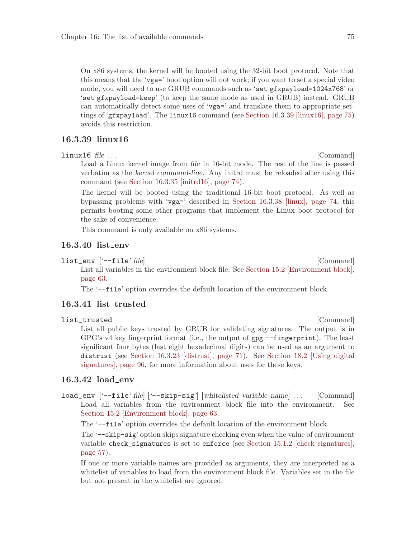On x86 systems, the kernel will be booted using the 32-bit boot protocol. Note that this means that the 'vga=' boot option will not work; if you want to set a special video mode, you will need to use GRUB commands such as 'set gfxpayload=1024x768' or 'set gfxpayload=keep' (to keep the same mode as used in GRUB) instead. GRUB can automatically detect some uses of 'vga=' and translate them to appropriate settings of 'gfxpayload'. The linux16 command (see [Section 16.3.39 \[linux16\], page 75\)](#page-84-2) avoids this restriction.

## <span id="page-84-2"></span>16.3.39 linux16

linux16 file ... [Command]

Load a Linux kernel image from file in 16-bit mode. The rest of the line is passed verbatim as the kernel command-line. Any initrd must be reloaded after using this command (see [Section 16.3.35 \[initrd16\], page 74](#page-83-4)).

The kernel will be booted using the traditional 16-bit boot protocol. As well as bypassing problems with 'vga=' described in [Section 16.3.38 \[linux\], page 74,](#page-83-2) this permits booting some other programs that implement the Linux boot protocol for the sake of convenience.

This command is only available on x86 systems.

#### 16.3.40 list env

list\_env ['--file' file] [Command]

List all variables in the environment block file. See [Section 15.2 \[Environment block\],](#page-72-3) [page 63](#page-72-3).

The '--file' option overrides the default location of the environment block.

## <span id="page-84-1"></span>16.3.41 list\_trusted

list\_trusted [Command]

List all public keys trusted by GRUB for validating signatures. The output is in GPG's v4 key fingerprint format (i.e., the output of gpg --fingerprint). The least significant four bytes (last eight hexadecimal digits) can be used as an argument to distrust (see [Section 16.3.23 \[distrust\], page 71\)](#page-80-0). See [Section 18.2 \[Using digital](#page-105-0) [signatures\], page 96,](#page-105-0) for more information about uses for these keys.

## <span id="page-84-0"></span>16.3.42 load\_env

load\_env ['--file' file] ['--skip-sig'] [whitelisted variable name] . . . [Command] Load all variables from the environment block file into the environment. See [Section 15.2 \[Environment block\], page 63.](#page-72-3)

The '--file' option overrides the default location of the environment block.

The '--skip-sig' option skips signature checking even when the value of environment variable check\_signatures is set to enforce (see [Section 15.1.2 \[check](#page-66-1) signatures], [page 57](#page-66-1)).

If one or more variable names are provided as arguments, they are interpreted as a whitelist of variables to load from the environment block file. Variables set in the file but not present in the whitelist are ignored.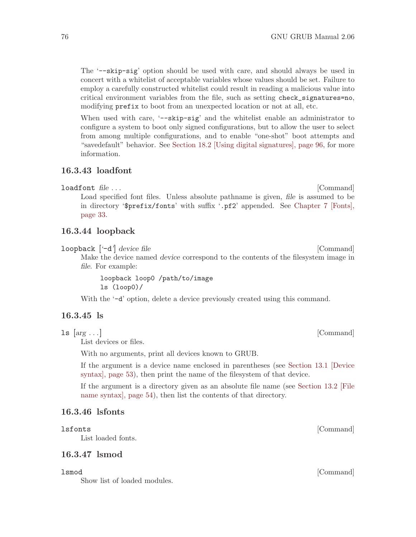The '--skip-sig' option should be used with care, and should always be used in concert with a whitelist of acceptable variables whose values should be set. Failure to employ a carefully constructed whitelist could result in reading a malicious value into critical environment variables from the file, such as setting check\_signatures=no, modifying prefix to boot from an unexpected location or not at all, etc.

When used with care, '-skip-sig' and the whitelist enable an administrator to configure a system to boot only signed configurations, but to allow the user to select from among multiple configurations, and to enable "one-shot" boot attempts and "savedefault" behavior. See [Section 18.2 \[Using digital signatures\], page 96](#page-105-0), for more information.

#### 16.3.43 loadfont

loadfont file ... [Command]

Load specified font files. Unless absolute pathname is given, file is assumed to be in directory '\$prefix/fonts' with suffix '.pf2' appended. See [Chapter 7 \[Fonts\],](#page-42-0) [page 33](#page-42-0).

#### 16.3.44 loopback

loopback  $[-d]$  device file [Command]

Make the device named device correspond to the contents of the filesystem image in file. For example:

loopback loop0 /path/to/image ls (loop0)/

With the  $-$ d' option, delete a device previously created using this command.

## <span id="page-85-0"></span>16.3.45 ls

 $\text{ls}$  [ $\text{arg} \ldots$ ] [Command] List devices or files.

With no arguments, print all devices known to GRUB.

If the argument is a device name enclosed in parentheses (see [Section 13.1 \[Device](#page-62-0) [syntax\], page 53](#page-62-0)), then print the name of the filesystem of that device.

If the argument is a directory given as an absolute file name (see [Section 13.2 \[File](#page-63-1) [name syntax\], page 54](#page-63-1)), then list the contents of that directory.

#### 16.3.46 lsfonts

List loaded fonts.

## 16.3.47 lsmod

Show list of loaded modules.

lsmod [Command]

lsfonts [Command]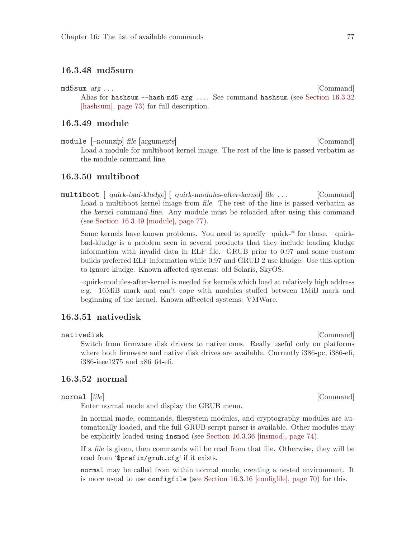## 16.3.48 md5sum

md5sum arg . . . [Command]

Alias for hashsum --hash md5 arg .... See command hashsum (see [Section 16.3.32](#page-82-0) [\[hashsum\], page 73](#page-82-0)) for full description.

## <span id="page-86-0"></span>16.3.49 module

module  $[-\text{nounzip}]\$  file  $[\text{arguments}]$  [Command] Load a module for multiboot kernel image. The rest of the line is passed verbatim as the module command line.

## 16.3.50 multiboot

multiboot [–quirk-bad-kludge] [–quirk-modules-after-kernel] file . . . [Command] Load a multiboot kernel image from file. The rest of the line is passed verbatim as the kernel command-line. Any module must be reloaded after using this command (see [Section 16.3.49 \[module\], page 77\)](#page-86-0).

Some kernels have known problems. You need to specify –quirk-\* for those. –quirkbad-kludge is a problem seen in several products that they include loading kludge information with invalid data in ELF file. GRUB prior to 0.97 and some custom builds preferred ELF information while 0.97 and GRUB 2 use kludge. Use this option to ignore kludge. Known affected systems: old Solaris, SkyOS.

–quirk-modules-after-kernel is needed for kernels which load at relatively high address e.g. 16MiB mark and can't cope with modules stuffed between 1MiB mark and beginning of the kernel. Known afftected systems: VMWare.

## 16.3.51 nativedisk

nativedisk [Command] Switch from firmware disk drivers to native ones. Really useful only on platforms where both firmware and native disk drives are available. Currently i386-pc, i386-efi, i386-ieee1275 and x86 64-efi.

#### <span id="page-86-1"></span>16.3.52 normal

#### normal [file] [Command]

Enter normal mode and display the GRUB menu.

In normal mode, commands, filesystem modules, and cryptography modules are automatically loaded, and the full GRUB script parser is available. Other modules may be explicitly loaded using insmod (see [Section 16.3.36 \[insmod\], page 74](#page-83-0)).

If a file is given, then commands will be read from that file. Otherwise, they will be read from '\$prefix/grub.cfg' if it exists.

normal may be called from within normal mode, creating a nested environment. It is more usual to use configfile (see [Section 16.3.16 \[configfile\], page 70\)](#page-79-0) for this.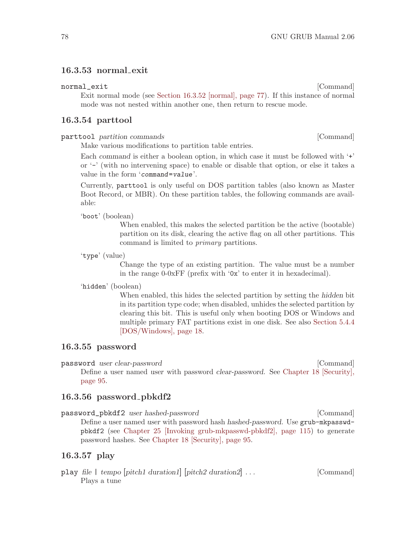## 16.3.53 normal exit

#### normal\_exit [Command]

Exit normal mode (see [Section 16.3.52 \[normal\], page 77](#page-86-1)). If this instance of normal mode was not nested within another one, then return to rescue mode.

#### 16.3.54 parttool

parttool partition commands [Command]

Make various modifications to partition table entries.

Each command is either a boolean option, in which case it must be followed with '+' or '-' (with no intervening space) to enable or disable that option, or else it takes a value in the form 'command=value'.

Currently, parttool is only useful on DOS partition tables (also known as Master Boot Record, or MBR). On these partition tables, the following commands are available:

'boot' (boolean)

When enabled, this makes the selected partition be the active (bootable) partition on its disk, clearing the active flag on all other partitions. This command is limited to primary partitions.

'type' (value)

Change the type of an existing partition. The value must be a number in the range 0-0xFF (prefix with '0x' to enter it in hexadecimal).

#### 'hidden' (boolean)

When enabled, this hides the selected partition by setting the hidden bit in its partition type code; when disabled, unhides the selected partition by clearing this bit. This is useful only when booting DOS or Windows and multiple primary FAT partitions exist in one disk. See also [Section 5.4.4](#page-27-0) [\[DOS/Windows\], page 18.](#page-27-0)

#### <span id="page-87-0"></span>16.3.55 password

password user clear-password [Command] Define a user named user with password *clear-password*. See [Chapter 18 \[Security\],](#page-104-0) [page 95](#page-104-0).

## <span id="page-87-1"></span>16.3.56 password pbkdf2

password\_pbkdf2 user hashed-password [Command] Define a user named user with password hash hashed-password. Use grub-mkpasswdpbkdf2 (see [Chapter 25 \[Invoking grub-mkpasswd-pbkdf2\], page 115](#page-124-0)) to generate password hashes. See [Chapter 18 \[Security\], page 95](#page-104-0).

## 16.3.57 play

play file | tempo [pitch1 duration1] [pitch2 duration2] . . . [Command] Plays a tune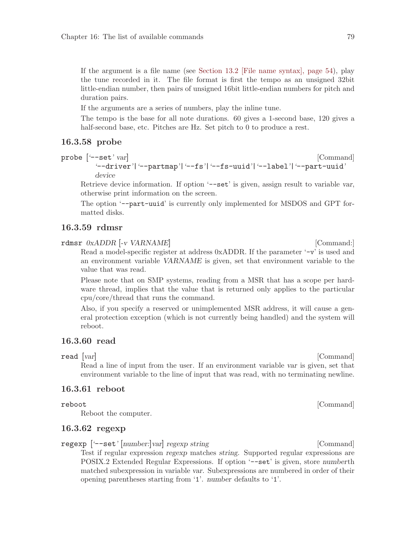If the argument is a file name (see [Section 13.2 \[File name syntax\], page 54](#page-63-1)), play the tune recorded in it. The file format is first the tempo as an unsigned 32bit little-endian number, then pairs of unsigned 16bit little-endian numbers for pitch and duration pairs.

If the arguments are a series of numbers, play the inline tune.

The tempo is the base for all note durations. 60 gives a 1-second base, 120 gives a half-second base, etc. Pitches are Hz. Set pitch to 0 to produce a rest.

#### 16.3.58 probe

probe  $[$  '--set'  $var$ ] [Command]

'--driver'|'--partmap'|'--fs'|'--fs-uuid'|'--label'|'--part-uuid' device

Retrieve device information. If option '-set' is given, assign result to variable var, otherwise print information on the screen.

The option '--part-uuid' is currently only implemented for MSDOS and GPT formatted disks.

#### 16.3.59 rdmsr

rdmsr 0xADDR [-v VARNAME] [Command:]

Read a model-specific register at address 0xADDR. If the parameter '-v' is used and an environment variable VARNAME is given, set that environment variable to the value that was read.

Please note that on SMP systems, reading from a MSR that has a scope per hardware thread, implies that the value that is returned only applies to the particular cpu/core/thread that runs the command.

Also, if you specify a reserved or unimplemented MSR address, it will cause a general protection exception (which is not currently being handled) and the system will reboot.

## 16.3.60 read

read [var] [Command]

Read a line of input from the user. If an environment variable var is given, set that environment variable to the line of input that was read, with no terminating newline.

#### 16.3.61 reboot

Reboot the computer.

## 16.3.62 regexp

regexp  $[--set; [number:]var]$  regexp string [Command]

Test if regular expression regexp matches string. Supported regular expressions are POSIX.2 Extended Regular Expressions. If option '-set' is given, store numberth matched subexpression in variable var. Subexpressions are numbered in order of their opening parentheses starting from '1'. number defaults to '1'.

reboot [Command]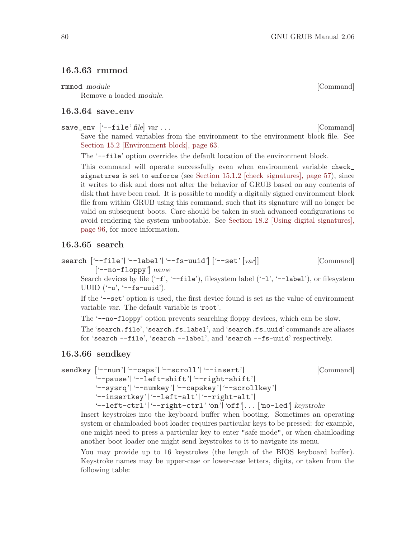## 16.3.63 rmmod

rmmod module [Command]

Remove a loaded module.

## <span id="page-89-0"></span>16.3.64 save env

save\_env ['--file' file] var ...

Save the named variables from the environment to the environment block file. See [Section 15.2 \[Environment block\], page 63.](#page-72-3)

The '--file' option overrides the default location of the environment block.

This command will operate successfully even when environment variable check\_ signatures is set to enforce (see [Section 15.1.2 \[check](#page-66-1) signatures], page 57), since it writes to disk and does not alter the behavior of GRUB based on any contents of disk that have been read. It is possible to modify a digitally signed environment block file from within GRUB using this command, such that its signature will no longer be valid on subsequent boots. Care should be taken in such advanced configurations to avoid rendering the system unbootable. See [Section 18.2 \[Using digital signatures\],](#page-105-0) [page 96](#page-105-0), for more information.

#### 16.3.65 search

search ['--file'|'--label'|'--fs-uuid'] ['--set' [var]] [Command] ['--no-floppy'] name

Search devices by file  $(-f', -f$ ile'), filesystem label  $(-1', -I$ abel'), or filesystem UUID  $(\text{--}u', \text{--}fs\text{--}uuid').$ 

If the '--set' option is used, the first device found is set as the value of environment variable var. The default variable is 'root'.

The '--no-floppy' option prevents searching floppy devices, which can be slow.

The 'search.file', 'search.fs\_label', and 'search.fs\_uuid' commands are aliases for 'search --file', 'search --label', and 'search --fs-uuid' respectively.

#### 16.3.66 sendkey

sendkey ['--num'|'--caps'|'--scroll'|'--insert'| [Command] '--pause'|'--left-shift'|'--right-shift'| '--sysrq'|'--numkey'|'--capskey'|'--scrollkey'| '--insertkey'|'--left-alt'|'--right-alt'| '--left-ctrl'|'--right-ctrl' 'on'|'off']. . . ['no-led'] keystroke

Insert keystrokes into the keyboard buffer when booting. Sometimes an operating system or chainloaded boot loader requires particular keys to be pressed: for example, one might need to press a particular key to enter "safe mode", or when chainloading another boot loader one might send keystrokes to it to navigate its menu.

You may provide up to 16 keystrokes (the length of the BIOS keyboard buffer). Keystroke names may be upper-case or lower-case letters, digits, or taken from the following table: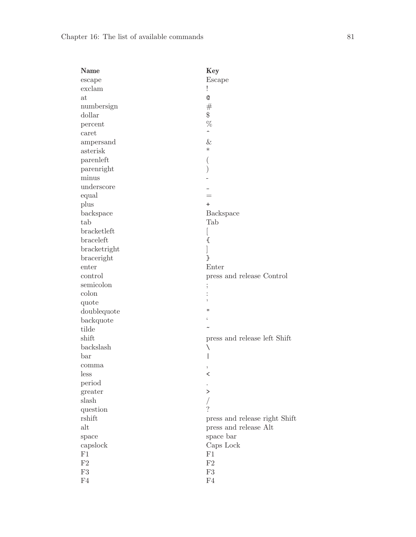| Name                                                                                                   | Key                           |
|--------------------------------------------------------------------------------------------------------|-------------------------------|
| escape                                                                                                 | Escape                        |
| exclam                                                                                                 |                               |
| at                                                                                                     | Q                             |
| numbersign                                                                                             | $^{\#}$                       |
| dollar                                                                                                 | \$                            |
| percent                                                                                                | %                             |
| $\operatorname*{caret}% \left( \mathcal{N}\right) \equiv\operatorname*{card}\left( \mathcal{N}\right)$ | ∼                             |
| ampersand                                                                                              | &                             |
| asterisk                                                                                               | $\ast$                        |
| parenleft                                                                                              |                               |
| parenright                                                                                             |                               |
| minus                                                                                                  |                               |
| underscore                                                                                             |                               |
| equal                                                                                                  | $=$                           |
| plus                                                                                                   | $\ddot{}$                     |
| backspace                                                                                              | Backspace                     |
| tab                                                                                                    | Tab                           |
| bracketleft                                                                                            | L                             |
| braceleft                                                                                              | €                             |
| bracketright                                                                                           |                               |
| braceright                                                                                             | }                             |
| enter                                                                                                  | Enter                         |
| control                                                                                                | press and release Control     |
| semicolon                                                                                              |                               |
| colon                                                                                                  |                               |
| quote                                                                                                  | ,                             |
| doublequote                                                                                            | п                             |
| backquote                                                                                              |                               |
| tilde                                                                                                  |                               |
| shift                                                                                                  | press and release left Shift  |
| backslash                                                                                              | ∖                             |
| bar                                                                                                    |                               |
| comma                                                                                                  | ,                             |
| less                                                                                                   | $\,<\,$                       |
| period                                                                                                 |                               |
| greater                                                                                                | $\rm{>}$                      |
| slash                                                                                                  |                               |
| question                                                                                               | 2                             |
| rshift                                                                                                 | press and release right Shift |
| alt                                                                                                    | press and release Alt         |
| space                                                                                                  | space bar                     |
| capslock                                                                                               | Caps Lock                     |
| F1                                                                                                     | F1                            |
| F2                                                                                                     | $\rm F2$                      |
| F3                                                                                                     | ${\rm F}3$                    |
| F <sub>4</sub>                                                                                         | F4                            |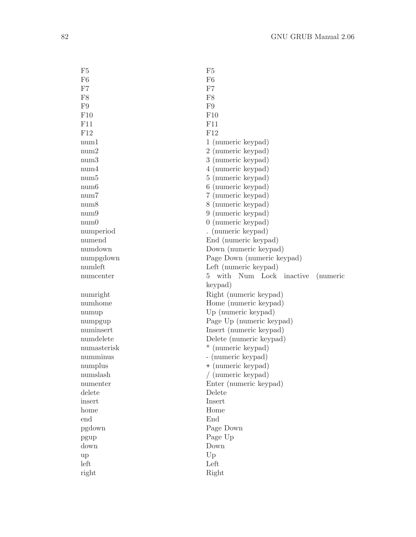| F5             | F <sub>5</sub>                               |
|----------------|----------------------------------------------|
| F <sub>6</sub> | F <sub>6</sub>                               |
| F7             | F7                                           |
| F8             | F8                                           |
| F9             | F9                                           |
| F10            | F10                                          |
| F11            | F11                                          |
| F12            | F12                                          |
| num1           | 1 (numeric keypad)                           |
| num2           | 2 (numeric keypad)                           |
| num3           | 3 (numeric keypad)                           |
| num4           | 4 (numeric keypad)                           |
| num5           | 5 (numeric keypad)                           |
| num6           | 6 (numeric keypad)                           |
| num7           | 7 (numeric keypad)                           |
| num8           | 8 (numeric keypad)                           |
| num9           | 9 (numeric keypad)                           |
| num0           | $0 \text{ (numeric keypad)}$                 |
| numperiod      | . (numeric keypad)                           |
| numend         | End (numeric keypad)                         |
| numdown        | Down (numeric keypad)                        |
| numpgdown      | Page Down (numeric keypad)                   |
| numleft        | Left (numeric keypad)                        |
|                | with<br>Num Lock inactive<br>5.<br>(numeric) |
|                |                                              |
| numcenter      |                                              |
|                | keypad)                                      |
| numright       | Right (numeric keypad)                       |
| numhome        | Home (numeric keypad)                        |
| numup          | Up (numeric keypad)                          |
| numpgup        | Page Up (numeric keypad)                     |
| numinsert      | Insert (numeric keypad)                      |
| numdelete      | Delete (numeric keypad)                      |
| numasterisk    | (numeric keypad)<br>$\ast$                   |
| numminus       | - (numeric keypad)                           |
| numplus        | + (numeric keypad)                           |
| numslash       | / (numeric keypad)                           |
| numenter       | Enter (numeric keypad)                       |
| delete         | Delete                                       |
| insert         | Insert                                       |
| home           | Home                                         |
| end            | End                                          |
| pgdown         | Page Down                                    |
| pgup           | Page Up                                      |
| down           | Down                                         |
| up             | Up                                           |
| left<br>right  | Left<br>Right                                |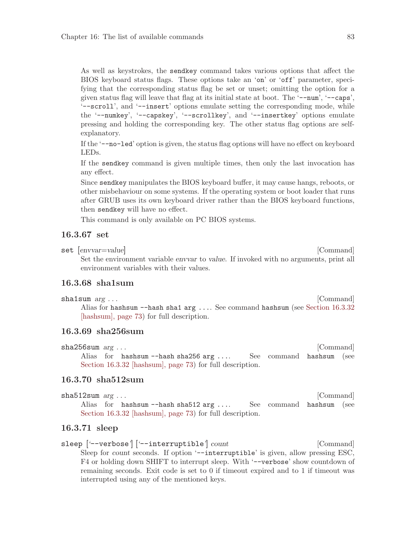As well as keystrokes, the sendkey command takes various options that affect the BIOS keyboard status flags. These options take an 'on' or 'off' parameter, specifying that the corresponding status flag be set or unset; omitting the option for a given status flag will leave that flag at its initial state at boot. The '--num', '--caps', '--scroll', and '--insert' options emulate setting the corresponding mode, while the '--numkey', '--capskey', '--scrollkey', and '--insertkey' options emulate pressing and holding the corresponding key. The other status flag options are selfexplanatory.

If the '--no-led' option is given, the status flag options will have no effect on keyboard LEDs.

If the sendkey command is given multiple times, then only the last invocation has any effect.

Since sendkey manipulates the BIOS keyboard buffer, it may cause hangs, reboots, or other misbehaviour on some systems. If the operating system or boot loader that runs after GRUB uses its own keyboard driver rather than the BIOS keyboard functions, then sendkey will have no effect.

This command is only available on PC BIOS systems.

## <span id="page-92-0"></span>16.3.67 set

set  $[envvar = value]$  [Command]

Set the environment variable envvar to value. If invoked with no arguments, print all environment variables with their values.

## 16.3.68 sha1sum

sha1sum *arg* ... [Command] Alias for hashsum --hash sha1 arg .... See command hashsum (see [Section 16.3.32](#page-82-0) [\[hashsum\], page 73](#page-82-0)) for full description.

## 16.3.69 sha256sum

sha256sum *arg* ... [Command] Alias for hashsum --hash sha256 arg .... See command hashsum (see [Section 16.3.32 \[hashsum\], page 73](#page-82-0)) for full description.

#### 16.3.70 sha512sum

| $sha512sum \; arg \ldots$ |                                                              |  |  | [Command] |  |
|---------------------------|--------------------------------------------------------------|--|--|-----------|--|
|                           | Alias for hashsum --hash sha512 arg See command hashsum (see |  |  |           |  |
|                           | Section 16.3.32 [hashsum], page 73) for full description.    |  |  |           |  |

## 16.3.71 sleep

sleep ['--verbose'] ['--interruptible'] count [Command] Sleep for count seconds. If option '--interruptible' is given, allow pressing ESC, F4 or holding down SHIFT to interrupt sleep. With '-verbose' show countdown of remaining seconds. Exit code is set to 0 if timeout expired and to 1 if timeout was interrupted using any of the mentioned keys.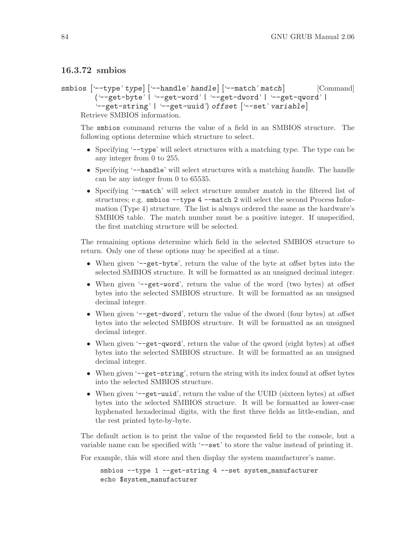## 16.3.72 smbios

```
smbios \left[\text{--type} \text{ type}\right] \left[\text{--handle} \text{ handle}\right] \left[\text{--match} \text{ match}\right] [Command]
           ('--get-byte' | '--get-word' | '--get-dword' | '--get-qword' |
           '--get-string' | '--get-uuid') offset ['--set' variable]
      Retrieve SMBIOS information.
```
The smbios command returns the value of a field in an SMBIOS structure. The following options determine which structure to select.

- Specifying '--type' will select structures with a matching type. The type can be any integer from 0 to 255.
- Specifying '--handle' will select structures with a matching handle. The handle can be any integer from 0 to 65535.
- Specifying '--match' will select structure number match in the filtered list of structures; e.g. smbios --type 4 --match 2 will select the second Process Information (Type 4) structure. The list is always ordered the same as the hardware's SMBIOS table. The match number must be a positive integer. If unspecified, the first matching structure will be selected.

The remaining options determine which field in the selected SMBIOS structure to return. Only one of these options may be specified at a time.

- When given '--get-byte', return the value of the byte at *offset* bytes into the selected SMBIOS structure. It will be formatted as an unsigned decimal integer.
- When given '--get-word', return the value of the word (two bytes) at offset bytes into the selected SMBIOS structure. It will be formatted as an unsigned decimal integer.
- When given '--get-dword', return the value of the dword (four bytes) at offset bytes into the selected SMBIOS structure. It will be formatted as an unsigned decimal integer.
- When given '--get-qword', return the value of the qword (eight bytes) at offset bytes into the selected SMBIOS structure. It will be formatted as an unsigned decimal integer.
- When given '--get-string', return the string with its index found at offset bytes into the selected SMBIOS structure.
- When given '-get-uuid', return the value of the UUID (sixteen bytes) at offset bytes into the selected SMBIOS structure. It will be formatted as lower-case hyphenated hexadecimal digits, with the first three fields as little-endian, and the rest printed byte-by-byte.

The default action is to print the value of the requested field to the console, but a variable name can be specified with '-set' to store the value instead of printing it.

For example, this will store and then display the system manufacturer's name.

smbios --type 1 --get-string 4 --set system\_manufacturer echo \$system\_manufacturer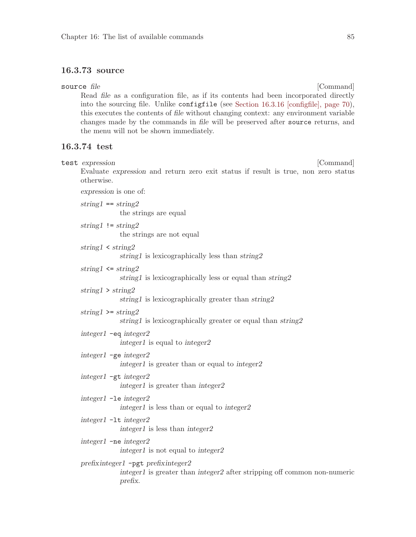## 16.3.73 source

<span id="page-94-0"></span>source file [Command] Read file as a configuration file, as if its contents had been incorporated directly into the sourcing file. Unlike configfile (see [Section 16.3.16 \[configfile\], page 70\)](#page-79-0), this executes the contents of file without changing context: any environment variable changes made by the commands in file will be preserved after source returns, and the menu will not be shown immediately. 16.3.74 test test expression [Command] Evaluate expression and return zero exit status if result is true, non zero status otherwise. expression is one of:  $string1 == string2$ the strings are equal string1  $!=$  string2 the strings are not equal string1 < string2 string1 is lexicographically less than string2 string1  $\leq$  string2 string1 is lexicographically less or equal than string2 string1 > string2 string1 is lexicographically greater than string2 string1 >=  $string2$ string1 is lexicographically greater or equal than string2 integer1 -eq integer2 integer1 is equal to integer2 integer1 -ge integer2 integer1 is greater than or equal to integer2 integer1 -gt integer2 integer1 is greater than integer2 integer1 -le integer2 integer1 is less than or equal to integer2 integer1 -lt integer2 integer1 is less than integer2 integer1 -ne integer2 integer1 is not equal to integer2 prefixinteger1 -pgt prefixinteger2 integer1 is greater than integer2 after stripping off common non-numeric prefix.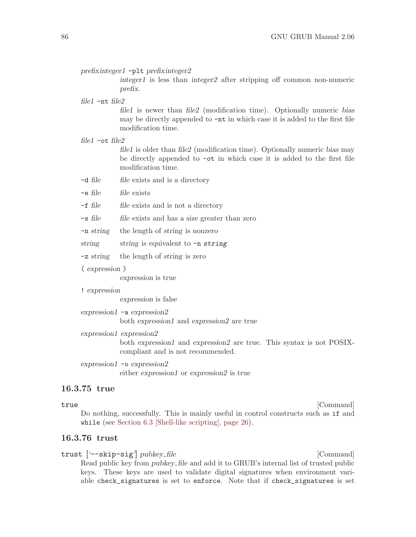prefixinteger1 -plt prefixinteger2

integer1 is less than integer2 after stripping off common non-numeric prefix.

file1 -nt file2

file1 is newer than file2 (modification time). Optionally numeric bias may be directly appended to -nt in which case it is added to the first file modification time.

file1 -ot file2

file1 is older than file2 (modification time). Optionally numeric bias may be directly appended to -ot in which case it is added to the first file modification time.

- -d file file exists and is a directory
- $-e$  file file exists
- $-f$  file file exists and is not a directory
- -s file file exists and has a size greater than zero
- -n string the length of string is nonzero
- string string is equivalent to  $-n$  string
- -z string the length of string is zero
- ( expression )

expression is true

! expression

expression is false

expression1 -a expression2

both expression1 and expression2 are true

expression1 expression2

both expression1 and expression2 are true. This syntax is not POSIXcompliant and is not recommended.

expression1 -o expression2 either expression1 or expression2 is true

## 16.3.75 true

true [Command] Do nothing, successfully. This is mainly useful in control constructs such as if and while (see [Section 6.3 \[Shell-like scripting\], page 26\)](#page-35-0).

## <span id="page-95-0"></span>16.3.76 trust

trust ['--skip-sig'] pubkey\_file [Command] Read public key from pubkey file and add it to GRUB's internal list of trusted public keys. These keys are used to validate digital signatures when environment variable check\_signatures is set to enforce. Note that if check\_signatures is set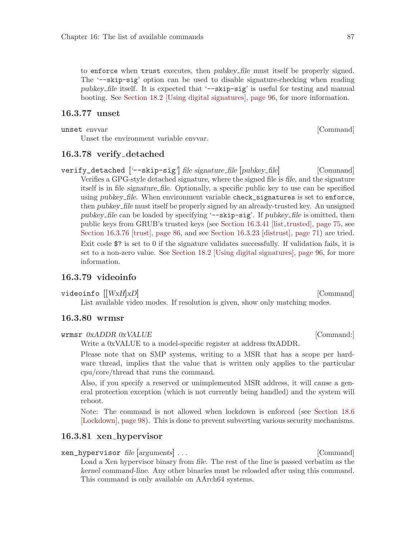to enforce when trust executes, then pubkey file must itself be properly signed. The '--skip-sig' option can be used to disable signature-checking when reading pubkey file itself. It is expected that '--skip-sig' is useful for testing and manual booting. See [Section 18.2 \[Using digital signatures\], page 96](#page-105-0), for more information.

## <span id="page-96-0"></span>16.3.77 unset

unset envvar i Gommand i Santa Command i Santa Command i Gommand i Santa Command i Santa Command i Santa Command i Santa Command i Santa Command i Santa Command i Santa Command i Santa Command i Santa Command i Santa Comma

Unset the environment variable envvar.

#### <span id="page-96-1"></span>16.3.78 verify detached

verify\_detached ['--skip-sig'] file signature\_file [pubkey\_file] [Command] Verifies a GPG-style detached signature, where the signed file is file, and the signature itself is in file signature file. Optionally, a specific public key to use can be specified using pubkey\_file. When environment variable check\_signatures is set to enforce, then pubkey file must itself be properly signed by an already-trusted key. An unsigned pubkey file can be loaded by specifying '--skip-sig'. If pubkey file is omitted, then public keys from GRUB's trusted keys (see [Section 16.3.41 \[list](#page-84-1) trusted], page 75, see [Section 16.3.76 \[trust\], page 86,](#page-95-0) and see [Section 16.3.23 \[distrust\], page 71\)](#page-80-0) are tried. Exit code \$? is set to 0 if the signature validates successfully. If validation fails, it is set to a non-zero value. See [Section 18.2 \[Using digital signatures\], page 96](#page-105-0), for more information.

## 16.3.79 videoinfo

videoinfo  $||WxH|xD|$  [Command]

List available video modes. If resolution is given, show only matching modes.

#### 16.3.80 wrmsr

#### wrmsr  $0xADDR$   $0xVALU E$  [Command:]

Write a 0xVALUE to a model-specific register at address 0xADDR.

Please note that on SMP systems, writing to a MSR that has a scope per hardware thread, implies that the value that is written only applies to the particular cpu/core/thread that runs the command.

Also, if you specify a reserved or unimplemented MSR address, it will cause a general protection exception (which is not currently being handled) and the system will reboot.

Note: The command is not allowed when lockdown is enforced (see [Section 18.6](#page-107-0) [\[Lockdown\], page 98\)](#page-107-0). This is done to prevent subverting various security mechanisms.

## 16.3.81 xen hypervisor

#### xen\_hypervisor file [arguments] . . . [Command]

Load a Xen hypervisor binary from file. The rest of the line is passed verbatim as the kernel command-line. Any other binaries must be reloaded after using this command. This command is only available on AArch64 systems.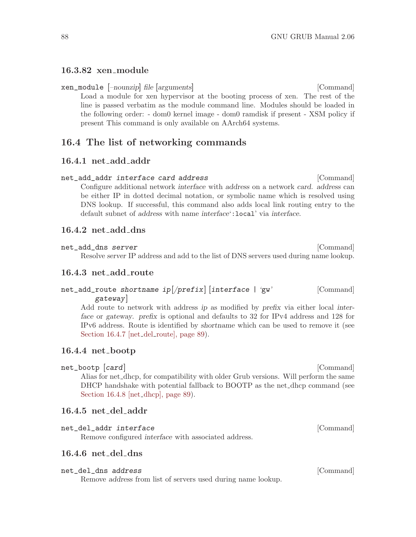#### 16.3.82 xen module

xen\_module [–nounzip] file [arguments] [Command] Load a module for xen hypervisor at the booting process of xen. The rest of the line is passed verbatim as the module command line. Modules should be loaded in the following order: - dom0 kernel image - dom0 ramdisk if present - XSM policy if present This command is only available on AArch64 systems.

## 16.4 The list of networking commands

#### 16.4.1 net\_add\_addr

net\_add\_addr interface card address [Command] Configure additional network interface with address on a network card. address can be either IP in dotted decimal notation, or symbolic name which is resolved using DNS lookup. If successful, this command also adds local link routing entry to the default subnet of address with name interface':local' via interface.

#### 16.4.2 net\_add\_dns

net\_add\_dns server [Command] Resolve server IP address and add to the list of DNS servers used during name lookup.

## 16.4.3 net add route

## $net\_add\_route$  shortname  $ip$  $(prefix)$  [interface | 'gw' [Command] gateway]

Add route to network with address ip as modified by prefix via either local interface or gateway. prefix is optional and defaults to 32 for IPv4 address and 128 for IPv6 address. Route is identified by shortname which can be used to remove it (see [Section 16.4.7 \[net](#page-98-0)\_del\_route], page 89).

#### 16.4.4 net bootp

net\_bootp  $\lceil \text{card} \rceil$  [Command] Alias for net dhcp, for compatibility with older Grub versions. Will perform the same DHCP handshake with potential fallback to BOOTP as the net dhcp command (see [Section 16.4.8 \[net](#page-98-1)\_dhcp], page 89).

#### 16.4.5 net del addr

#### net\_del\_addr interface [Command]

Remove configured interface with associated address.

## 16.4.6 net del dns

## net\_del\_dns address [Command]

Remove address from list of servers used during name lookup.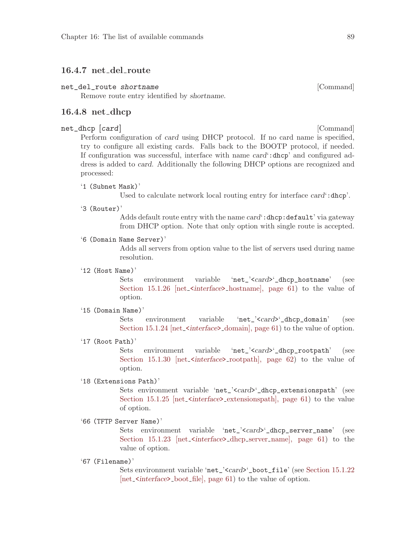#### <span id="page-98-0"></span>16.4.7 net\_del\_route

#### net\_del\_route shortname **[Command]** [Command]

Remove route entry identified by shortname.

#### <span id="page-98-1"></span>16.4.8 net dhcp

#### net\_dhcp [card] [Command]

Perform configuration of card using DHCP protocol. If no card name is specified, try to configure all existing cards. Falls back to the BOOTP protocol, if needed. If configuration was successful, interface with name card':dhcp' and configured address is added to card. Additionally the following DHCP options are recognized and processed:

'1 (Subnet Mask)'

Used to calculate network local routing entry for interface card : dhcp'.

'3 (Router)'

Adds default route entry with the name card': dhcp: default' via gateway from DHCP option. Note that only option with single route is accepted.

'6 (Domain Name Server)'

Adds all servers from option value to the list of servers used during name resolution.

#### '12 (Host Name)'

Sets environment variable 'net\_'<card>'\_dhcp\_hostname' (see Section  $15.1.26$  [net\_ $\text{Sinterface}\text{>}\text{hostname}$ ], page 61) to the value of option.

'15 (Domain Name)'

Sets environment variable 'net\_'<card>'\_dhcp\_domain' (see Section 15.1.24  $[net{\text -}5]$  interface  ${\text -}1$  domain, page 61) to the value of option.

'17 (Root Path)'

Sets environment variable 'net\_'<card>'\_dhcp\_rootpath' (see Section  $15.1.30$  [net\_<interface>\_rootpath], page 62) to the value of option.

#### '18 (Extensions Path)'

Sets environment variable 'net\_'<card>'\_dhcp\_extensionspath' (see Section 15.1.25  $[net{\text{-}}interface{\text{-}}extensionspath]$ , page 61) to the value of option.

'66 (TFTP Server Name)'

Sets environment variable 'net\_'<card>'\_dhcp\_server\_name' (see Section  $15.1.23$  [net\_<interface>\_dhcp\_server\_name], page 61) to the value of option.

'67 (Filename)'

Sets environment variable 'net\_'<card>'\_boot\_file' (see [Section 15.1.22](#page-70-6) [net\_<*interface*>\_boot\_[file\], page 61\)](#page-70-6) to the value of option.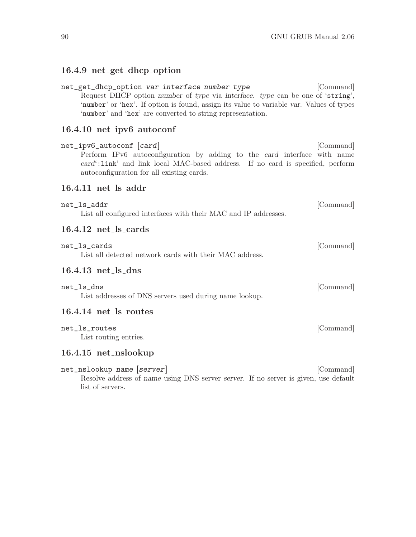# 16.4.9 net get dhcp option

| net_get_dhcp_option var interface number type<br>Request DHCP option number of type via interface. type can be one of 'string',<br>'number' or 'hex'. If option is found, assign its value to variable var. Values of types<br>'number' and 'hex' are converted to string representation. | [Command] |
|-------------------------------------------------------------------------------------------------------------------------------------------------------------------------------------------------------------------------------------------------------------------------------------------|-----------|
| 16.4.10 net_ipv6_autoconf                                                                                                                                                                                                                                                                 |           |
| net_ipv6_autoconf [card]<br>Perform IPv6 autoconfiguration by adding to the card interface with name<br>card':link' and link local MAC-based address. If no card is specified, perform<br>autoconfiguration for all existing cards.                                                       | [Command] |
| $16.4.11$ net_ls_addr                                                                                                                                                                                                                                                                     |           |
| net_ls_addr<br>List all configured interfaces with their MAC and IP addresses.                                                                                                                                                                                                            | [Command] |
| $16.4.12$ net_ls_cards                                                                                                                                                                                                                                                                    |           |
| net_ls_cards<br>List all detected network cards with their MAC address.                                                                                                                                                                                                                   | [Command] |
| $16.4.13$ net_ls_dns                                                                                                                                                                                                                                                                      |           |
| net_ls_dns<br>List addresses of DNS servers used during name lookup.                                                                                                                                                                                                                      | [Command] |
| 16.4.14 net_ls_routes                                                                                                                                                                                                                                                                     |           |
| net_ls_routes<br>List routing entries.                                                                                                                                                                                                                                                    | [Command] |
| 16.4.15 net_nslookup                                                                                                                                                                                                                                                                      |           |
| net_nslookup <i>name</i> [server]                                                                                                                                                                                                                                                         | [Command] |

Resolve address of name using DNS server server. If no server is given, use default list of servers.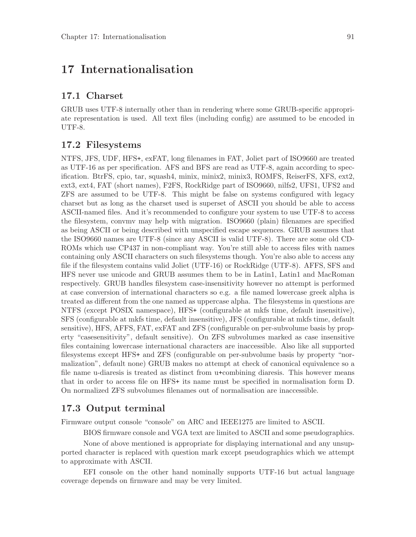# 17 Internationalisation

## 17.1 Charset

GRUB uses UTF-8 internally other than in rendering where some GRUB-specific appropriate representation is used. All text files (including config) are assumed to be encoded in UTF-8.

## 17.2 Filesystems

NTFS, JFS, UDF, HFS+, exFAT, long filenames in FAT, Joliet part of ISO9660 are treated as UTF-16 as per specification. AFS and BFS are read as UTF-8, again according to specification. BtrFS, cpio, tar, squash4, minix, minix2, minix3, ROMFS, ReiserFS, XFS, ext2, ext3, ext4, FAT (short names), F2FS, RockRidge part of ISO9660, nilfs2, UFS1, UFS2 and ZFS are assumed to be UTF-8. This might be false on systems configured with legacy charset but as long as the charset used is superset of ASCII you should be able to access ASCII-named files. And it's recommended to configure your system to use UTF-8 to access the filesystem, convmv may help with migration. ISO9660 (plain) filenames are specified as being ASCII or being described with unspecified escape sequences. GRUB assumes that the ISO9660 names are UTF-8 (since any ASCII is valid UTF-8). There are some old CD-ROMs which use CP437 in non-compliant way. You're still able to access files with names containing only ASCII characters on such filesystems though. You're also able to access any file if the filesystem contains valid Joliet (UTF-16) or RockRidge (UTF-8). AFFS, SFS and HFS never use unicode and GRUB assumes them to be in Latin1, Latin1 and MacRoman respectively. GRUB handles filesystem case-insensitivity however no attempt is performed at case conversion of international characters so e.g. a file named lowercase greek alpha is treated as different from the one named as uppercase alpha. The filesystems in questions are NTFS (except POSIX namespace), HFS+ (configurable at mkfs time, default insensitive), SFS (configurable at mkfs time, default insensitive), JFS (configurable at mkfs time, default sensitive), HFS, AFFS, FAT, exFAT and ZFS (configurable on per-subvolume basis by property "casesensitivity", default sensitive). On ZFS subvolumes marked as case insensitive files containing lowercase international characters are inaccessible. Also like all supported filesystems except HFS+ and ZFS (configurable on per-subvolume basis by property "normalization", default none) GRUB makes no attempt at check of canonical equivalence so a file name u-diaresis is treated as distinct from u+combining diaresis. This however means that in order to access file on HFS+ its name must be specified in normalisation form D. On normalized ZFS subvolumes filenames out of normalisation are inaccessible.

## 17.3 Output terminal

Firmware output console "console" on ARC and IEEE1275 are limited to ASCII.

BIOS firmware console and VGA text are limited to ASCII and some pseudographics.

None of above mentioned is appropriate for displaying international and any unsupported character is replaced with question mark except pseudographics which we attempt to approximate with ASCII.

EFI console on the other hand nominally supports UTF-16 but actual language coverage depends on firmware and may be very limited.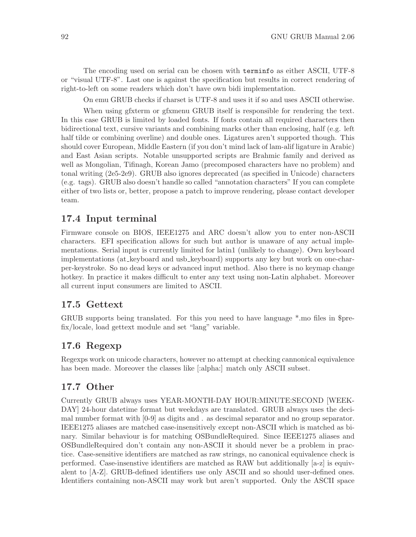The encoding used on serial can be chosen with terminfo as either ASCII, UTF-8 or "visual UTF-8". Last one is against the specification but results in correct rendering of right-to-left on some readers which don't have own bidi implementation.

On emu GRUB checks if charset is UTF-8 and uses it if so and uses ASCII otherwise.

When using gfxterm or gfxmenu GRUB itself is responsible for rendering the text. In this case GRUB is limited by loaded fonts. If fonts contain all required characters then bidirectional text, cursive variants and combining marks other than enclosing, half (e.g. left half tilde or combining overline) and double ones. Ligatures aren't supported though. This should cover European, Middle Eastern (if you don't mind lack of lam-alif ligature in Arabic) and East Asian scripts. Notable unsupported scripts are Brahmic family and derived as well as Mongolian, Tifinagh, Korean Jamo (precomposed characters have no problem) and tonal writing (2e5-2e9). GRUB also ignores deprecated (as specified in Unicode) characters (e.g. tags). GRUB also doesn't handle so called "annotation characters" If you can complete either of two lists or, better, propose a patch to improve rendering, please contact developer team.

## 17.4 Input terminal

Firmware console on BIOS, IEEE1275 and ARC doesn't allow you to enter non-ASCII characters. EFI specification allows for such but author is unaware of any actual implementations. Serial input is currently limited for latin1 (unlikely to change). Own keyboard implementations (at keyboard and usb keyboard) supports any key but work on one-charper-keystroke. So no dead keys or advanced input method. Also there is no keymap change hotkey. In practice it makes difficult to enter any text using non-Latin alphabet. Moreover all current input consumers are limited to ASCII.

## 17.5 Gettext

GRUB supports being translated. For this you need to have language \*.mo files in \$prefix/locale, load gettext module and set "lang" variable.

## 17.6 Regexp

Regexps work on unicode characters, however no attempt at checking cannonical equivalence has been made. Moreover the classes like [:alpha:] match only ASCII subset.

## 17.7 Other

Currently GRUB always uses YEAR-MONTH-DAY HOUR:MINUTE:SECOND [WEEK-DAY] 24-hour datetime format but weekdays are translated. GRUB always uses the decimal number format with [0-9] as digits and . as descimal separator and no group separator. IEEE1275 aliases are matched case-insensitively except non-ASCII which is matched as binary. Similar behaviour is for matching OSBundleRequired. Since IEEE1275 aliases and OSBundleRequired don't contain any non-ASCII it should never be a problem in practice. Case-sensitive identifiers are matched as raw strings, no canonical equivalence check is performed. Case-insenstive identifiers are matched as RAW but additionally [a-z] is equivalent to [A-Z]. GRUB-defined identifiers use only ASCII and so should user-defined ones. Identifiers containing non-ASCII may work but aren't supported. Only the ASCII space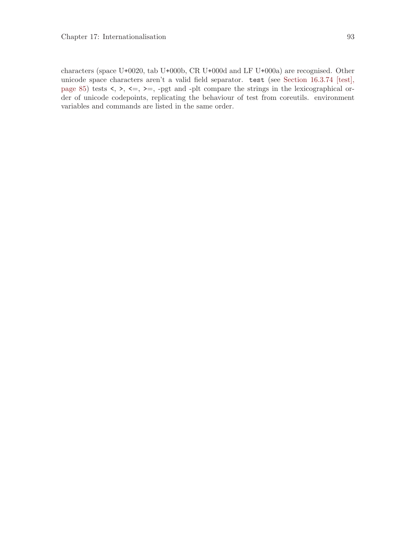characters (space U+0020, tab U+000b, CR U+000d and LF U+000a) are recognised. Other unicode space characters aren't a valid field separator. test (see [Section 16.3.74 \[test\],](#page-94-0) [page 85](#page-94-0)) tests  $\langle , \rangle$ ,  $\langle = , \rangle$  =, -pgt and -plt compare the strings in the lexicographical order of unicode codepoints, replicating the behaviour of test from coreutils. environment variables and commands are listed in the same order.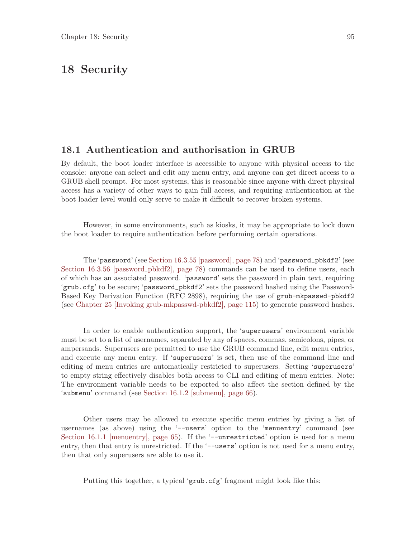# <span id="page-104-0"></span>18 Security

## <span id="page-104-1"></span>18.1 Authentication and authorisation in GRUB

By default, the boot loader interface is accessible to anyone with physical access to the console: anyone can select and edit any menu entry, and anyone can get direct access to a GRUB shell prompt. For most systems, this is reasonable since anyone with direct physical access has a variety of other ways to gain full access, and requiring authentication at the boot loader level would only serve to make it difficult to recover broken systems.

However, in some environments, such as kiosks, it may be appropriate to lock down the boot loader to require authentication before performing certain operations.

The 'password' (see [Section 16.3.55 \[password\], page 78](#page-87-0)) and 'password\_pbkdf2' (see [Section 16.3.56 \[password](#page-87-1)\_pbkdf2], page 78) commands can be used to define users, each of which has an associated password. 'password' sets the password in plain text, requiring 'grub.cfg' to be secure; 'password\_pbkdf2' sets the password hashed using the Password-Based Key Derivation Function (RFC 2898), requiring the use of grub-mkpasswd-pbkdf2 (see [Chapter 25 \[Invoking grub-mkpasswd-pbkdf2\], page 115](#page-124-0)) to generate password hashes.

In order to enable authentication support, the 'superusers' environment variable must be set to a list of usernames, separated by any of spaces, commas, semicolons, pipes, or ampersands. Superusers are permitted to use the GRUB command line, edit menu entries, and execute any menu entry. If 'superusers' is set, then use of the command line and editing of menu entries are automatically restricted to superusers. Setting 'superusers' to empty string effectively disables both access to CLI and editing of menu entries. Note: The environment variable needs to be exported to also affect the section defined by the 'submenu' command (see [Section 16.1.2 \[submenu\], page 66](#page-75-2)).

Other users may be allowed to execute specific menu entries by giving a list of usernames (as above) using the '--users' option to the 'menuentry' command (see [Section 16.1.1 \[menuentry\], page 65](#page-74-0)). If the '--unrestricted' option is used for a menu entry, then that entry is unrestricted. If the '--users' option is not used for a menu entry, then that only superusers are able to use it.

Putting this together, a typical 'grub.cfg' fragment might look like this: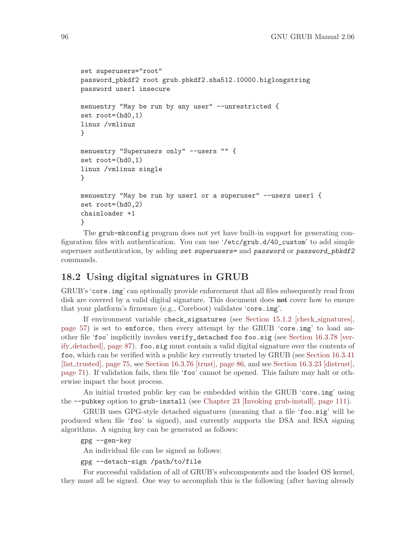```
set superusers="root"
password_pbkdf2 root grub.pbkdf2.sha512.10000.biglongstring
password user1 insecure
menuentry "May be run by any user" --unrestricted {
set root=(hd0,1)
linux /vmlinuz
}
menuentry "Superusers only" --users "" {
set root=(hd0,1)
linux /vmlinuz single
}
menuentry "May be run by user1 or a superuser" --users user1 {
set root=(hd0,2)
chainloader +1
}
```
The grub-mkconfig program does not yet have built-in support for generating configuration files with authentication. You can use '/etc/grub.d/40\_custom' to add simple superuser authentication, by adding set superusers= and password or password\_pbkdf2 commands.

## <span id="page-105-0"></span>18.2 Using digital signatures in GRUB

GRUB's 'core.img' can optionally provide enforcement that all files subsequently read from disk are covered by a valid digital signature. This document does **not** cover how to ensure that your platform's firmware (e.g., Coreboot) validates 'core.img'.

If environment variable check\_signatures (see [Section 15.1.2 \[check](#page-66-1) signatures], [page 57](#page-66-1)) is set to enforce, then every attempt by the GRUB 'core.img' to load another file 'foo' implicitly invokes verify\_detached foo foo.sig (see [Section 16.3.78 \[ver](#page-96-1)ify [detached\], page 87](#page-96-1)). foo.sig must contain a valid digital signature over the contents of foo, which can be verified with a public key currently trusted by GRUB (see [Section 16.3.41](#page-84-1) [list [trusted\], page 75](#page-84-1), see [Section 16.3.76 \[trust\], page 86](#page-95-0), and see [Section 16.3.23 \[distrust\],](#page-80-0) [page 71](#page-80-0)). If validation fails, then file 'foo' cannot be opened. This failure may halt or otherwise impact the boot process.

An initial trusted public key can be embedded within the GRUB 'core.img' using the --pubkey option to grub-install (see [Chapter 23 \[Invoking grub-install\], page 111](#page-120-0)).

GRUB uses GPG-style detached signatures (meaning that a file 'foo.sig' will be produced when file 'foo' is signed), and currently supports the DSA and RSA signing algorithms. A signing key can be generated as follows:

```
gpg --gen-key
```
An individual file can be signed as follows:

gpg --detach-sign /path/to/file

For successful validation of all of GRUB's subcomponents and the loaded OS kernel, they must all be signed. One way to accomplish this is the following (after having already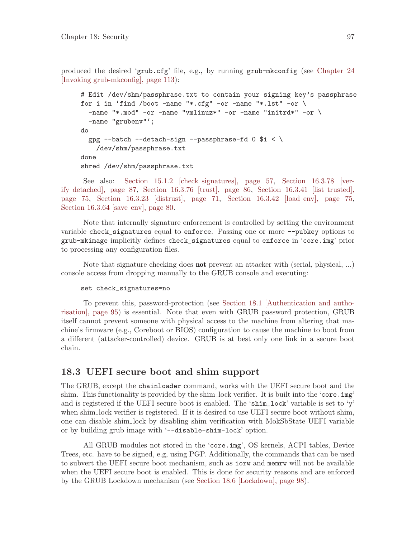produced the desired 'grub.cfg' file, e.g., by running grub-mkconfig (see [Chapter 24](#page-122-0) [\[Invoking grub-mkconfig\], page 113](#page-122-0)):

```
# Edit /dev/shm/passphrase.txt to contain your signing key's passphrase
for i in 'find /boot -name "*.cfg" -or -name "*.lst" -or \setminus-name "*.mod" -or -name "vmlinuz*" -or -name "initrd*" -or \setminus-name "grubenv"';
do
  gpg --batch --detach-sign --passphrase-fd 0 $i < \
    /dev/shm/passphrase.txt
done
shred /dev/shm/passphrase.txt
```
See also: [Section 15.1.2 \[check](#page-66-1) signatures], page 57, [Section 16.3.78 \[ver](#page-96-1)ify [detached\], page 87,](#page-96-1) [Section 16.3.76 \[trust\], page 86](#page-95-0), [Section 16.3.41 \[list](#page-84-1)\_trusted], [page 75,](#page-84-1) Section  $16.3.23$  [distrust], page 71, Section  $16.3.42$  [load env], page 75, [Section 16.3.64 \[save](#page-89-0)\_env], page 80.

Note that internally signature enforcement is controlled by setting the environment variable check\_signatures equal to enforce. Passing one or more --pubkey options to grub-mkimage implicitly defines check\_signatures equal to enforce in 'core.img' prior to processing any configuration files.

Note that signature checking does **not** prevent an attacker with (serial, physical, ...) console access from dropping manually to the GRUB console and executing:

#### set check\_signatures=no

To prevent this, password-protection (see [Section 18.1 \[Authentication and autho](#page-104-1)[risation\], page 95](#page-104-1)) is essential. Note that even with GRUB password protection, GRUB itself cannot prevent someone with physical access to the machine from altering that machine's firmware (e.g., Coreboot or BIOS) configuration to cause the machine to boot from a different (attacker-controlled) device. GRUB is at best only one link in a secure boot chain.

## 18.3 UEFI secure boot and shim support

The GRUB, except the chainloader command, works with the UEFI secure boot and the shim. This functionality is provided by the shim lock verifier. It is built into the 'core.img' and is registered if the UEFI secure boot is enabled. The 'shim\_lock' variable is set to 'y' when shim lock verifier is registered. If it is desired to use UEFI secure boot without shim, one can disable shim lock by disabling shim verification with MokSbState UEFI variable or by building grub image with '--disable-shim-lock' option.

All GRUB modules not stored in the 'core.img', OS kernels, ACPI tables, Device Trees, etc. have to be signed, e.g, using PGP. Additionally, the commands that can be used to subvert the UEFI secure boot mechanism, such as iorw and memrw will not be available when the UEFI secure boot is enabled. This is done for security reasons and are enforced by the GRUB Lockdown mechanism (see [Section 18.6 \[Lockdown\], page 98\)](#page-107-0).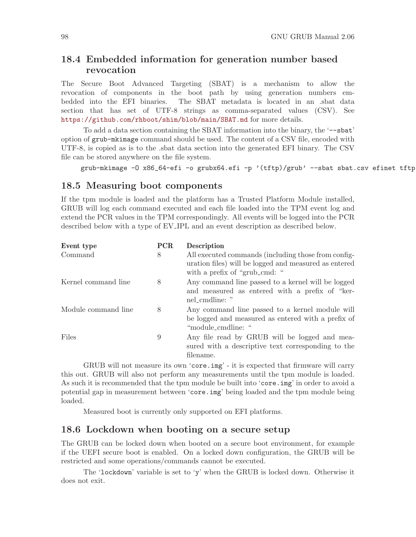## 18.4 Embedded information for generation number based revocation

The Secure Boot Advanced Targeting (SBAT) is a mechanism to allow the revocation of components in the boot path by using generation numbers embedded into the EFI binaries. The SBAT metadata is located in an .sbat data section that has set of UTF-8 strings as comma-separated values (CSV). See <https://github.com/rhboot/shim/blob/main/SBAT.md> for more details.

To add a data section containing the SBAT information into the binary, the '--sbat' option of grub-mkimage command should be used. The content of a CSV file, encoded with UTF-8, is copied as is to the .sbat data section into the generated EFI binary. The CSV file can be stored anywhere on the file system.

```
grub-mkimage -O x86_64-efi -o grubx64.efi -p '(tftp)/grub' --sbat sbat.csv efinet tftp
```
## 18.5 Measuring boot components

If the tpm module is loaded and the platform has a Trusted Platform Module installed, GRUB will log each command executed and each file loaded into the TPM event log and extend the PCR values in the TPM correspondingly. All events will be logged into the PCR described below with a type of EV IPL and an event description as described below.

| Event type          | <b>PCR</b> | <b>Description</b>                                                                                                                            |
|---------------------|------------|-----------------------------------------------------------------------------------------------------------------------------------------------|
| Command             | 8          | All executed commands (including those from config-<br>uration files) will be logged and measured as entered<br>with a prefix of "grub_cmd: " |
| Kernel command line | 8          | Any command line passed to a kernel will be logged<br>and measured as entered with a prefix of "ker-<br>nel_cmdline: "                        |
| Module command line | 8          | Any command line passed to a kernel module will<br>be logged and measured as entered with a prefix of<br>"module_cmdline: "                   |
| Files               | 9          | Any file read by GRUB will be logged and mea-<br>sured with a descriptive text corresponding to the<br>filename.                              |

GRUB will not measure its own 'core.img' - it is expected that firmware will carry this out. GRUB will also not perform any measurements until the tpm module is loaded. As such it is recommended that the tpm module be built into 'core.img' in order to avoid a potential gap in measurement between 'core.img' being loaded and the tpm module being loaded.

Measured boot is currently only supported on EFI platforms.

## <span id="page-107-0"></span>18.6 Lockdown when booting on a secure setup

The GRUB can be locked down when booted on a secure boot environment, for example if the UEFI secure boot is enabled. On a locked down configuration, the GRUB will be restricted and some operations/commands cannot be executed.

The 'lockdown' variable is set to 'y' when the GRUB is locked down. Otherwise it does not exit.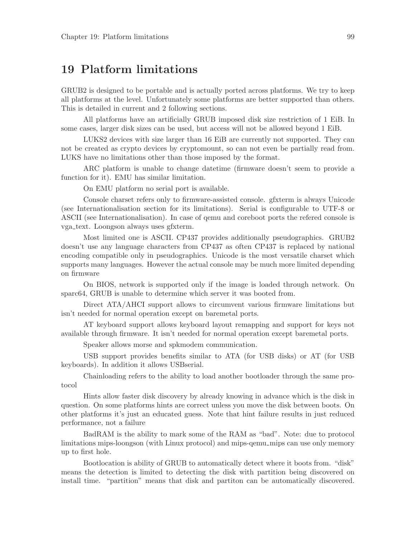### 19 Platform limitations

GRUB2 is designed to be portable and is actually ported across platforms. We try to keep all platforms at the level. Unfortunately some platforms are better supported than others. This is detailed in current and 2 following sections.

All platforms have an artificially GRUB imposed disk size restriction of 1 EiB. In some cases, larger disk sizes can be used, but access will not be allowed beyond 1 EiB.

LUKS2 devices with size larger than 16 EiB are currently not supported. They can not be created as crypto devices by cryptomount, so can not even be partially read from. LUKS have no limitations other than those imposed by the format.

ARC platform is unable to change datetime (firmware doesn't seem to provide a function for it). EMU has similar limitation.

On EMU platform no serial port is available.

Console charset refers only to firmware-assisted console. gfxterm is always Unicode (see Internationalisation section for its limitations). Serial is configurable to UTF-8 or ASCII (see Internationalisation). In case of qemu and coreboot ports the refered console is vga text. Loongson always uses gfxterm.

Most limited one is ASCII. CP437 provides additionally pseudographics. GRUB2 doesn't use any language characters from CP437 as often CP437 is replaced by national encoding compatible only in pseudographics. Unicode is the most versatile charset which supports many languages. However the actual console may be much more limited depending on firmware

On BIOS, network is supported only if the image is loaded through network. On sparc64, GRUB is unable to determine which server it was booted from.

Direct ATA/AHCI support allows to circumvent various firmware limitations but isn't needed for normal operation except on baremetal ports.

AT keyboard support allows keyboard layout remapping and support for keys not available through firmware. It isn't needed for normal operation except baremetal ports.

Speaker allows morse and spkmodem communication.

USB support provides benefits similar to ATA (for USB disks) or AT (for USB keyboards). In addition it allows USBserial.

Chainloading refers to the ability to load another bootloader through the same protocol

Hints allow faster disk discovery by already knowing in advance which is the disk in question. On some platforms hints are correct unless you move the disk between boots. On other platforms it's just an educated guess. Note that hint failure results in just reduced performance, not a failure

BadRAM is the ability to mark some of the RAM as "bad". Note: due to protocol limitations mips-loongson (with Linux protocol) and mips-qemu mips can use only memory up to first hole.

Bootlocation is ability of GRUB to automatically detect where it boots from. "disk" means the detection is limited to detecting the disk with partition being discovered on install time. "partition" means that disk and partiton can be automatically discovered.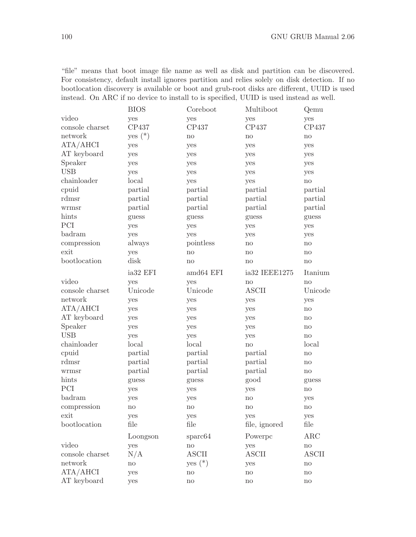"file" means that boot image file name as well as disk and partition can be discovered. For consistency, default install ignores partition and relies solely on disk detection. If no bootlocation discovery is available or boot and grub-root disks are different, UUID is used instead. On ARC if no device to install to is specified, UUID is used instead as well.

|                 | <b>BIOS</b> | Coreboot            | Multiboot           | Qemu                   |
|-----------------|-------------|---------------------|---------------------|------------------------|
| video           | yes         | yes                 | yes                 | yes                    |
| console charset | CP437       | CP437               | CP437               | CP437                  |
| network         | yes $(*)$   | $\operatorname{no}$ | $\operatorname{no}$ | $\mathop{\mathrm{no}}$ |
| ATA/AHCI        | yes         | yes                 | yes                 | yes                    |
| AT keyboard     | yes         | yes                 | yes                 | yes                    |
| Speaker         | yes         | yes                 | yes                 | yes                    |
| <b>USB</b>      | yes         | yes                 | yes                 | yes                    |
| chainloader     | local       | yes                 | yes                 | no                     |
| cpuid           | partial     | partial             | partial             | partial                |
| rdmsr           | partial     | partial             | partial             | partial                |
| wrmsr           | partial     | partial             | partial             | partial                |
| hints           | guess       | guess               | guess               | guess                  |
| PCI             | yes         | yes                 | yes                 | yes                    |
| badram          | yes         | yes                 | yes                 | yes                    |
| compression     | always      | pointless           | no                  | no                     |
| exit            | yes         | no                  | no                  | no                     |
| bootlocation    | disk        | no                  | no                  | $\mathop{\mathrm{no}}$ |
|                 | ia32 EFI    | amd64 EFI           | ia32 IEEE1275       | Itanium                |
| video           | yes         | yes                 | no                  | no                     |
| console charset | Unicode     | Unicode             | <b>ASCII</b>        | Unicode                |
| network         | yes         | yes                 | yes                 | yes                    |
| ATA/AHCI        | yes         | yes                 | yes                 | no                     |
| AT keyboard     | yes         | yes                 | yes                 | no                     |
| Speaker         | yes         | yes                 | yes                 | $\mathop{\mathrm{no}}$ |
| <b>USB</b>      | yes         | yes                 | yes                 | no                     |
| chainloader     | local       | local               | no                  | local                  |
| cpuid           | partial     | partial             | partial             | no                     |
| rdmsr           | partial     | partial             | partial             | no                     |
| wrmsr           | partial     | partial             | partial             | $\operatorname{no}$    |
| hints           | guess       | guess               | good                | guess                  |
| PCI             | yes         | yes                 | yes                 | no                     |
| badram          | yes         | yes                 | no                  | yes                    |
| compression     | no          | no                  | no                  | $\operatorname{no}$    |
| exit            | yes         | yes                 | yes                 | yes                    |
| bootlocation    | file        | file                | file, ignored       | file                   |
|                 | Loongson    | sparc64             | Powerpc             | ARC                    |
| video           | yes         | no                  | yes                 | $\rm {no}$             |
| console charset | N/A         | <b>ASCII</b>        | <b>ASCII</b>        | <b>ASCII</b>           |
| network         | $\rm {no}$  | yes $(*)$           | yes                 | $\operatorname{no}$    |
| ATA/AHCI        | yes         | no                  | no                  | no                     |
| AT keyboard     | yes         | no                  | no                  | no                     |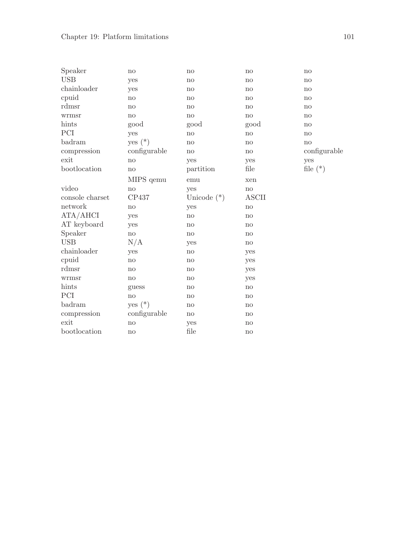| Speaker         | no           | no            | no           | no           |
|-----------------|--------------|---------------|--------------|--------------|
| <b>USB</b>      | yes          | no            | no           | no           |
| chainloader     | yes          | no            | no           | no           |
| cpuid           | no           | no            | no           | no           |
| rdmsr           | no           | no            | no           | no           |
| wrmsr           | no           | no            | no           | no           |
| hints           | good         | good          | good         | no           |
| PCI             | yes          | no            | no           | no           |
| badram          | yes $(*)$    | no            | no           | no           |
| compression     | configurable | no            | no           | configurable |
| exit            | no           | yes           | yes          | yes          |
| bootlocation    | no           | partition     | file         | file $(*)$   |
|                 | MIPS gemu    | emu           | xen          |              |
| video           | no           | yes           | no           |              |
| console charset | CP437        | Unicode $(*)$ | <b>ASCII</b> |              |
| network         | no           | yes           | no           |              |
| ATA/AHCI        | yes          | no            | no           |              |
| AT keyboard     | yes          | no            | no           |              |
| Speaker         | no           | no            | no           |              |
| <b>USB</b>      | N/A          | yes           | no           |              |
| chainloader     | yes          | no            | yes          |              |
| cpuid           | no           | no            | yes          |              |
| rdmsr           | no           | no            | yes          |              |
| wrmsr           | no           | no            | yes          |              |
| hints           | guess        | no            | no           |              |
| PCI             | no           | no            | no           |              |
| badram          | yes $(*)$    | no            | no           |              |
| compression     | configurable | no            | no           |              |
| exit            | no           | yes           | no           |              |
| bootlocation    | no           | file          | no           |              |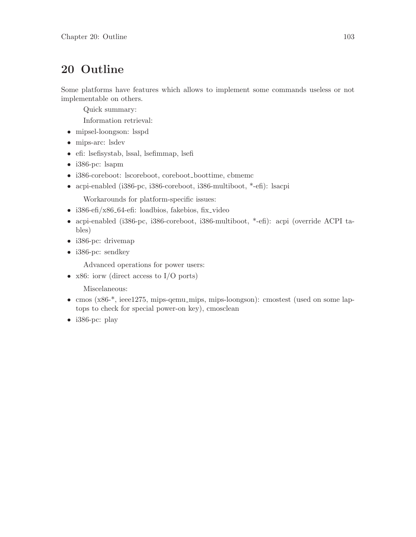# 20 Outline

Some platforms have features which allows to implement some commands useless or not implementable on others.

Quick summary:

Information retrieval:

- mipsel-loongson: lsspd
- mips-arc: lsdev
- efi: lsefisystab, lssal, lsefimmap, lsefi
- i386-pc: lsapm
- i386-coreboot: lscoreboot, coreboot\_boottime, cbmemc
- acpi-enabled (i386-pc, i386-coreboot, i386-multiboot, \*-efi): lsacpi

Workarounds for platform-specific issues:

- i386-efi/x86<sub>-64</sub>-efi: loadbios, fakebios, fix video
- acpi-enabled (i386-pc, i386-coreboot, i386-multiboot, \*-efi): acpi (override ACPI tables)
- i386-pc: drivemap
- i386-pc: sendkey

Advanced operations for power users:

• x86: iorw (direct access to I/O ports)

Miscelaneous:

- cmos (x86-\*, ieee1275, mips-qemu\_mips, mips-loongson): cmostest (used on some laptops to check for special power-on key), cmosclean
- i386-pc: play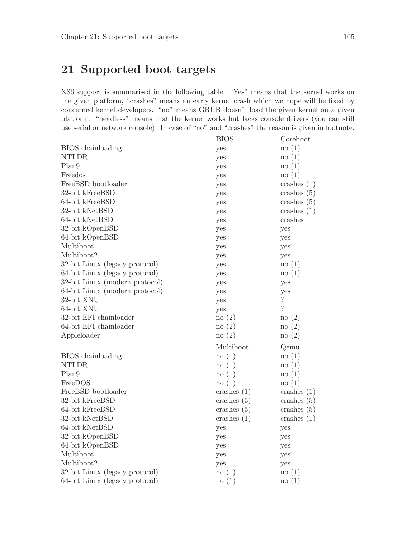## 21 Supported boot targets

X86 support is summarised in the following table. "Yes" means that the kernel works on the given platform, "crashes" means an early kernel crash which we hope will be fixed by concerned kernel developers. "no" means GRUB doesn't load the given kernel on a given platform. "headless" means that the kernel works but lacks console drivers (you can still use serial or network console). In case of "no" and "crashes" the reason is given in footnote.

|                                | <b>BIOS</b>   | Coreboot                 |
|--------------------------------|---------------|--------------------------|
| BIOS chainloading              | yes           | $\log(1)$                |
| <b>NTLDR</b>                   | yes           | no(1)                    |
| Plan9                          | yes           | $\log(1)$                |
| Freedos                        | yes           | no(1)                    |
| FreeBSD bootloader             | yes           | crashes $(1)$            |
| 32-bit kFreeBSD                | yes           | crashes $(5)$            |
| 64-bit kFreeBSD                | yes           | crashes $(5)$            |
| 32-bit kNetBSD                 | yes           | crashes $(1)$            |
| 64-bit kNetBSD                 | yes           | crashes                  |
| 32-bit kOpenBSD                | yes           | yes                      |
| 64-bit kOpenBSD                | yes           | yes                      |
| Multiboot                      | yes           | yes                      |
| Multiboot2                     | yes           | yes                      |
| 32-bit Linux (legacy protocol) | yes           | no(1)                    |
| 64-bit Linux (legacy protocol) | yes           | no(1)                    |
| 32-bit Linux (modern protocol) | yes           | yes                      |
| 64-bit Linux (modern protocol) | yes           | yes                      |
| 32-bit XNU                     | yes           | $\overline{\mathcal{L}}$ |
| 64-bit XNU                     | yes           | $\overline{?}$           |
| 32-bit EFI chainloader         | no(2)         | $\infty(2)$              |
| 64-bit EFI chainloader         | no(2)         | $\infty(2)$              |
| Appleloader                    | $\infty(2)$   | $\infty(2)$              |
|                                | Multiboot     | Qemu                     |
| BIOS chainloading              | $\log(1)$     | no(1)                    |
| <b>NTLDR</b>                   | no(1)         | no(1)                    |
| Plan9                          | no(1)         | no(1)                    |
| FreeDOS                        | $\log(1)$     | no(1)                    |
| FreeBSD bootloader             | crashes $(1)$ | crashes $(1)$            |
| 32-bit kFreeBSD                | crashes $(5)$ | crashes $(5)$            |
| 64-bit kFreeBSD                | crashes $(5)$ | crashes $(5)$            |
| 32-bit kNetBSD                 | crashes $(1)$ | crashes $(1)$            |
| 64-bit kNetBSD                 | yes           | yes                      |
| 32-bit kOpenBSD                | yes           | yes                      |
| 64-bit kOpenBSD                | yes           | yes                      |
| Multiboot                      | yes           | yes                      |
| Multiboot2                     | yes           | yes                      |
| 32-bit Linux (legacy protocol) | no(1)         | no(1)                    |
| 64-bit Linux (legacy protocol) | $\log(1)$     | no(1)                    |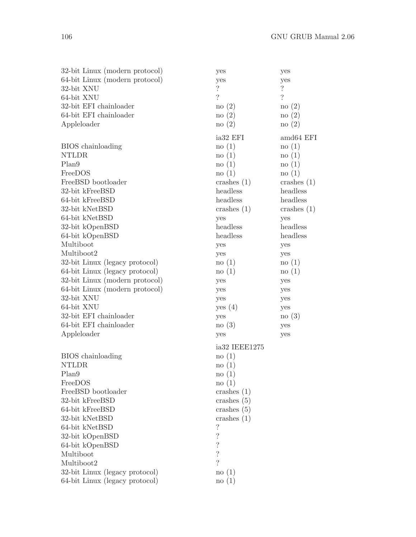| 32-bit Linux (modern protocol)    | yes                      | yes                      |
|-----------------------------------|--------------------------|--------------------------|
| 64-bit Linux (modern protocol)    | yes                      | yes                      |
| 32-bit XNU                        | $\overline{\cdot}$       | $\ddot{?}$               |
| 64-bit XNU                        | $\overline{\mathcal{L}}$ | $\overline{\phantom{a}}$ |
| 32-bit EFI chainloader            | no(2)                    | no(2)                    |
| 64-bit EFI chainloader            | no(2)                    | $\infty(2)$              |
| Appleloader                       | $\infty(2)$              | no(2)                    |
|                                   |                          |                          |
|                                   | ia <sub>32</sub> EFI     | amd64 EFI                |
| BIOS chainloading                 | $\log(1)$                | no(1)                    |
| <b>NTLDR</b>                      | no(1)                    | no(1)                    |
| Plan <sub>9</sub>                 | $\infty(1)$              | no(1)                    |
| FreeDOS                           | no(1)                    | no(1)                    |
| FreeBSD bootloader                | crashes $(1)$            | crashes $(1)$            |
| 32-bit kFreeBSD                   | headless                 | headless                 |
| 64-bit kFreeBSD                   | headless                 | headless                 |
| 32-bit kNetBSD                    | crashes $(1)$            | crashes $(1)$            |
| 64-bit kNetBSD                    | yes                      | yes                      |
| 32-bit kOpenBSD                   | headless                 | headless                 |
| 64-bit kOpenBSD                   | headless                 | headless                 |
| Multiboot                         | yes                      | yes                      |
| Multiboot2                        | yes                      | yes                      |
| 32-bit Linux (legacy protocol)    | no(1)                    | no(1)                    |
| 64-bit Linux (legacy protocol)    | no(1)                    | no(1)                    |
| 32-bit Linux (modern protocol)    | yes                      | yes                      |
| 64-bit Linux (modern protocol)    | yes                      | yes                      |
| 32-bit XNU                        | yes                      | yes                      |
| 64-bit XNU                        | yes (4)                  | yes                      |
| 32-bit EFI chainloader            | yes                      | no(3)                    |
| 64-bit EFI chainloader            | no(3)                    | yes                      |
| Appleloader                       | yes                      | yes                      |
|                                   | ia32 IEEE1275            |                          |
|                                   | no(1)                    |                          |
| BIOS chainloading<br><b>NTLDR</b> |                          |                          |
| Plan9                             | no(1)                    |                          |
|                                   | $\log(1)$                |                          |
| FreeDOS                           | $\infty(1)$              |                          |
| FreeBSD bootloader                | crashes $(1)$            |                          |
| 32-bit kFreeBSD                   | crashes $(5)$            |                          |
| 64-bit kFreeBSD                   | crashes $(5)$            |                          |
| 32-bit kNetBSD                    | crashes $(1)$            |                          |
| 64-bit kNetBSD                    | $\overline{\cdot}$       |                          |
| 32-bit kOpenBSD                   | $\overline{\mathcal{L}}$ |                          |
| 64-bit kOpenBSD                   | $\overline{\cdot}$       |                          |
| Multiboot                         | $\overline{\mathcal{C}}$ |                          |
| Multiboot2                        | $\gamma$                 |                          |
| 32-bit Linux (legacy protocol)    | no(1)                    |                          |
| 64-bit Linux (legacy protocol)    | $\log(1)$                |                          |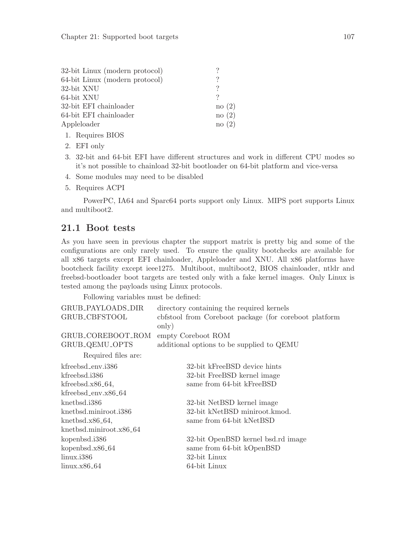| 32-bit Linux (modern protocol) |             |
|--------------------------------|-------------|
| 64-bit Linux (modern protocol) | ?           |
| 32-bit XNU                     | ?           |
| 64-bit XNU                     |             |
| 32-bit EFI chainloader         | no(2)       |
| 64-bit EFI chainloader         | no(2)       |
| Appleloader                    | $\infty(2)$ |
|                                |             |

- 1. Requires BIOS
- 2. EFI only
- 3. 32-bit and 64-bit EFI have different structures and work in different CPU modes so it's not possible to chainload 32-bit bootloader on 64-bit platform and vice-versa
- 4. Some modules may need to be disabled
- 5. Requires ACPI

PowerPC, IA64 and Sparc64 ports support only Linux. MIPS port supports Linux and multiboot2.

#### 21.1 Boot tests

As you have seen in previous chapter the support matrix is pretty big and some of the configurations are only rarely used. To ensure the quality bootchecks are available for all x86 targets except EFI chainloader, Appleloader and XNU. All x86 platforms have bootcheck facility except ieee1275. Multiboot, multiboot2, BIOS chainloader, ntldr and freebsd-bootloader boot targets are tested only with a fake kernel images. Only Linux is tested among the payloads using Linux protocols.

Following variables must be defined:

| GRUB_PAYLOADS_DIR                   | directory containing the required kernels                                 |
|-------------------------------------|---------------------------------------------------------------------------|
| GRUB_CBFSTOOL                       | condended corresponding to the Core of the Core of the Core boot platform |
| GRUB_COREBOOT_ROM                   | only)<br>empty Coreboot ROM                                               |
| GRUB_QEMU_OPTS                      | additional options to be supplied to QEMU                                 |
|                                     |                                                                           |
| Required files are:                 |                                                                           |
| kfreebsd_env.i386                   | 32-bit kFreeBSD device hints                                              |
| kfreebsd.i386                       | 32-bit FreeBSD kernel image                                               |
| $k$ freebsd.x86 <sub>-64</sub> ,    | same from 64-bit kFreeBSD                                                 |
| $k$ freebsd_env.x86_64              |                                                                           |
| knetbsd.i386                        | 32-bit NetBSD kernel image                                                |
| knetbsd.miniroot.i386               | 32-bit kNetBSD miniroot.kmod.                                             |
| $knetbsd.x86_64,$                   | same from 64-bit kNetBSD                                                  |
| knetbsd.miniroot.x86 <sub>-64</sub> |                                                                           |
| $k$ openbsd.i386                    | 32-bit OpenBSD kernel bsd.rd image                                        |
| $kopenbsd.x86_64$                   | same from 64-bit kOpenBSD                                                 |
| $\lim_{x\rightarrow 386}$           | 32-bit Linux                                                              |
| $\text{linux.x86}_64$               | 64-bit Linux                                                              |
|                                     |                                                                           |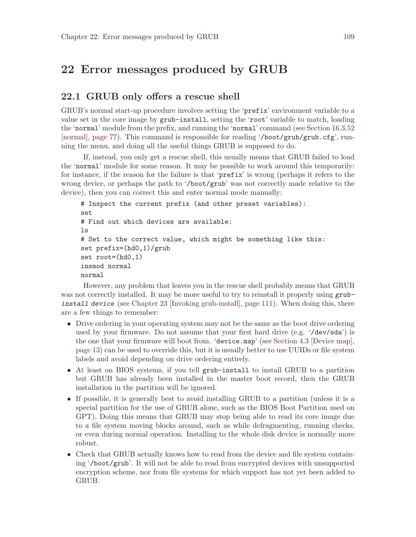### 22 Error messages produced by GRUB

#### 22.1 GRUB only offers a rescue shell

GRUB's normal start-up procedure involves setting the 'prefix' environment variable to a value set in the core image by grub-install, setting the 'root' variable to match, loading the 'normal' module from the prefix, and running the 'normal' command (see [Section 16.3.52](#page-86-0) [\[normal\], page 77](#page-86-0)). This command is responsible for reading '/boot/grub/grub.cfg', running the menu, and doing all the useful things GRUB is supposed to do.

If, instead, you only get a rescue shell, this usually means that GRUB failed to load the 'normal' module for some reason. It may be possible to work around this temporarily: for instance, if the reason for the failure is that 'prefix' is wrong (perhaps it refers to the wrong device, or perhaps the path to '/boot/grub' was not correctly made relative to the device), then you can correct this and enter normal mode manually:

```
# Inspect the current prefix (and other preset variables):
set
# Find out which devices are available:
ls
# Set to the correct value, which might be something like this:
set prefix=(hd0,1)/grub
set root=(hd0,1)
insmod normal
normal
```
However, any problem that leaves you in the rescue shell probably means that GRUB was not correctly installed. It may be more useful to try to reinstall it properly using grubinstall device (see [Chapter 23 \[Invoking grub-install\], page 111\)](#page-120-0). When doing this, there are a few things to remember:

- Drive ordering in your operating system may not be the same as the boot drive ordering used by your firmware. Do not assume that your first hard drive (e.g. '/dev/sda') is the one that your firmware will boot from. 'device.map' (see [Section 4.3 \[Device map\],](#page-22-0) [page 13](#page-22-0)) can be used to override this, but it is usually better to use UUIDs or file system labels and avoid depending on drive ordering entirely.
- At least on BIOS systems, if you tell grub-install to install GRUB to a partition but GRUB has already been installed in the master boot record, then the GRUB installation in the partition will be ignored.
- If possible, it is generally best to avoid installing GRUB to a partition (unless it is a special partition for the use of GRUB alone, such as the BIOS Boot Partition used on GPT). Doing this means that GRUB may stop being able to read its core image due to a file system moving blocks around, such as while defragmenting, running checks, or even during normal operation. Installing to the whole disk device is normally more robust.
- Check that GRUB actually knows how to read from the device and file system containing '/boot/grub'. It will not be able to read from encrypted devices with unsupported encryption scheme, nor from file systems for which support has not yet been added to GRUB.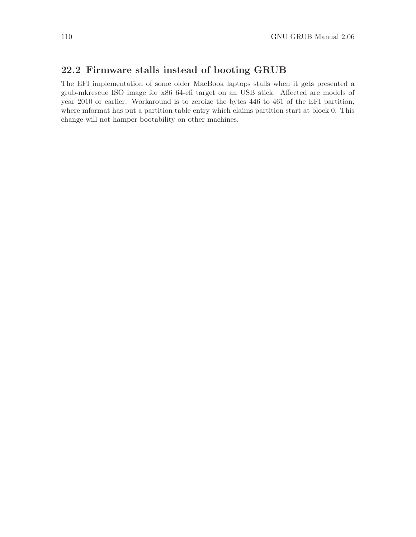### 22.2 Firmware stalls instead of booting GRUB

The EFI implementation of some older MacBook laptops stalls when it gets presented a grub-mkrescue ISO image for x86 64-efi target on an USB stick. Affected are models of year 2010 or earlier. Workaround is to zeroize the bytes 446 to 461 of the EFI partition, where mformat has put a partition table entry which claims partition start at block 0. This change will not hamper bootability on other machines.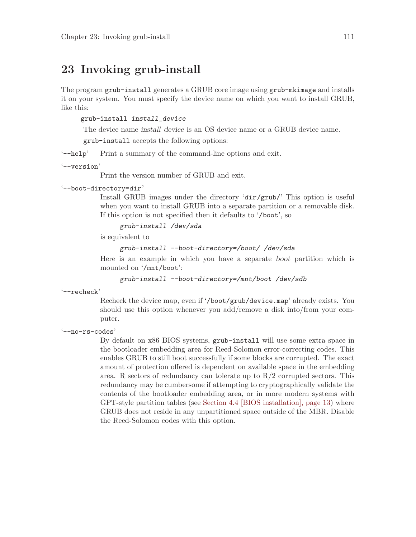### <span id="page-120-0"></span>23 Invoking grub-install

The program grub-install generates a GRUB core image using grub-mkimage and installs it on your system. You must specify the device name on which you want to install GRUB, like this:

#### grub-install install\_device

The device name *install\_device* is an OS device name or a GRUB device name.

grub-install accepts the following options:

'--help' Print a summary of the command-line options and exit.

#### '--version'

Print the version number of GRUB and exit.

#### '--boot-directory=dir'

Install GRUB images under the directory 'dir/grub/' This option is useful when you want to install GRUB into a separate partition or a removable disk. If this option is not specified then it defaults to '/boot', so

grub-install /dev/sda

is equivalent to

```
grub-install --boot-directory=/boot/ /dev/sda
```
Here is an example in which you have a separate boot partition which is mounted on '/mnt/boot':

grub-install --boot-directory=/mnt/boot /dev/sdb

'--recheck'

Recheck the device map, even if '/boot/grub/device.map' already exists. You should use this option whenever you add/remove a disk into/from your computer.

'--no-rs-codes'

By default on x86 BIOS systems, grub-install will use some extra space in the bootloader embedding area for Reed-Solomon error-correcting codes. This enables GRUB to still boot successfully if some blocks are corrupted. The exact amount of protection offered is dependent on available space in the embedding area. R sectors of redundancy can tolerate up to  $R/2$  corrupted sectors. This redundancy may be cumbersome if attempting to cryptographically validate the contents of the bootloader embedding area, or in more modern systems with GPT-style partition tables (see [Section 4.4 \[BIOS installation\], page 13](#page-22-1)) where GRUB does not reside in any unpartitioned space outside of the MBR. Disable the Reed-Solomon codes with this option.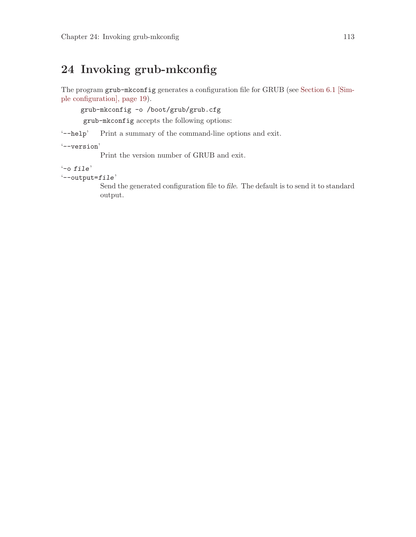## <span id="page-122-0"></span>24 Invoking grub-mkconfig

The program grub-mkconfig generates a configuration file for GRUB (see [Section 6.1 \[Sim](#page-28-0)[ple configuration\], page 19](#page-28-0)).

grub-mkconfig -o /boot/grub/grub.cfg

grub-mkconfig accepts the following options:

'--help' Print a summary of the command-line options and exit.

'--version'

Print the version number of GRUB and exit.

```
'-o file'
```
 $'-$ -output= $file'$ 

Send the generated configuration file to file. The default is to send it to standard output.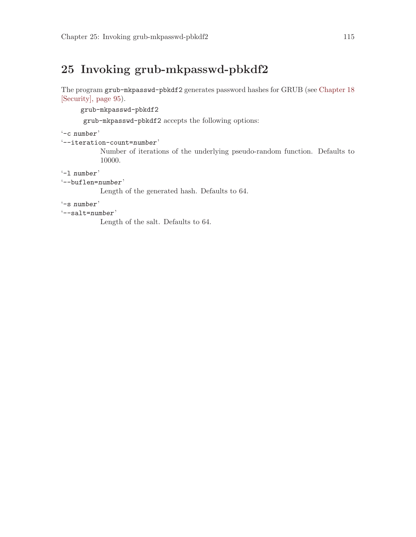## 25 Invoking grub-mkpasswd-pbkdf2

The program grub-mkpasswd-pbkdf2 generates password hashes for GRUB (see [Chapter 18](#page-104-0) [\[Security\], page 95\)](#page-104-0).

grub-mkpasswd-pbkdf2

grub-mkpasswd-pbkdf2 accepts the following options:

'-c number'

'--iteration-count=number'

Number of iterations of the underlying pseudo-random function. Defaults to 10000.

'-l number'

```
'--buflen=number'
```
Length of the generated hash. Defaults to 64.

'-s number'

'--salt=number'

Length of the salt. Defaults to 64.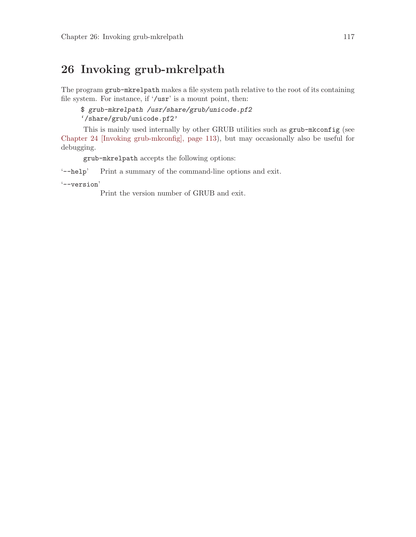## 26 Invoking grub-mkrelpath

The program grub-mkrelpath makes a file system path relative to the root of its containing file system. For instance, if '/usr' is a mount point, then:

\$ grub-mkrelpath /usr/share/grub/unicode.pf2

'/share/grub/unicode.pf2'

This is mainly used internally by other GRUB utilities such as grub-mkconfig (see [Chapter 24 \[Invoking grub-mkconfig\], page 113\)](#page-122-0), but may occasionally also be useful for debugging.

grub-mkrelpath accepts the following options:

'--help' Print a summary of the command-line options and exit.

'--version'

Print the version number of GRUB and exit.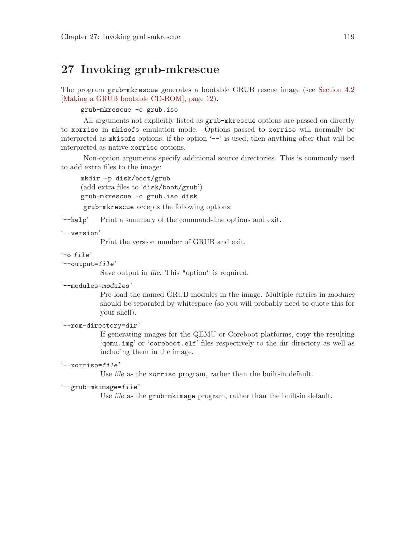### 27 Invoking grub-mkrescue

The program grub-mkrescue generates a bootable GRUB rescue image (see [Section 4.2](#page-21-0) [\[Making a GRUB bootable CD-ROM\], page 12](#page-21-0)).

grub-mkrescue -o grub.iso

All arguments not explicitly listed as grub-mkrescue options are passed on directly to xorriso in mkisofs emulation mode. Options passed to xorriso will normally be interpreted as mkisofs options; if the option '--' is used, then anything after that will be interpreted as native xorriso options.

Non-option arguments specify additional source directories. This is commonly used to add extra files to the image:

mkdir -p disk/boot/grub (add extra files to 'disk/boot/grub') grub-mkrescue -o grub.iso disk

grub-mkrescue accepts the following options:

'--help' Print a summary of the command-line options and exit.

'--version'

Print the version number of GRUB and exit.

```
'-o file'
```

```
'--output=file'
```
Save output in file. This "option" is required.

```
'--modules=modules'
```
Pre-load the named GRUB modules in the image. Multiple entries in modules should be separated by whitespace (so you will probably need to quote this for your shell).

```
'--rom-directory=dir'
```
If generating images for the QEMU or Coreboot platforms, copy the resulting 'qemu.img' or 'coreboot.elf' files respectively to the dir directory as well as including them in the image.

#### '--xorriso=file'

Use file as the xorriso program, rather than the built-in default.

```
'--grub-mkimage=file'
```
Use file as the grub-mkimage program, rather than the built-in default.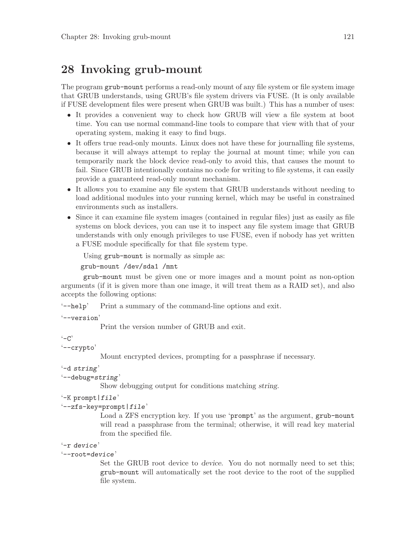## 28 Invoking grub-mount

The program grub-mount performs a read-only mount of any file system or file system image that GRUB understands, using GRUB's file system drivers via FUSE. (It is only available if FUSE development files were present when GRUB was built.) This has a number of uses:

- It provides a convenient way to check how GRUB will view a file system at boot time. You can use normal command-line tools to compare that view with that of your operating system, making it easy to find bugs.
- It offers true read-only mounts. Linux does not have these for journalling file systems, because it will always attempt to replay the journal at mount time; while you can temporarily mark the block device read-only to avoid this, that causes the mount to fail. Since GRUB intentionally contains no code for writing to file systems, it can easily provide a guaranteed read-only mount mechanism.
- It allows you to examine any file system that GRUB understands without needing to load additional modules into your running kernel, which may be useful in constrained environments such as installers.
- Since it can examine file system images (contained in regular files) just as easily as file systems on block devices, you can use it to inspect any file system image that GRUB understands with only enough privileges to use FUSE, even if nobody has yet written a FUSE module specifically for that file system type.

Using grub-mount is normally as simple as:

```
grub-mount /dev/sda1 /mnt
```
grub-mount must be given one or more images and a mount point as non-option arguments (if it is given more than one image, it will treat them as a RAID set), and also accepts the following options:

'--help' Print a summary of the command-line options and exit.

'--version'

Print the version number of GRUB and exit.

 $-$ C'

'--crypto'

Mount encrypted devices, prompting for a passphrase if necessary.

```
'-d string'
```
'--debug=string'

Show debugging output for conditions matching string.

```
'-K prompt|file'
```

```
'--zfs-key=prompt|file'
```
Load a ZFS encryption key. If you use 'prompt' as the argument, grub-mount will read a passphrase from the terminal; otherwise, it will read key material from the specified file.

```
'-r device'
```
#### '--root=device'

Set the GRUB root device to device. You do not normally need to set this; grub-mount will automatically set the root device to the root of the supplied file system.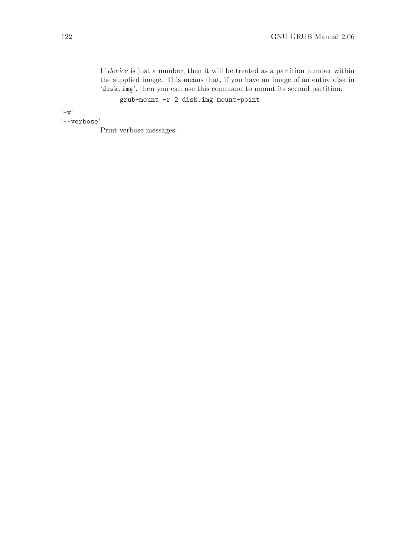If device is just a number, then it will be treated as a partition number within the supplied image. This means that, if you have an image of an entire disk in 'disk.img', then you can use this command to mount its second partition:

grub-mount -r 2 disk.img mount-point

 $\cdot$ -v'

'--verbose'

Print verbose messages.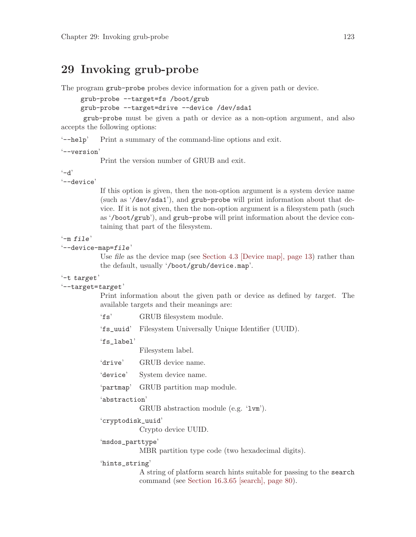### 29 Invoking grub-probe

The program grub-probe probes device information for a given path or device.

grub-probe --target=fs /boot/grub

```
grub-probe --target=drive --device /dev/sda1
```
grub-probe must be given a path or device as a non-option argument, and also accepts the following options:

'--help' Print a summary of the command-line options and exit.

'--version'

Print the version number of GRUB and exit.

 $- d'$ 

'--device'

If this option is given, then the non-option argument is a system device name (such as '/dev/sda1'), and grub-probe will print information about that device. If it is not given, then the non-option argument is a filesystem path (such as '/boot/grub'), and grub-probe will print information about the device containing that part of the filesystem.

#### $'$ -m file'

```
'--device-map=file'
```
Use file as the device map (see [Section 4.3 \[Device map\], page 13](#page-22-0)) rather than the default, usually '/boot/grub/device.map'.

#### '-t target'

'--target=target'

Print information about the given path or device as defined by target. The available targets and their meanings are:

'fs' GRUB filesystem module.

'fs\_uuid' Filesystem Universally Unique Identifier (UUID).

'fs\_label'

Filesystem label.

- 'drive' GRUB device name.
- 'device' System device name.

'partmap' GRUB partition map module.

'abstraction'

GRUB abstraction module (e.g. 'lvm').

```
'cryptodisk_uuid'
```
Crypto device UUID.

'msdos\_parttype'

MBR partition type code (two hexadecimal digits).

'hints\_string'

A string of platform search hints suitable for passing to the search command (see [Section 16.3.65 \[search\], page 80\)](#page-89-0).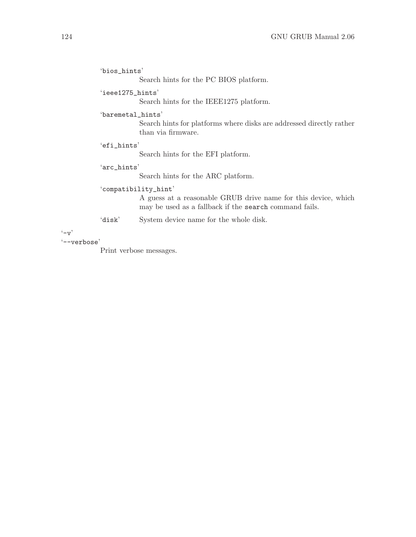```
'bios_hints'
```
Search hints for the PC BIOS platform.

#### 'ieee1275\_hints'

Search hints for the IEEE1275 platform.

#### 'baremetal\_hints'

Search hints for platforms where disks are addressed directly rather than via firmware.

#### 'efi\_hints'

Search hints for the EFI platform.

#### 'arc\_hints'

Search hints for the ARC platform.

#### 'compatibility\_hint'

A guess at a reasonable GRUB drive name for this device, which may be used as a fallback if the search command fails.

'disk' System device name for the whole disk.

 $(-v)$ 

#### '--verbose'

Print verbose messages.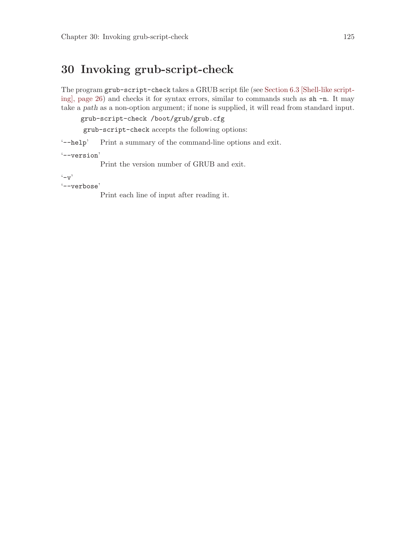## 30 Invoking grub-script-check

The program grub-script-check takes a GRUB script file (see [Section 6.3 \[Shell-like script](#page-35-0)[ing\], page 26](#page-35-0)) and checks it for syntax errors, similar to commands such as sh -n. It may take a path as a non-option argument; if none is supplied, it will read from standard input.

grub-script-check /boot/grub/grub.cfg

grub-script-check accepts the following options:

'--help' Print a summary of the command-line options and exit.

'--version'

Print the version number of GRUB and exit.

 $(-\mathbf{v})$ 

'--verbose'

Print each line of input after reading it.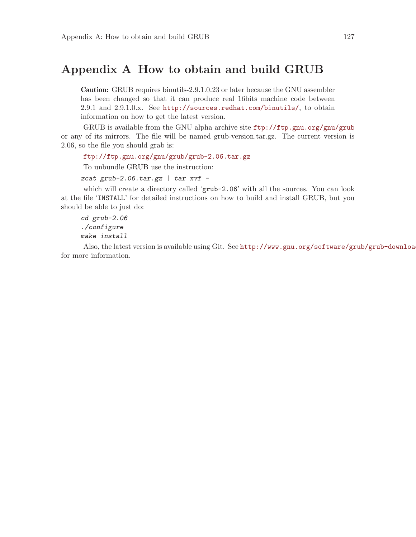### Appendix A How to obtain and build GRUB

Caution: GRUB requires binutils-2.9.1.0.23 or later because the GNU assembler has been changed so that it can produce real 16bits machine code between 2.9.1 and 2.9.1.0.x. See <http://sources.redhat.com/binutils/>, to obtain information on how to get the latest version.

GRUB is available from the GNU alpha archive site <ftp://ftp.gnu.org/gnu/grub> or any of its mirrors. The file will be named grub-version.tar.gz. The current version is 2.06, so the file you should grab is:

<ftp://ftp.gnu.org/gnu/grub/grub-2.06.tar.gz>

To unbundle GRUB use the instruction:

zcat grub-2.06.tar.gz | tar  $xvf$  -

which will create a directory called 'grub-2.06' with all the sources. You can look at the file 'INSTALL' for detailed instructions on how to build and install GRUB, but you should be able to just do:

cd grub-2.06 ./configure make install

Also, the latest version is available using Git. See http://www.gnu.org/software/grub/grub-downloa for more information.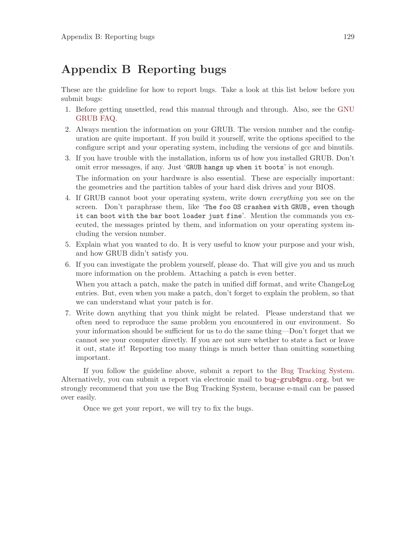### Appendix B Reporting bugs

These are the guideline for how to report bugs. Take a look at this list below before you submit bugs:

- 1. Before getting unsettled, read this manual through and through. Also, see the [GNU](http://www.gnu.org/software/grub/grub-faq.html) [GRUB FAQ.](http://www.gnu.org/software/grub/grub-faq.html)
- 2. Always mention the information on your GRUB. The version number and the configuration are quite important. If you build it yourself, write the options specified to the configure script and your operating system, including the versions of gcc and binutils.
- 3. If you have trouble with the installation, inform us of how you installed GRUB. Don't omit error messages, if any. Just 'GRUB hangs up when it boots' is not enough. The information on your hardware is also essential. These are especially important: the geometries and the partition tables of your hard disk drives and your BIOS.
- 4. If GRUB cannot boot your operating system, write down everything you see on the screen. Don't paraphrase them, like 'The foo OS crashes with GRUB, even though it can boot with the bar boot loader just fine'. Mention the commands you executed, the messages printed by them, and information on your operating system including the version number.
- 5. Explain what you wanted to do. It is very useful to know your purpose and your wish, and how GRUB didn't satisfy you.
- 6. If you can investigate the problem yourself, please do. That will give you and us much more information on the problem. Attaching a patch is even better.

When you attach a patch, make the patch in unified diff format, and write ChangeLog entries. But, even when you make a patch, don't forget to explain the problem, so that we can understand what your patch is for.

7. Write down anything that you think might be related. Please understand that we often need to reproduce the same problem you encountered in our environment. So your information should be sufficient for us to do the same thing—Don't forget that we cannot see your computer directly. If you are not sure whether to state a fact or leave it out, state it! Reporting too many things is much better than omitting something important.

If you follow the guideline above, submit a report to the [Bug Tracking System.](http://savannah.gnu.org/bugs/?group=grub) Alternatively, you can submit a report via electronic mail to [bug-grub@gnu.org](mailto:bug-grub@gnu.org), but we strongly recommend that you use the Bug Tracking System, because e-mail can be passed over easily.

Once we get your report, we will try to fix the bugs.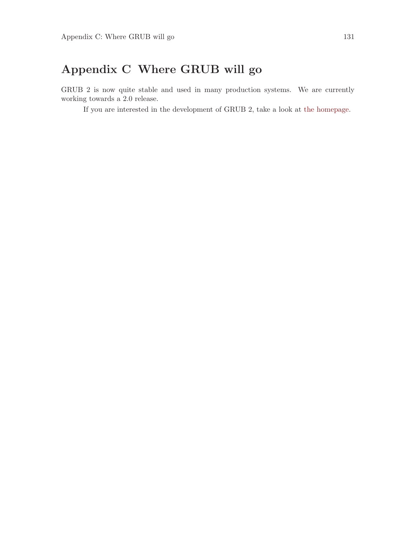# Appendix C Where GRUB will go

GRUB 2 is now quite stable and used in many production systems. We are currently working towards a 2.0 release.

If you are interested in the development of GRUB 2, take a look at [the homepage.](http://www.gnu.org/software/grub/grub.html)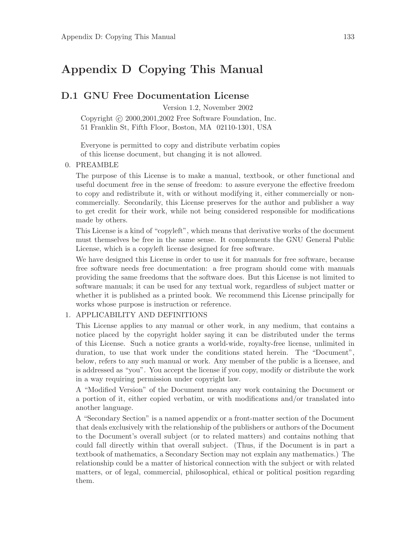### Appendix D Copying This Manual

#### D.1 GNU Free Documentation License

Version 1.2, November 2002

Copyright  $\odot$  2000, 2001, 2002 Free Software Foundation, Inc. 51 Franklin St, Fifth Floor, Boston, MA 02110-1301, USA

Everyone is permitted to copy and distribute verbatim copies of this license document, but changing it is not allowed.

#### 0. PREAMBLE

The purpose of this License is to make a manual, textbook, or other functional and useful document free in the sense of freedom: to assure everyone the effective freedom to copy and redistribute it, with or without modifying it, either commercially or noncommercially. Secondarily, this License preserves for the author and publisher a way to get credit for their work, while not being considered responsible for modifications made by others.

This License is a kind of "copyleft", which means that derivative works of the document must themselves be free in the same sense. It complements the GNU General Public License, which is a copyleft license designed for free software.

We have designed this License in order to use it for manuals for free software, because free software needs free documentation: a free program should come with manuals providing the same freedoms that the software does. But this License is not limited to software manuals; it can be used for any textual work, regardless of subject matter or whether it is published as a printed book. We recommend this License principally for works whose purpose is instruction or reference.

#### 1. APPLICABILITY AND DEFINITIONS

This License applies to any manual or other work, in any medium, that contains a notice placed by the copyright holder saying it can be distributed under the terms of this License. Such a notice grants a world-wide, royalty-free license, unlimited in duration, to use that work under the conditions stated herein. The "Document", below, refers to any such manual or work. Any member of the public is a licensee, and is addressed as "you". You accept the license if you copy, modify or distribute the work in a way requiring permission under copyright law.

A "Modified Version" of the Document means any work containing the Document or a portion of it, either copied verbatim, or with modifications and/or translated into another language.

A "Secondary Section" is a named appendix or a front-matter section of the Document that deals exclusively with the relationship of the publishers or authors of the Document to the Document's overall subject (or to related matters) and contains nothing that could fall directly within that overall subject. (Thus, if the Document is in part a textbook of mathematics, a Secondary Section may not explain any mathematics.) The relationship could be a matter of historical connection with the subject or with related matters, or of legal, commercial, philosophical, ethical or political position regarding them.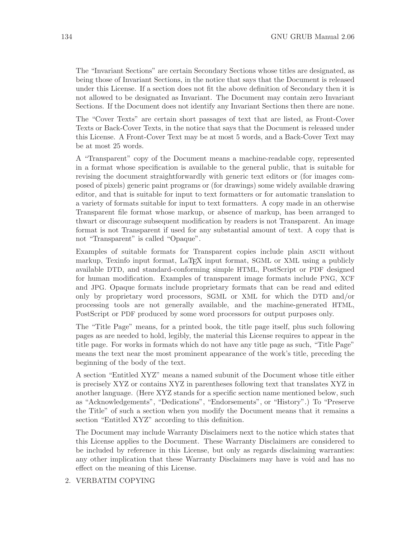The "Invariant Sections" are certain Secondary Sections whose titles are designated, as being those of Invariant Sections, in the notice that says that the Document is released under this License. If a section does not fit the above definition of Secondary then it is not allowed to be designated as Invariant. The Document may contain zero Invariant Sections. If the Document does not identify any Invariant Sections then there are none.

The "Cover Texts" are certain short passages of text that are listed, as Front-Cover Texts or Back-Cover Texts, in the notice that says that the Document is released under this License. A Front-Cover Text may be at most 5 words, and a Back-Cover Text may be at most 25 words.

A "Transparent" copy of the Document means a machine-readable copy, represented in a format whose specification is available to the general public, that is suitable for revising the document straightforwardly with generic text editors or (for images composed of pixels) generic paint programs or (for drawings) some widely available drawing editor, and that is suitable for input to text formatters or for automatic translation to a variety of formats suitable for input to text formatters. A copy made in an otherwise Transparent file format whose markup, or absence of markup, has been arranged to thwart or discourage subsequent modification by readers is not Transparent. An image format is not Transparent if used for any substantial amount of text. A copy that is not "Transparent" is called "Opaque".

Examples of suitable formats for Transparent copies include plain ascii without markup, Texinfo input format, LaT<sub>EX</sub> input format, SGML or XML using a publicly available DTD, and standard-conforming simple HTML, PostScript or PDF designed for human modification. Examples of transparent image formats include PNG, XCF and JPG. Opaque formats include proprietary formats that can be read and edited only by proprietary word processors, SGML or XML for which the DTD and/or processing tools are not generally available, and the machine-generated HTML, PostScript or PDF produced by some word processors for output purposes only.

The "Title Page" means, for a printed book, the title page itself, plus such following pages as are needed to hold, legibly, the material this License requires to appear in the title page. For works in formats which do not have any title page as such, "Title Page" means the text near the most prominent appearance of the work's title, preceding the beginning of the body of the text.

A section "Entitled XYZ" means a named subunit of the Document whose title either is precisely XYZ or contains XYZ in parentheses following text that translates XYZ in another language. (Here XYZ stands for a specific section name mentioned below, such as "Acknowledgements", "Dedications", "Endorsements", or "History".) To "Preserve the Title" of such a section when you modify the Document means that it remains a section "Entitled XYZ" according to this definition.

The Document may include Warranty Disclaimers next to the notice which states that this License applies to the Document. These Warranty Disclaimers are considered to be included by reference in this License, but only as regards disclaiming warranties: any other implication that these Warranty Disclaimers may have is void and has no effect on the meaning of this License.

#### 2. VERBATIM COPYING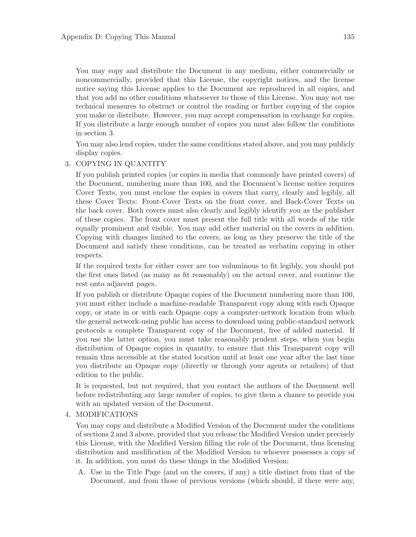You may copy and distribute the Document in any medium, either commercially or noncommercially, provided that this License, the copyright notices, and the license notice saying this License applies to the Document are reproduced in all copies, and that you add no other conditions whatsoever to those of this License. You may not use technical measures to obstruct or control the reading or further copying of the copies you make or distribute. However, you may accept compensation in exchange for copies. If you distribute a large enough number of copies you must also follow the conditions in section 3.

You may also lend copies, under the same conditions stated above, and you may publicly display copies.

#### 3. COPYING IN QUANTITY

If you publish printed copies (or copies in media that commonly have printed covers) of the Document, numbering more than 100, and the Document's license notice requires Cover Texts, you must enclose the copies in covers that carry, clearly and legibly, all these Cover Texts: Front-Cover Texts on the front cover, and Back-Cover Texts on the back cover. Both covers must also clearly and legibly identify you as the publisher of these copies. The front cover must present the full title with all words of the title equally prominent and visible. You may add other material on the covers in addition. Copying with changes limited to the covers, as long as they preserve the title of the Document and satisfy these conditions, can be treated as verbatim copying in other respects.

If the required texts for either cover are too voluminous to fit legibly, you should put the first ones listed (as many as fit reasonably) on the actual cover, and continue the rest onto adjacent pages.

If you publish or distribute Opaque copies of the Document numbering more than 100, you must either include a machine-readable Transparent copy along with each Opaque copy, or state in or with each Opaque copy a computer-network location from which the general network-using public has access to download using public-standard network protocols a complete Transparent copy of the Document, free of added material. If you use the latter option, you must take reasonably prudent steps, when you begin distribution of Opaque copies in quantity, to ensure that this Transparent copy will remain thus accessible at the stated location until at least one year after the last time you distribute an Opaque copy (directly or through your agents or retailers) of that edition to the public.

It is requested, but not required, that you contact the authors of the Document well before redistributing any large number of copies, to give them a chance to provide you with an updated version of the Document.

#### 4. MODIFICATIONS

You may copy and distribute a Modified Version of the Document under the conditions of sections 2 and 3 above, provided that you release the Modified Version under precisely this License, with the Modified Version filling the role of the Document, thus licensing distribution and modification of the Modified Version to whoever possesses a copy of it. In addition, you must do these things in the Modified Version:

A. Use in the Title Page (and on the covers, if any) a title distinct from that of the Document, and from those of previous versions (which should, if there were any,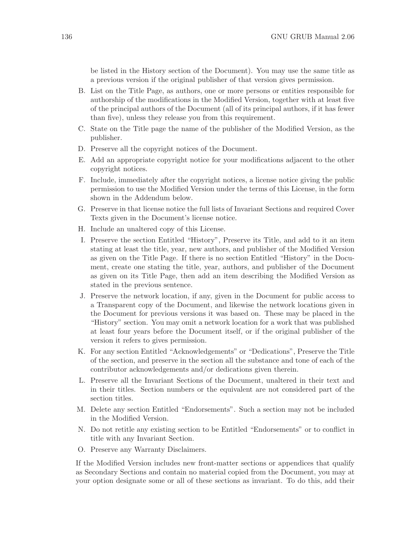be listed in the History section of the Document). You may use the same title as a previous version if the original publisher of that version gives permission.

- B. List on the Title Page, as authors, one or more persons or entities responsible for authorship of the modifications in the Modified Version, together with at least five of the principal authors of the Document (all of its principal authors, if it has fewer than five), unless they release you from this requirement.
- C. State on the Title page the name of the publisher of the Modified Version, as the publisher.
- D. Preserve all the copyright notices of the Document.
- E. Add an appropriate copyright notice for your modifications adjacent to the other copyright notices.
- F. Include, immediately after the copyright notices, a license notice giving the public permission to use the Modified Version under the terms of this License, in the form shown in the Addendum below.
- G. Preserve in that license notice the full lists of Invariant Sections and required Cover Texts given in the Document's license notice.
- H. Include an unaltered copy of this License.
- I. Preserve the section Entitled "History", Preserve its Title, and add to it an item stating at least the title, year, new authors, and publisher of the Modified Version as given on the Title Page. If there is no section Entitled "History" in the Document, create one stating the title, year, authors, and publisher of the Document as given on its Title Page, then add an item describing the Modified Version as stated in the previous sentence.
- J. Preserve the network location, if any, given in the Document for public access to a Transparent copy of the Document, and likewise the network locations given in the Document for previous versions it was based on. These may be placed in the "History" section. You may omit a network location for a work that was published at least four years before the Document itself, or if the original publisher of the version it refers to gives permission.
- K. For any section Entitled "Acknowledgements" or "Dedications", Preserve the Title of the section, and preserve in the section all the substance and tone of each of the contributor acknowledgements and/or dedications given therein.
- L. Preserve all the Invariant Sections of the Document, unaltered in their text and in their titles. Section numbers or the equivalent are not considered part of the section titles.
- M. Delete any section Entitled "Endorsements". Such a section may not be included in the Modified Version.
- N. Do not retitle any existing section to be Entitled "Endorsements" or to conflict in title with any Invariant Section.
- O. Preserve any Warranty Disclaimers.

If the Modified Version includes new front-matter sections or appendices that qualify as Secondary Sections and contain no material copied from the Document, you may at your option designate some or all of these sections as invariant. To do this, add their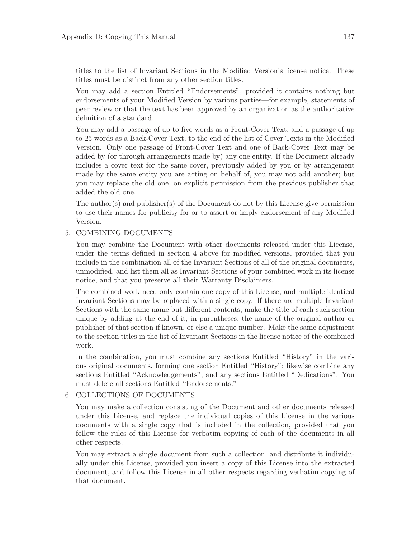titles to the list of Invariant Sections in the Modified Version's license notice. These titles must be distinct from any other section titles.

You may add a section Entitled "Endorsements", provided it contains nothing but endorsements of your Modified Version by various parties—for example, statements of peer review or that the text has been approved by an organization as the authoritative definition of a standard.

You may add a passage of up to five words as a Front-Cover Text, and a passage of up to 25 words as a Back-Cover Text, to the end of the list of Cover Texts in the Modified Version. Only one passage of Front-Cover Text and one of Back-Cover Text may be added by (or through arrangements made by) any one entity. If the Document already includes a cover text for the same cover, previously added by you or by arrangement made by the same entity you are acting on behalf of, you may not add another; but you may replace the old one, on explicit permission from the previous publisher that added the old one.

The author(s) and publisher(s) of the Document do not by this License give permission to use their names for publicity for or to assert or imply endorsement of any Modified Version.

#### 5. COMBINING DOCUMENTS

You may combine the Document with other documents released under this License, under the terms defined in section 4 above for modified versions, provided that you include in the combination all of the Invariant Sections of all of the original documents, unmodified, and list them all as Invariant Sections of your combined work in its license notice, and that you preserve all their Warranty Disclaimers.

The combined work need only contain one copy of this License, and multiple identical Invariant Sections may be replaced with a single copy. If there are multiple Invariant Sections with the same name but different contents, make the title of each such section unique by adding at the end of it, in parentheses, the name of the original author or publisher of that section if known, or else a unique number. Make the same adjustment to the section titles in the list of Invariant Sections in the license notice of the combined work.

In the combination, you must combine any sections Entitled "History" in the various original documents, forming one section Entitled "History"; likewise combine any sections Entitled "Acknowledgements", and any sections Entitled "Dedications". You must delete all sections Entitled "Endorsements."

#### 6. COLLECTIONS OF DOCUMENTS

You may make a collection consisting of the Document and other documents released under this License, and replace the individual copies of this License in the various documents with a single copy that is included in the collection, provided that you follow the rules of this License for verbatim copying of each of the documents in all other respects.

You may extract a single document from such a collection, and distribute it individually under this License, provided you insert a copy of this License into the extracted document, and follow this License in all other respects regarding verbatim copying of that document.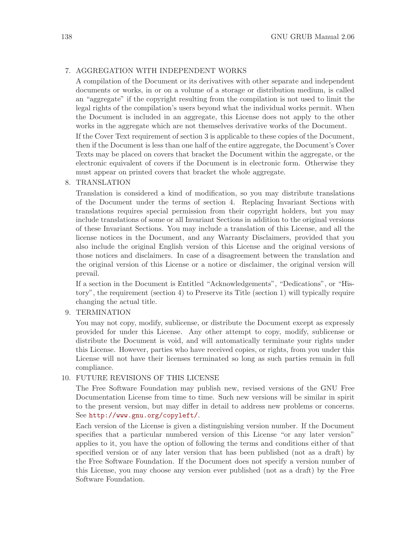#### 7. AGGREGATION WITH INDEPENDENT WORKS

A compilation of the Document or its derivatives with other separate and independent documents or works, in or on a volume of a storage or distribution medium, is called an "aggregate" if the copyright resulting from the compilation is not used to limit the legal rights of the compilation's users beyond what the individual works permit. When the Document is included in an aggregate, this License does not apply to the other works in the aggregate which are not themselves derivative works of the Document.

If the Cover Text requirement of section 3 is applicable to these copies of the Document, then if the Document is less than one half of the entire aggregate, the Document's Cover Texts may be placed on covers that bracket the Document within the aggregate, or the electronic equivalent of covers if the Document is in electronic form. Otherwise they must appear on printed covers that bracket the whole aggregate.

#### 8. TRANSLATION

Translation is considered a kind of modification, so you may distribute translations of the Document under the terms of section 4. Replacing Invariant Sections with translations requires special permission from their copyright holders, but you may include translations of some or all Invariant Sections in addition to the original versions of these Invariant Sections. You may include a translation of this License, and all the license notices in the Document, and any Warranty Disclaimers, provided that you also include the original English version of this License and the original versions of those notices and disclaimers. In case of a disagreement between the translation and the original version of this License or a notice or disclaimer, the original version will prevail.

If a section in the Document is Entitled "Acknowledgements", "Dedications", or "History", the requirement (section 4) to Preserve its Title (section 1) will typically require changing the actual title.

#### 9. TERMINATION

You may not copy, modify, sublicense, or distribute the Document except as expressly provided for under this License. Any other attempt to copy, modify, sublicense or distribute the Document is void, and will automatically terminate your rights under this License. However, parties who have received copies, or rights, from you under this License will not have their licenses terminated so long as such parties remain in full compliance.

#### 10. FUTURE REVISIONS OF THIS LICENSE

The Free Software Foundation may publish new, revised versions of the GNU Free Documentation License from time to time. Such new versions will be similar in spirit to the present version, but may differ in detail to address new problems or concerns. See <http://www.gnu.org/copyleft/>.

Each version of the License is given a distinguishing version number. If the Document specifies that a particular numbered version of this License "or any later version" applies to it, you have the option of following the terms and conditions either of that specified version or of any later version that has been published (not as a draft) by the Free Software Foundation. If the Document does not specify a version number of this License, you may choose any version ever published (not as a draft) by the Free Software Foundation.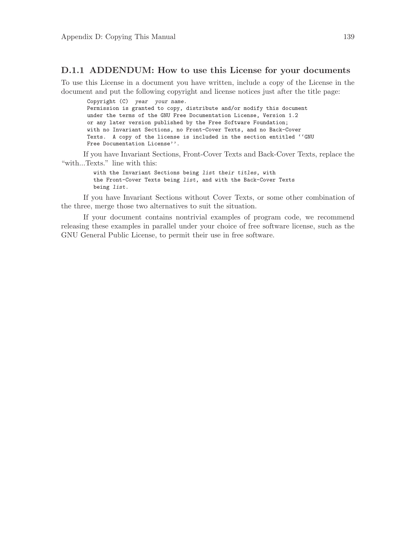#### D.1.1 ADDENDUM: How to use this License for your documents

To use this License in a document you have written, include a copy of the License in the document and put the following copyright and license notices just after the title page:

Copyright (C) year your name. Permission is granted to copy, distribute and/or modify this document under the terms of the GNU Free Documentation License, Version 1.2 or any later version published by the Free Software Foundation; with no Invariant Sections, no Front-Cover Texts, and no Back-Cover Texts. A copy of the license is included in the section entitled ''GNU Free Documentation License''.

If you have Invariant Sections, Front-Cover Texts and Back-Cover Texts, replace the "with...Texts." line with this:

> with the Invariant Sections being list their titles, with the Front-Cover Texts being list, and with the Back-Cover Texts being list.

If you have Invariant Sections without Cover Texts, or some other combination of the three, merge those two alternatives to suit the situation.

If your document contains nontrivial examples of program code, we recommend releasing these examples in parallel under your choice of free software license, such as the GNU General Public License, to permit their use in free software.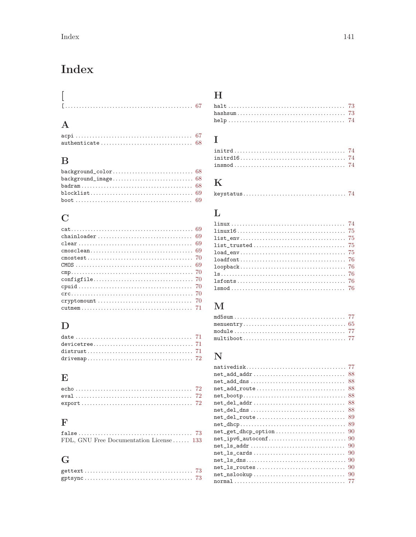# Index

## $\mathbf A$

## $\bf{B}$

## $\mathbf C$

## $\label{eq:1} \mathbf{D}$

### $\mathbf E$

### $\mathbf F$

| FDL, GNU Free Documentation License  133 |  |
|------------------------------------------|--|

## $\overline{G}$

### $\boldsymbol{\mathrm{H}}%$

## $\mathbf I$

## $\mathbf K$

|--|--|--|--|

### $\mathbf{L}%$

## $\bf M$

## $\overline{\mathbf{N}}$

| net_add_addr<br>88        |
|---------------------------|
| net_add_dns<br>88         |
| 88<br>net add route       |
| 88                        |
| net_del_addr<br>88        |
| net_del_dns<br>88         |
| net_del_route<br>89       |
| 89                        |
| net_get_dhcp_option<br>90 |
| net_ipv6_autoconf<br>90   |
| 90                        |
| $net_l$ s_cards<br>90     |
| 90                        |
| net_ls_routes<br>90       |
| net_nslookup<br>90        |
|                           |